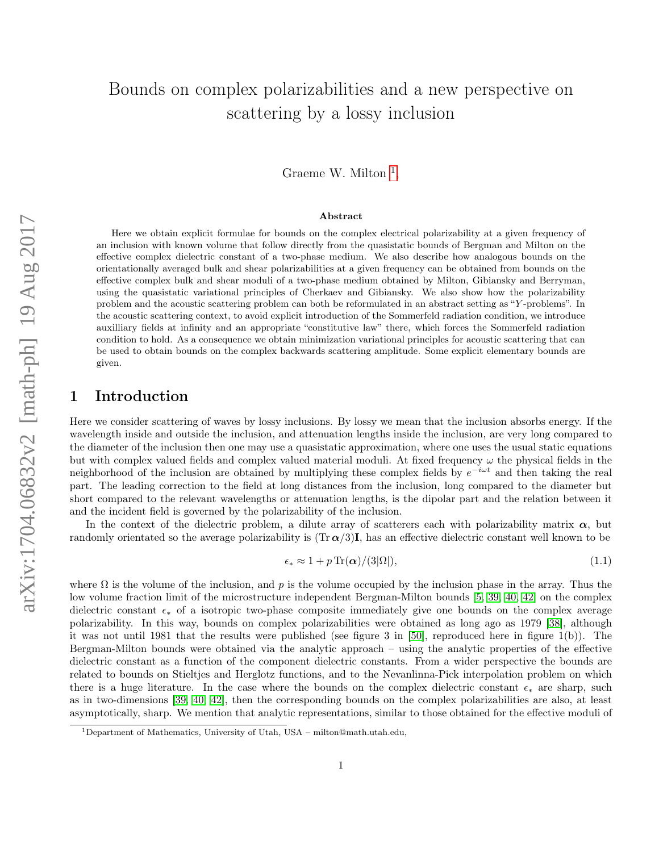# Bounds on complex polarizabilities and a new perspective on scattering by a lossy inclusion

Graeme W. Milton<sup>[1](#page-0-0)</sup>,

#### Abstract

Here we obtain explicit formulae for bounds on the complex electrical polarizability at a given frequency of an inclusion with known volume that follow directly from the quasistatic bounds of Bergman and Milton on the effective complex dielectric constant of a two-phase medium. We also describe how analogous bounds on the orientationally averaged bulk and shear polarizabilities at a given frequency can be obtained from bounds on the effective complex bulk and shear moduli of a two-phase medium obtained by Milton, Gibiansky and Berryman, using the quasistatic variational principles of Cherkaev and Gibiansky. We also show how the polarizability problem and the acoustic scattering problem can both be reformulated in an abstract setting as "Y -problems". In the acoustic scattering context, to avoid explicit introduction of the Sommerfeld radiation condition, we introduce auxilliary fields at infinity and an appropriate "constitutive law" there, which forces the Sommerfeld radiation condition to hold. As a consequence we obtain minimization variational principles for acoustic scattering that can be used to obtain bounds on the complex backwards scattering amplitude. Some explicit elementary bounds are given.

# 1 Introduction

Here we consider scattering of waves by lossy inclusions. By lossy we mean that the inclusion absorbs energy. If the wavelength inside and outside the inclusion, and attenuation lengths inside the inclusion, are very long compared to the diameter of the inclusion then one may use a quasistatic approximation, where one uses the usual static equations but with complex valued fields and complex valued material moduli. At fixed frequency  $\omega$  the physical fields in the neighborhood of the inclusion are obtained by multiplying these complex fields by  $e^{-i\omega t}$  and then taking the real part. The leading correction to the field at long distances from the inclusion, long compared to the diameter but short compared to the relevant wavelengths or attenuation lengths, is the dipolar part and the relation between it and the incident field is governed by the polarizability of the inclusion.

In the context of the dielectric problem, a dilute array of scatterers each with polarizability matrix  $\alpha$ , but randomly orientated so the average polarizability is  $(Tr \alpha/3)I$ , has an effective dielectric constant well known to be

$$
\epsilon_* \approx 1 + p \operatorname{Tr}(\alpha) / (3|\Omega|),\tag{1.1}
$$

where  $\Omega$  is the volume of the inclusion, and p is the volume occupied by the inclusion phase in the array. Thus the low volume fraction limit of the microstructure independent Bergman-Milton bounds [\[5,](#page-22-0) [39,](#page-24-0) [40,](#page-25-0) [42\]](#page-25-1) on the complex dielectric constant  $\epsilon_*$  of a isotropic two-phase composite immediately give one bounds on the complex average polarizability. In this way, bounds on complex polarizabilities were obtained as long ago as 1979 [\[38\]](#page-24-1), although it was not until 1981 that the results were published (see figure 3 in [\[50\]](#page-25-2), reproduced here in figure 1(b)). The Bergman-Milton bounds were obtained via the analytic approach – using the analytic properties of the effective dielectric constant as a function of the component dielectric constants. From a wider perspective the bounds are related to bounds on Stieltjes and Herglotz functions, and to the Nevanlinna-Pick interpolation problem on which there is a huge literature. In the case where the bounds on the complex dielectric constant  $\epsilon_*$  are sharp, such as in two-dimensions [\[39,](#page-24-0) [40,](#page-25-0) [42\]](#page-25-1), then the corresponding bounds on the complex polarizabilities are also, at least asymptotically, sharp. We mention that analytic representations, similar to those obtained for the effective moduli of

<span id="page-0-0"></span><sup>1</sup>Department of Mathematics, University of Utah, USA – milton@math.utah.edu,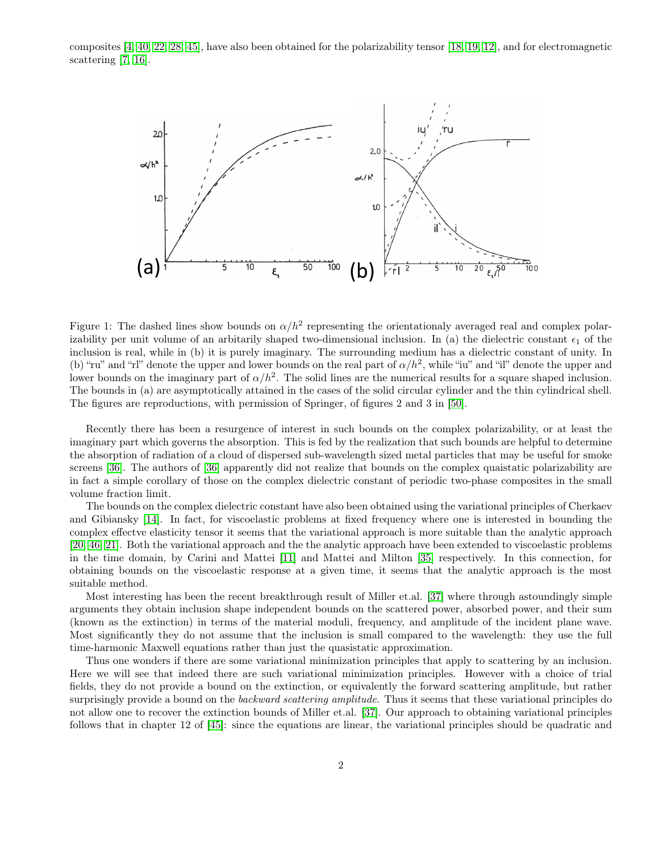composites [\[4,](#page-22-1) [40,](#page-25-0) [22,](#page-23-0) [28,](#page-24-2) [45\]](#page-25-3), have also been obtained for the polarizability tensor [\[18,](#page-23-1) [19,](#page-23-2) [12\]](#page-23-3), and for electromagnetic scattering [\[7,](#page-22-2) [16\]](#page-23-4).



Figure 1: The dashed lines show bounds on  $\alpha/h^2$  representing the orientationaly averaged real and complex polarizability per unit volume of an arbitarily shaped two-dimensional inclusion. In (a) the dielectric constant  $\epsilon_1$  of the inclusion is real, while in (b) it is purely imaginary. The surrounding medium has a dielectric constant of unity. In (b) "ru" and "rl" denote the upper and lower bounds on the real part of  $\alpha/h^2$ , while "iu" and "il" denote the upper and lower bounds on the imaginary part of  $\alpha/h^2$ . The solid lines are the numerical results for a square shaped inclusion. The bounds in (a) are asymptotically attained in the cases of the solid circular cylinder and the thin cylindrical shell. The figures are reproductions, with permission of Springer, of figures 2 and 3 in [\[50\]](#page-25-2).

Recently there has been a resurgence of interest in such bounds on the complex polarizability, or at least the imaginary part which governs the absorption. This is fed by the realization that such bounds are helpful to determine the absorption of radiation of a cloud of dispersed sub-wavelength sized metal particles that may be useful for smoke screens [\[36\]](#page-24-3). The authors of [\[36\]](#page-24-3) apparently did not realize that bounds on the complex quaistatic polarizability are in fact a simple corollary of those on the complex dielectric constant of periodic two-phase composites in the small volume fraction limit.

The bounds on the complex dielectric constant have also been obtained using the variational principles of Cherkaev and Gibiansky [\[14\]](#page-23-5). In fact, for viscoelastic problems at fixed frequency where one is interested in bounding the complex effectve elasticity tensor it seems that the variational approach is more suitable than the analytic approach [\[20,](#page-23-6) [46,](#page-25-4) [21\]](#page-23-7). Both the variational approach and the the analytic approach have been extended to viscoelastic problems in the time domain, by Carini and Mattei [\[11\]](#page-22-3) and Mattei and Milton [\[35\]](#page-24-4) respectively. In this connection, for obtaining bounds on the viscoelastic response at a given time, it seems that the analytic approach is the most suitable method.

Most interesting has been the recent breakthrough result of Miller et.al. [\[37\]](#page-24-5) where through astoundingly simple arguments they obtain inclusion shape independent bounds on the scattered power, absorbed power, and their sum (known as the extinction) in terms of the material moduli, frequency, and amplitude of the incident plane wave. Most significantly they do not assume that the inclusion is small compared to the wavelength: they use the full time-harmonic Maxwell equations rather than just the quasistatic approximation.

Thus one wonders if there are some variational minimization principles that apply to scattering by an inclusion. Here we will see that indeed there are such variational minimization principles. However with a choice of trial fields, they do not provide a bound on the extinction, or equivalently the forward scattering amplitude, but rather surprisingly provide a bound on the *backward scattering amplitude*. Thus it seems that these variational principles do not allow one to recover the extinction bounds of Miller et.al. [\[37\]](#page-24-5). Our approach to obtaining variational principles follows that in chapter 12 of [\[45\]](#page-25-3): since the equations are linear, the variational principles should be quadratic and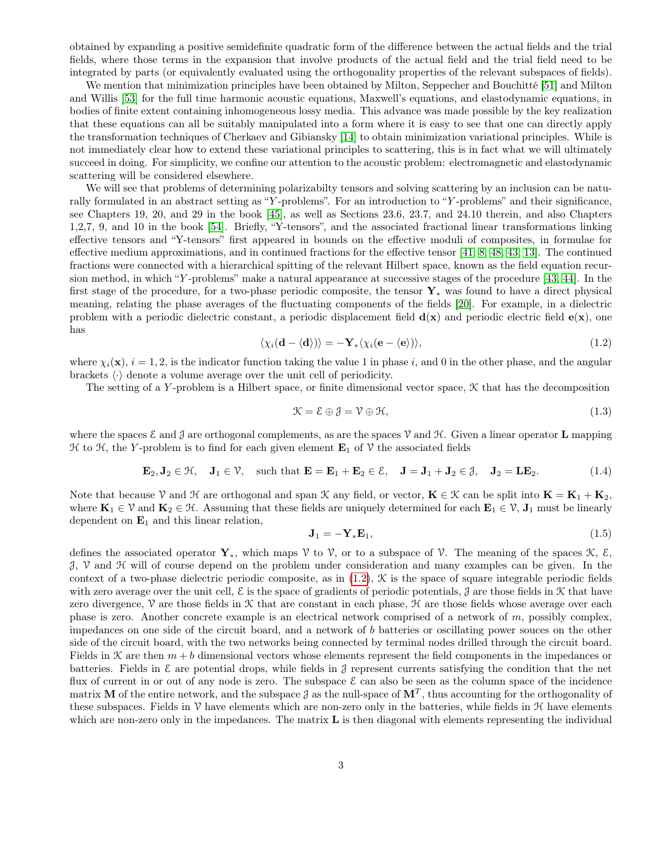obtained by expanding a positive semidefinite quadratic form of the difference between the actual fields and the trial fields, where those terms in the expansion that involve products of the actual field and the trial field need to be integrated by parts (or equivalently evaluated using the orthogonality properties of the relevant subspaces of fields).

We mention that minimization principles have been obtained by Milton, Seppecher and Bouchitté [\[51\]](#page-25-5) and Milton and Willis [\[53\]](#page-25-6) for the full time harmonic acoustic equations, Maxwell's equations, and elastodynamic equations, in bodies of finite extent containing inhomogeneous lossy media. This advance was made possible by the key realization that these equations can all be suitably manipulated into a form where it is easy to see that one can directly apply the transformation techniques of Cherkaev and Gibiansky [\[14\]](#page-23-5) to obtain minimization variational principles. While is not immediately clear how to extend these variational principles to scattering, this is in fact what we will ultimately succeed in doing. For simplicity, we confine our attention to the acoustic problem: electromagnetic and elastodynamic scattering will be considered elsewhere.

We will see that problems of determining polarizabilty tensors and solving scattering by an inclusion can be naturally formulated in an abstract setting as "Y -problems". For an introduction to "Y -problems" and their significance, see Chapters 19, 20, and 29 in the book [\[45\]](#page-25-3), as well as Sections 23.6, 23.7, and 24.10 therein, and also Chapters 1,2,7, 9, and 10 in the book [\[54\]](#page-26-0). Briefly, "Y-tensors", and the associated fractional linear transformations linking effective tensors and "Y-tensors" first appeared in bounds on the effective moduli of composites, in formulae for effective medium approximations, and in continued fractions for the effective tensor [\[41,](#page-25-7) [8,](#page-22-4) [48,](#page-25-8) [43,](#page-25-9) [13\]](#page-23-8). The continued fractions were connected with a hierarchical spitting of the relevant Hilbert space, known as the field equation recursion method, in which "Y -problems" make a natural appearance at successive stages of the procedure [\[43,](#page-25-9) [44\]](#page-25-10). In the first stage of the procedure, for a two-phase periodic composite, the tensor  $\mathbf{Y}_{*}$  was found to have a direct physical meaning, relating the phase averages of the fluctuating components of the fields [\[20\]](#page-23-6). For example, in a dielectric problem with a periodic dielectric constant, a periodic displacement field  $d(x)$  and periodic electric field  $e(x)$ , one has

<span id="page-2-0"></span>
$$
\langle \chi_i(\mathbf{d} - \langle \mathbf{d} \rangle) \rangle = -\mathbf{Y}_* \langle \chi_i(\mathbf{e} - \langle \mathbf{e} \rangle) \rangle, \tag{1.2}
$$

where  $\chi_i(\mathbf{x})$ ,  $i = 1, 2$ , is the indicator function taking the value 1 in phase i, and 0 in the other phase, and the angular brackets  $\langle \cdot \rangle$  denote a volume average over the unit cell of periodicity.

The setting of a Y-problem is a Hilbert space, or finite dimensional vector space,  $K$  that has the decomposition

$$
\mathcal{K} = \mathcal{E} \oplus \mathcal{J} = \mathcal{V} \oplus \mathcal{H},\tag{1.3}
$$

where the spaces  $\mathcal E$  and  $\mathcal J$  are orthogonal complements, as are the spaces  $\mathcal V$  and  $\mathcal H$ . Given a linear operator  $\mathbf L$  mapping  $\mathcal H$  to  $\mathcal H$ , the Y-problem is to find for each given element  $\mathbf E_1$  of  $\mathcal V$  the associated fields

$$
\mathbf{E}_2, \mathbf{J}_2 \in \mathcal{H}, \quad \mathbf{J}_1 \in \mathcal{V}, \quad \text{such that } \mathbf{E} = \mathbf{E}_1 + \mathbf{E}_2 \in \mathcal{E}, \quad \mathbf{J} = \mathbf{J}_1 + \mathbf{J}_2 \in \mathcal{J}, \quad \mathbf{J}_2 = \mathbf{L} \mathbf{E}_2.
$$
 (1.4)

Note that because V and H are orthogonal and span K any field, or vector,  $K \in \mathcal{K}$  can be split into  $K = K_1 + K_2$ , where  $\mathbf{K}_1 \in \mathcal{V}$  and  $\mathbf{K}_2 \in \mathcal{H}$ . Assuming that these fields are uniquely determined for each  $\mathbf{E}_1 \in \mathcal{V}$ ,  $\mathbf{J}_1$  must be linearly dependent on  $\mathbf{E}_1$  and this linear relation,

<span id="page-2-1"></span>
$$
\mathbf{J}_1 = -\mathbf{Y}_* \mathbf{E}_1,\tag{1.5}
$$

defines the associated operator  $\mathbf{Y}_*$ , which maps  $\mathcal V$  to  $\mathcal V$ , or to a subspace of  $\mathcal V$ . The meaning of the spaces  $\mathcal K$ ,  $\mathcal E$ ,  $J$ ,  $V$  and  $H$  will of course depend on the problem under consideration and many examples can be given. In the context of a two-phase dielectric periodic composite, as in  $(1.2)$ ,  $\mathcal K$  is the space of square integrable periodic fields with zero average over the unit cell,  $\mathcal E$  is the space of gradients of periodic potentials,  $\mathcal J$  are those fields in  $\mathcal K$  that have zero divergence,  $\mathcal V$  are those fields in  $\mathcal K$  that are constant in each phase,  $\mathcal H$  are those fields whose average over each phase is zero. Another concrete example is an electrical network comprised of a network of  $m$ , possibly complex, impedances on one side of the circuit board, and a network of b batteries or oscillating power souces on the other side of the circuit board, with the two networks being connected by terminal nodes drilled through the circuit board. Fields in  $\mathcal K$  are then  $m + b$  dimensional vectors whose elements represent the field components in the impedances or batteries. Fields in  $\mathcal E$  are potential drops, while fields in  $\mathcal J$  represent currents satisfying the condition that the net flux of current in or out of any node is zero. The subspace  $\mathcal E$  can also be seen as the column space of the incidence matrix M of the entire network, and the subspace  $\beta$  as the null-space of  $\mathbf{M}^T$ , thus accounting for the orthogonality of these subspaces. Fields in  $\mathcal V$  have elements which are non-zero only in the batteries, while fields in  $\mathcal H$  have elements which are non-zero only in the impedances. The matrix  $L$  is then diagonal with elements representing the individual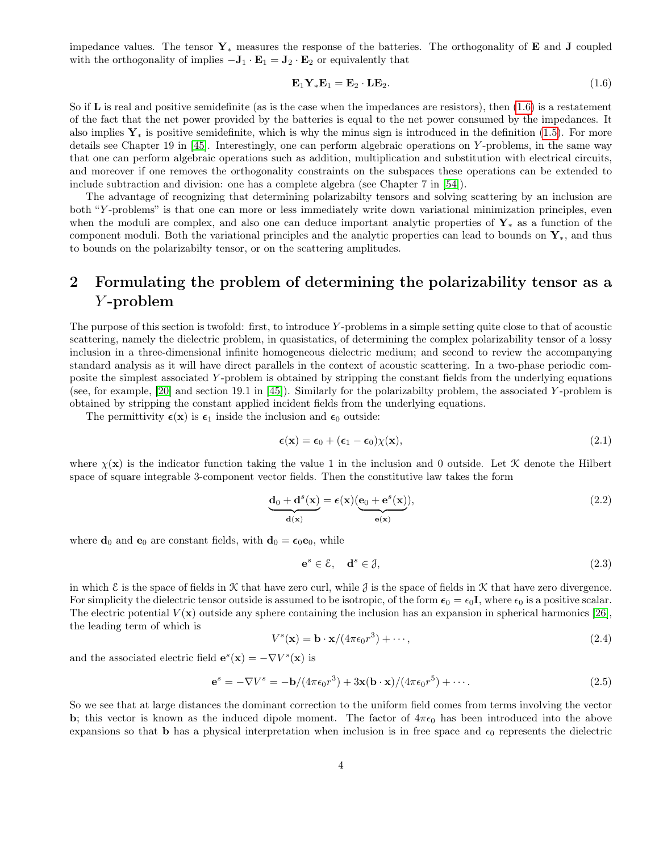impedance values. The tensor  $\mathbf{Y}_*$  measures the response of the batteries. The orthogonality of **E** and **J** coupled with the orthogonality of implies  $-J_1 \cdot E_1 = J_2 \cdot E_2$  or equivalently that

<span id="page-3-0"></span>
$$
\mathbf{E}_1 \mathbf{Y}_* \mathbf{E}_1 = \mathbf{E}_2 \cdot \mathbf{L} \mathbf{E}_2. \tag{1.6}
$$

So if  $\bf{L}$  is real and positive semidefinite (as is the case when the impedances are resistors), then  $(1.6)$  is a restatement of the fact that the net power provided by the batteries is equal to the net power consumed by the impedances. It also implies  $Y_*$  is positive semidefinite, which is why the minus sign is introduced in the definition [\(1.5\)](#page-2-1). For more details see Chapter 19 in [\[45\]](#page-25-3). Interestingly, one can perform algebraic operations on Y -problems, in the same way that one can perform algebraic operations such as addition, multiplication and substitution with electrical circuits, and moreover if one removes the orthogonality constraints on the subspaces these operations can be extended to include subtraction and division: one has a complete algebra (see Chapter 7 in [\[54\]](#page-26-0)).

The advantage of recognizing that determining polarizabilty tensors and solving scattering by an inclusion are both "Y -problems" is that one can more or less immediately write down variational minimization principles, even when the moduli are complex, and also one can deduce important analytic properties of  $Y_*$  as a function of the component moduli. Both the variational principles and the analytic properties can lead to bounds on  $\mathbf{Y}_{*}$ , and thus to bounds on the polarizabilty tensor, or on the scattering amplitudes.

# 2 Formulating the problem of determining the polarizability tensor as a Y -problem

The purpose of this section is twofold: first, to introduce Y -problems in a simple setting quite close to that of acoustic scattering, namely the dielectric problem, in quasistatics, of determining the complex polarizability tensor of a lossy inclusion in a three-dimensional infinite homogeneous dielectric medium; and second to review the accompanying standard analysis as it will have direct parallels in the context of acoustic scattering. In a two-phase periodic composite the simplest associated Y -problem is obtained by stripping the constant fields from the underlying equations (see, for example, [\[20\]](#page-23-6) and section 19.1 in [\[45\]](#page-25-3)). Similarly for the polarizabilty problem, the associated Y -problem is obtained by stripping the constant applied incident fields from the underlying equations.

The permittivity  $\epsilon(\mathbf{x})$  is  $\epsilon_1$  inside the inclusion and  $\epsilon_0$  outside:

$$
\boldsymbol{\epsilon}(\mathbf{x}) = \boldsymbol{\epsilon}_0 + (\boldsymbol{\epsilon}_1 - \boldsymbol{\epsilon}_0) \chi(\mathbf{x}), \tag{2.1}
$$

where  $\chi(\mathbf{x})$  is the indicator function taking the value 1 in the inclusion and 0 outside. Let X denote the Hilbert space of square integrable 3-component vector fields. Then the constitutive law takes the form

<span id="page-3-3"></span>
$$
\underbrace{\mathbf{d}_0 + \mathbf{d}^s(\mathbf{x})}_{\mathbf{d}(\mathbf{x})} = \epsilon(\mathbf{x}) \underbrace{(\mathbf{e}_0 + \mathbf{e}^s(\mathbf{x}))}_{\mathbf{e}(\mathbf{x})},\tag{2.2}
$$

where  $\mathbf{d}_0$  and  $\mathbf{e}_0$  are constant fields, with  $\mathbf{d}_0 = \epsilon_0 \mathbf{e}_0$ , while

<span id="page-3-4"></span>
$$
\mathbf{e}^s \in \mathcal{E}, \quad \mathbf{d}^s \in \mathcal{J},\tag{2.3}
$$

in which  $\mathcal E$  is the space of fields in  $\mathcal K$  that have zero curl, while  $\mathcal J$  is the space of fields in  $\mathcal K$  that have zero divergence. For simplicity the dielectric tensor outside is assumed to be isotropic, of the form  $\epsilon_0 = \epsilon_0 \mathbf{I}$ , where  $\epsilon_0$  is a positive scalar. The electric potential  $V(\mathbf{x})$  outside any sphere containing the inclusion has an expansion in spherical harmonics [\[26\]](#page-24-6). the leading term of which is

<span id="page-3-1"></span>
$$
V^s(\mathbf{x}) = \mathbf{b} \cdot \mathbf{x} / (4\pi\epsilon_0 r^3) + \cdots,
$$
\n(2.4)

and the associated electric field  $\mathbf{e}^s(\mathbf{x}) = -\nabla V^s(\mathbf{x})$  is

<span id="page-3-2"></span>
$$
\mathbf{e}^s = -\nabla V^s = -\mathbf{b}/(4\pi\epsilon_0 r^3) + 3\mathbf{x} (\mathbf{b} \cdot \mathbf{x})/(4\pi\epsilon_0 r^5) + \cdots.
$$
 (2.5)

So we see that at large distances the dominant correction to the uniform field comes from terms involving the vector b; this vector is known as the induced dipole moment. The factor of  $4\pi\epsilon_0$  has been introduced into the above expansions so that **b** has a physical interpretation when inclusion is in free space and  $\epsilon_0$  represents the dielectric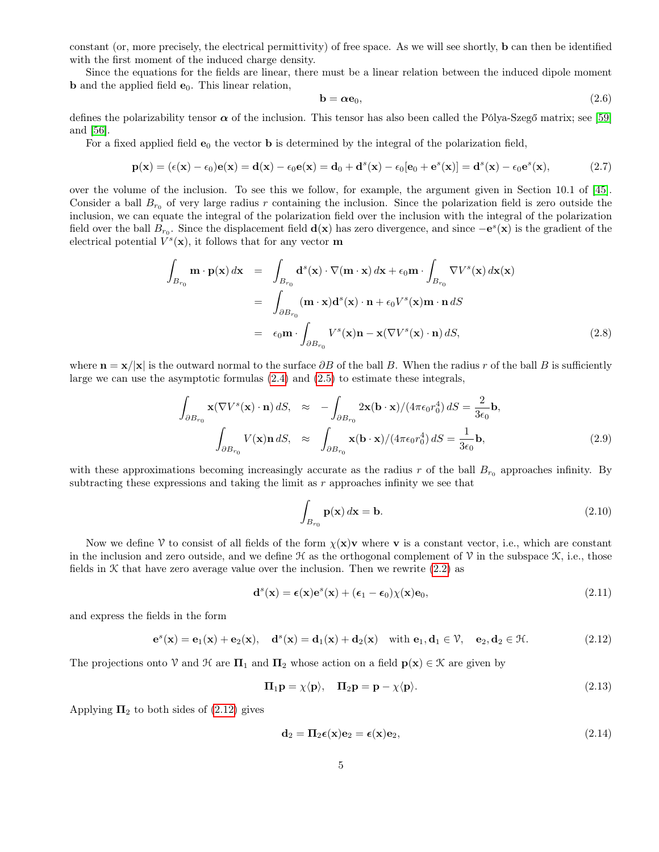constant (or, more precisely, the electrical permittivity) of free space. As we will see shortly, b can then be identified with the first moment of the induced charge density.

Since the equations for the fields are linear, there must be a linear relation between the induced dipole moment **b** and the applied field  $e_0$ . This linear relation,

$$
\mathbf{b} = \boldsymbol{\alpha} \mathbf{e}_0, \tag{2.6}
$$

defines the polarizability tensor  $\alpha$  of the inclusion. This tensor has also been called the Pólya-Szegő matrix; see [\[59\]](#page-26-1) and [\[56\]](#page-26-2).

For a fixed applied field  $e_0$  the vector **b** is determined by the integral of the polarization field,

$$
\mathbf{p}(\mathbf{x}) = (\epsilon(\mathbf{x}) - \epsilon_0)\mathbf{e}(\mathbf{x}) = \mathbf{d}(\mathbf{x}) - \epsilon_0\mathbf{e}(\mathbf{x}) = \mathbf{d}_0 + \mathbf{d}^s(\mathbf{x}) - \epsilon_0[\mathbf{e}_0 + \mathbf{e}^s(\mathbf{x})] = \mathbf{d}^s(\mathbf{x}) - \epsilon_0\mathbf{e}^s(\mathbf{x}),\tag{2.7}
$$

over the volume of the inclusion. To see this we follow, for example, the argument given in Section 10.1 of [\[45\]](#page-25-3). Consider a ball  $B_{r_0}$  of very large radius r containing the inclusion. Since the polarization field is zero outside the inclusion, we can equate the integral of the polarization field over the inclusion with the integral of the polarization field over the ball  $B_{r_0}$ . Since the displacement field  $\mathbf{d}(\mathbf{x})$  has zero divergence, and since  $-\mathbf{e}^s(\mathbf{x})$  is the gradient of the electrical potential  $V^s(\mathbf{x})$ , it follows that for any vector **m** 

<span id="page-4-2"></span>
$$
\int_{B_{r_0}} \mathbf{m} \cdot \mathbf{p}(\mathbf{x}) d\mathbf{x} = \int_{B_{r_0}} \mathbf{d}^s(\mathbf{x}) \cdot \nabla(\mathbf{m} \cdot \mathbf{x}) d\mathbf{x} + \epsilon_0 \mathbf{m} \cdot \int_{B_{r_0}} \nabla V^s(\mathbf{x}) d\mathbf{x}(\mathbf{x})
$$
\n
$$
= \int_{\partial B_{r_0}} (\mathbf{m} \cdot \mathbf{x}) \mathbf{d}^s(\mathbf{x}) \cdot \mathbf{n} + \epsilon_0 V^s(\mathbf{x}) \mathbf{m} \cdot \mathbf{n} dS
$$
\n
$$
= \epsilon_0 \mathbf{m} \cdot \int_{\partial B_{r_0}} V^s(\mathbf{x}) \mathbf{n} - \mathbf{x} (\nabla V^s(\mathbf{x}) \cdot \mathbf{n}) dS,
$$
\n(2.8)

where  $\mathbf{n} = \mathbf{x}/|\mathbf{x}|$  is the outward normal to the surface  $\partial B$  of the ball B. When the radius r of the ball B is sufficiently large we can use the asymptotic formulas [\(2.4\)](#page-3-1) and [\(2.5\)](#page-3-2) to estimate these integrals,

<span id="page-4-3"></span>
$$
\int_{\partial B_{r_0}} \mathbf{x} (\nabla V^s(\mathbf{x}) \cdot \mathbf{n}) dS, \approx -\int_{\partial B_{r_0}} 2\mathbf{x} (\mathbf{b} \cdot \mathbf{x})/(4\pi \epsilon_0 r_0^4) dS = \frac{2}{3\epsilon_0} \mathbf{b},
$$
\n
$$
\int_{\partial B_{r_0}} V(\mathbf{x}) \mathbf{n} dS, \approx \int_{\partial B_{r_0}} \mathbf{x} (\mathbf{b} \cdot \mathbf{x})/(4\pi \epsilon_0 r_0^4) dS = \frac{1}{3\epsilon_0} \mathbf{b},
$$
\n(2.9)

with these approximations becoming increasingly accurate as the radius r of the ball  $B_{r_0}$  approaches infinity. By subtracting these expressions and taking the limit as  $r$  approaches infinity we see that

$$
\int_{B_{r_0}} \mathbf{p}(\mathbf{x}) \, d\mathbf{x} = \mathbf{b}.\tag{2.10}
$$

Now we define V to consist of all fields of the form  $\chi(x)v$  where v is a constant vector, i.e., which are constant in the inclusion and zero outside, and we define  $\mathcal H$  as the orthogonal complement of  $\mathcal V$  in the subspace  $\mathcal K$ , i.e., those fields in  $K$  that have zero average value over the inclusion. Then we rewrite [\(2.2\)](#page-3-3) as

$$
\mathbf{d}^s(\mathbf{x}) = \boldsymbol{\epsilon}(\mathbf{x})\mathbf{e}^s(\mathbf{x}) + (\boldsymbol{\epsilon}_1 - \boldsymbol{\epsilon}_0)\chi(\mathbf{x})\mathbf{e}_0, \tag{2.11}
$$

and express the fields in the form

<span id="page-4-0"></span>
$$
\mathbf{e}^s(\mathbf{x}) = \mathbf{e}_1(\mathbf{x}) + \mathbf{e}_2(\mathbf{x}), \quad \mathbf{d}^s(\mathbf{x}) = \mathbf{d}_1(\mathbf{x}) + \mathbf{d}_2(\mathbf{x}) \quad \text{with } \mathbf{e}_1, \mathbf{d}_1 \in \mathcal{V}, \quad \mathbf{e}_2, \mathbf{d}_2 \in \mathcal{H}.
$$
 (2.12)

The projections onto V and H are  $\Pi_1$  and  $\Pi_2$  whose action on a field  $p(x) \in \mathcal{K}$  are given by

$$
\Pi_1 \mathbf{p} = \chi \langle \mathbf{p} \rangle, \quad \Pi_2 \mathbf{p} = \mathbf{p} - \chi \langle \mathbf{p} \rangle. \tag{2.13}
$$

Applying  $\Pi_2$  to both sides of [\(2.12\)](#page-4-0) gives

<span id="page-4-1"></span>
$$
\mathbf{d}_2 = \mathbf{\Pi}_2 \boldsymbol{\epsilon}(\mathbf{x}) \mathbf{e}_2 = \boldsymbol{\epsilon}(\mathbf{x}) \mathbf{e}_2,\tag{2.14}
$$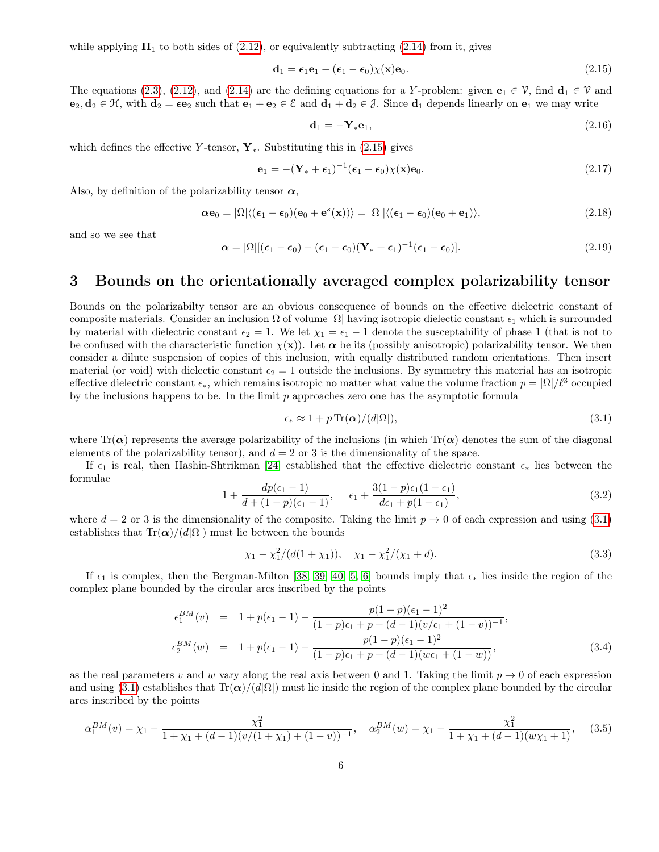while applying  $\Pi_1$  to both sides of [\(2.12\)](#page-4-0), or equivalently subtracting [\(2.14\)](#page-4-1) from it, gives

<span id="page-5-0"></span>
$$
\mathbf{d}_1 = \boldsymbol{\epsilon}_1 \mathbf{e}_1 + (\boldsymbol{\epsilon}_1 - \boldsymbol{\epsilon}_0) \chi(\mathbf{x}) \mathbf{e}_0. \tag{2.15}
$$

The equations [\(2.3\)](#page-3-4), [\(2.12\)](#page-4-0), and [\(2.14\)](#page-4-1) are the defining equations for a Y-problem: given  $\mathbf{e}_1 \in \mathcal{V}$ , find  $\mathbf{d}_1 \in \mathcal{V}$  and  $e_2, d_2 \in \mathcal{H}$ , with  $d_2 = \epsilon e_2$  such that  $e_1 + e_2 \in \mathcal{E}$  and  $d_1 + d_2 \in \mathcal{J}$ . Since  $d_1$  depends linearly on  $e_1$  we may write

$$
\mathbf{d}_1 = -\mathbf{Y}_*\mathbf{e}_1,\tag{2.16}
$$

which defines the effective Y-tensor,  $\mathbf{Y}_{*}$ . Substituting this in [\(2.15\)](#page-5-0) gives

$$
\mathbf{e}_1 = -(\mathbf{Y}_* + \boldsymbol{\epsilon}_1)^{-1} (\boldsymbol{\epsilon}_1 - \boldsymbol{\epsilon}_0) \chi(\mathbf{x}) \mathbf{e}_0.
$$
 (2.17)

Also, by definition of the polarizability tensor  $\alpha$ ,

$$
\alpha \mathbf{e}_0 = |\Omega| \langle (\boldsymbol{\epsilon}_1 - \boldsymbol{\epsilon}_0)(\mathbf{e}_0 + \mathbf{e}^s(\mathbf{x})) \rangle = |\Omega| |\langle (\boldsymbol{\epsilon}_1 - \boldsymbol{\epsilon}_0)(\mathbf{e}_0 + \mathbf{e}_1) \rangle, \tag{2.18}
$$

and so we see that

<span id="page-5-4"></span>
$$
\boldsymbol{\alpha} = |\Omega| [(\boldsymbol{\epsilon}_1 - \boldsymbol{\epsilon}_0) - (\boldsymbol{\epsilon}_1 - \boldsymbol{\epsilon}_0) (\mathbf{Y}_* + \boldsymbol{\epsilon}_1)^{-1} (\boldsymbol{\epsilon}_1 - \boldsymbol{\epsilon}_0)]. \tag{2.19}
$$

#### 3 Bounds on the orientationally averaged complex polarizability tensor

Bounds on the polarizabilty tensor are an obvious consequence of bounds on the effective dielectric constant of composite materials. Consider an inclusion  $\Omega$  of volume  $|\Omega|$  having isotropic dielectic constant  $\epsilon_1$  which is surrounded by material with dielectric constant  $\epsilon_2 = 1$ . We let  $\chi_1 = \epsilon_1 - 1$  denote the susceptability of phase 1 (that is not to be confused with the characteristic function  $\chi(x)$ ). Let  $\alpha$  be its (possibly anisotropic) polarizability tensor. We then consider a dilute suspension of copies of this inclusion, with equally distributed random orientations. Then insert material (or void) with dielectic constant  $\epsilon_2 = 1$  outside the inclusions. By symmetry this material has an isotropic effective dielectric constant  $\epsilon_*$ , which remains isotropic no matter what value the volume fraction  $p = |\Omega|/\ell^3$  occupied by the inclusions happens to be. In the limit  $p$  approaches zero one has the asymptotic formula

<span id="page-5-1"></span>
$$
\epsilon_* \approx 1 + p \operatorname{Tr}(\alpha) / (d|\Omega|),\tag{3.1}
$$

where Tr( $\alpha$ ) represents the average polarizability of the inclusions (in which Tr( $\alpha$ ) denotes the sum of the diagonal elements of the polarizability tensor), and  $d = 2$  or 3 is the dimensionality of the space.

If  $\epsilon_1$  is real, then Hashin-Shtrikman [\[24\]](#page-23-9) established that the effective dielectric constant  $\epsilon_*$  lies between the formulae

$$
1 + \frac{dp(\epsilon_1 - 1)}{d + (1 - p)(\epsilon_1 - 1)}, \quad \epsilon_1 + \frac{3(1 - p)\epsilon_1(1 - \epsilon_1)}{d\epsilon_1 + p(1 - \epsilon_1)},
$$
\n(3.2)

where  $d = 2$  or 3 is the dimensionality of the composite. Taking the limit  $p \to 0$  of each expression and using [\(3.1\)](#page-5-1) establishes that  $\text{Tr}(\boldsymbol{\alpha})/(d|\Omega|)$  must lie between the bounds

<span id="page-5-3"></span>
$$
\chi_1 - \chi_1^2/(d(1+\chi_1)), \quad \chi_1 - \chi_1^2/(\chi_1 + d). \tag{3.3}
$$

If  $\epsilon_1$  is complex, then the Bergman-Milton [\[38,](#page-24-1) [39,](#page-24-0) [40,](#page-25-0) [5,](#page-22-0) [6\]](#page-22-5) bounds imply that  $\epsilon_*$  lies inside the region of the complex plane bounded by the circular arcs inscribed by the points

$$
\epsilon_1^{BM}(v) = 1 + p(\epsilon_1 - 1) - \frac{p(1-p)(\epsilon_1 - 1)^2}{(1-p)\epsilon_1 + p + (d-1)(v/\epsilon_1 + (1-v))^{-1}},
$$
  
\n
$$
\epsilon_2^{BM}(w) = 1 + p(\epsilon_1 - 1) - \frac{p(1-p)(\epsilon_1 - 1)^2}{(1-p)\epsilon_1 + p + (d-1)(w\epsilon_1 + (1-w))},
$$
\n(3.4)

as the real parameters v and w vary along the real axis between 0 and 1. Taking the limit  $p \to 0$  of each expression and using [\(3.1\)](#page-5-1) establishes that  $Tr(\alpha)/(d|\Omega|)$  must lie inside the region of the complex plane bounded by the circular arcs inscribed by the points

<span id="page-5-2"></span>
$$
\alpha_1^{BM}(v) = \chi_1 - \frac{\chi_1^2}{1 + \chi_1 + (d-1)(v/(1+\chi_1) + (1-v))^{-1}}, \quad \alpha_2^{BM}(w) = \chi_1 - \frac{\chi_1^2}{1 + \chi_1 + (d-1)(w\chi_1 + 1)}, \quad (3.5)
$$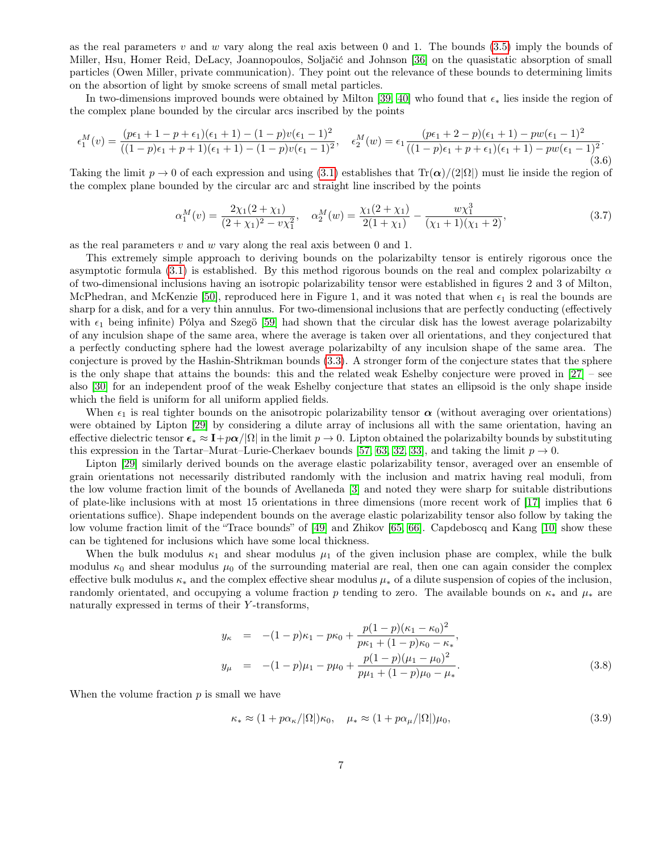as the real parameters v and w vary along the real axis between 0 and 1. The bounds  $(3.5)$  imply the bounds of Miller, Hsu, Homer Reid, DeLacy, Joannopoulos, Soljačić and Johnson [\[36\]](#page-24-3) on the quasistatic absorption of small particles (Owen Miller, private communication). They point out the relevance of these bounds to determining limits on the absortion of light by smoke screens of small metal particles.

In two-dimensions improved bounds were obtained by Milton [\[39,](#page-24-0) [40\]](#page-25-0) who found that  $\epsilon_*$  lies inside the region of the complex plane bounded by the circular arcs inscribed by the points

$$
\epsilon_1^M(v) = \frac{(p\epsilon_1 + 1 - p + \epsilon_1)(\epsilon_1 + 1) - (1 - p)v(\epsilon_1 - 1)^2}{((1 - p)\epsilon_1 + p + 1)(\epsilon_1 + 1) - (1 - p)v(\epsilon_1 - 1)^2}, \quad \epsilon_2^M(w) = \epsilon_1 \frac{(p\epsilon_1 + 2 - p)(\epsilon_1 + 1) - pw(\epsilon_1 - 1)^2}{((1 - p)\epsilon_1 + p + \epsilon_1)(\epsilon_1 + 1) - pw(\epsilon_1 - 1)^2}.
$$
\n(3.6)

Taking the limit  $p \to 0$  of each expression and using [\(3.1\)](#page-5-1) establishes that  $Tr(\alpha)/(2|\Omega|)$  must lie inside the region of the complex plane bounded by the circular arc and straight line inscribed by the points

$$
\alpha_1^M(v) = \frac{2\chi_1(2+\chi_1)}{(2+\chi_1)^2 - v\chi_1^2}, \quad \alpha_2^M(w) = \frac{\chi_1(2+\chi_1)}{2(1+\chi_1)} - \frac{w\chi_1^3}{(\chi_1+1)(\chi_1+2)},\tag{3.7}
$$

as the real parameters  $v$  and  $w$  vary along the real axis between 0 and 1.

This extremely simple approach to deriving bounds on the polarizabilty tensor is entirely rigorous once the asymptotic formula [\(3.1\)](#page-5-1) is established. By this method rigorous bounds on the real and complex polarizabilty  $\alpha$ of two-dimensional inclusions having an isotropic polarizability tensor were established in figures 2 and 3 of Milton, McPhedran, and McKenzie [\[50\]](#page-25-2), reproduced here in Figure 1, and it was noted that when  $\epsilon_1$  is real the bounds are sharp for a disk, and for a very thin annulus. For two-dimensional inclusions that are perfectly conducting (effectively with  $\epsilon_1$  being infinite) Pólya and Szegö [\[59\]](#page-26-1) had shown that the circular disk has the lowest average polarizabilty of any inculsion shape of the same area, where the average is taken over all orientations, and they conjectured that a perfectly conducting sphere had the lowest average polarizabilty of any inculsion shape of the same area. The conjecture is proved by the Hashin-Shtrikman bounds [\(3.3\)](#page-5-3). A stronger form of the conjecture states that the sphere is the only shape that attains the bounds: this and the related weak Eshelby conjecture were proved in [\[27\]](#page-24-7) – see also [\[30\]](#page-24-8) for an independent proof of the weak Eshelby conjecture that states an ellipsoid is the only shape inside which the field is uniform for all uniform applied fields.

When  $\epsilon_1$  is real tighter bounds on the anisotropic polarizability tensor  $\alpha$  (without averaging over orientations) were obtained by Lipton [\[29\]](#page-24-9) by considering a dilute array of inclusions all with the same orientation, having an effective dielectric tensor  $\epsilon_* \approx 1 + p\alpha/\Omega$  in the limit  $p \to 0$ . Lipton obtained the polarizabilty bounds by substituting this expression in the Tartar–Murat–Lurie-Cherkaev bounds [\[57,](#page-26-3) [63,](#page-26-4) [32,](#page-24-10) [33\]](#page-24-11), and taking the limit  $p \to 0$ .

Lipton [\[29\]](#page-24-9) similarly derived bounds on the average elastic polarizability tensor, averaged over an ensemble of grain orientations not necessarily distributed randomly with the inclusion and matrix having real moduli, from the low volume fraction limit of the bounds of Avellaneda [\[3\]](#page-22-6) and noted they were sharp for suitable distributions of plate-like inclusions with at most 15 orientations in three dimensions (more recent work of [\[17\]](#page-23-10) implies that 6 orientations suffice). Shape independent bounds on the average elastic polarizability tensor also follow by taking the low volume fraction limit of the "Trace bounds" of [\[49\]](#page-25-11) and Zhikov [\[65,](#page-26-5) [66\]](#page-26-6). Capdeboscq and Kang [\[10\]](#page-22-7) show these can be tightened for inclusions which have some local thickness.

When the bulk modulus  $\kappa_1$  and shear modulus  $\mu_1$  of the given inclusion phase are complex, while the bulk modulus  $\kappa_0$  and shear modulus  $\mu_0$  of the surrounding material are real, then one can again consider the complex effective bulk modulus  $\kappa_*$  and the complex effective shear modulus  $\mu_*$  of a dilute suspension of copies of the inclusion, randomly orientated, and occupying a volume fraction p tending to zero. The available bounds on  $\kappa_*$  and  $\mu_*$  are naturally expressed in terms of their Y -transforms,

<span id="page-6-0"></span>
$$
y_{\kappa} = -(1-p)\kappa_1 - p\kappa_0 + \frac{p(1-p)(\kappa_1 - \kappa_0)^2}{p\kappa_1 + (1-p)\kappa_0 - \kappa_*},
$$
  
\n
$$
y_{\mu} = -(1-p)\mu_1 - p\mu_0 + \frac{p(1-p)(\mu_1 - \mu_0)^2}{p\mu_1 + (1-p)\mu_0 - \mu_*}.
$$
\n(3.8)

When the volume fraction  $p$  is small we have

$$
\kappa_* \approx (1 + p\alpha_\kappa / |\Omega|) \kappa_0, \quad \mu_* \approx (1 + p\alpha_\mu / |\Omega|) \mu_0,
$$
\n(3.9)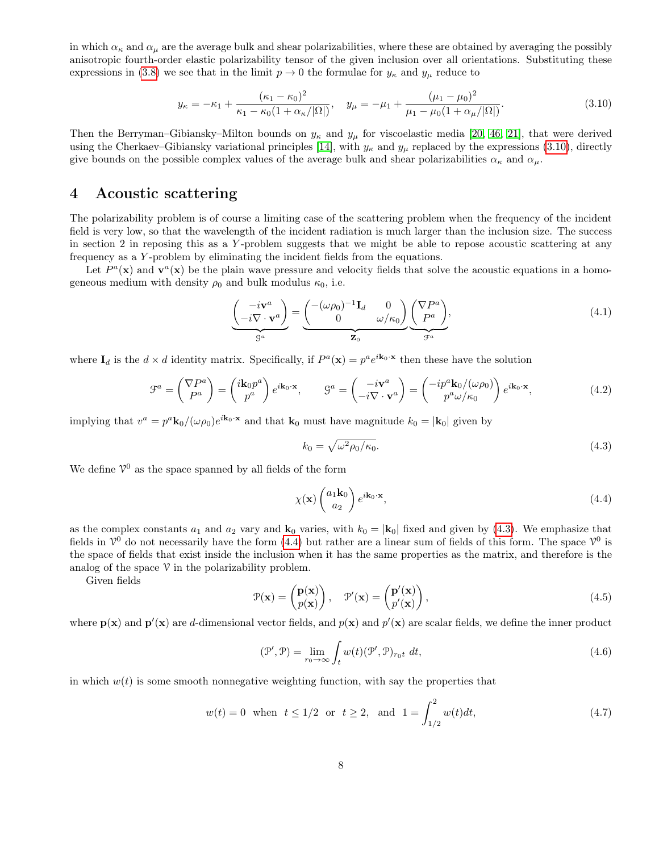in which  $\alpha_{\kappa}$  and  $\alpha_{\mu}$  are the average bulk and shear polarizabilities, where these are obtained by averaging the possibly anisotropic fourth-order elastic polarizability tensor of the given inclusion over all orientations. Substituting these expressions in [\(3.8\)](#page-6-0) we see that in the limit  $p \to 0$  the formulae for  $y_k$  and  $y_k$  reduce to

<span id="page-7-0"></span>
$$
y_{\kappa} = -\kappa_1 + \frac{(\kappa_1 - \kappa_0)^2}{\kappa_1 - \kappa_0 (1 + \alpha_{\kappa}/|\Omega|)}, \quad y_{\mu} = -\mu_1 + \frac{(\mu_1 - \mu_0)^2}{\mu_1 - \mu_0 (1 + \alpha_{\mu}/|\Omega|)}.
$$
(3.10)

Then the Berryman–Gibiansky–Milton bounds on  $y_{\kappa}$  and  $y_{\mu}$  for viscoelastic media [\[20,](#page-23-6) [46,](#page-25-4) [21\]](#page-23-7), that were derived using the Cherkaev–Gibiansky variational principles [\[14\]](#page-23-5), with  $y_{\kappa}$  and  $y_{\mu}$  replaced by the expressions [\(3.10\)](#page-7-0), directly give bounds on the possible complex values of the average bulk and shear polarizabilities  $\alpha_{\kappa}$  and  $\alpha_{\mu}$ .

# 4 Acoustic scattering

The polarizability problem is of course a limiting case of the scattering problem when the frequency of the incident field is very low, so that the wavelength of the incident radiation is much larger than the inclusion size. The success in section 2 in reposing this as a Y -problem suggests that we might be able to repose acoustic scattering at any frequency as a Y -problem by eliminating the incident fields from the equations.

Let  $P^a(\mathbf{x})$  and  $\mathbf{v}^a(\mathbf{x})$  be the plain wave pressure and velocity fields that solve the acoustic equations in a homogeneous medium with density  $\rho_0$  and bulk modulus  $\kappa_0$ , i.e.

<span id="page-7-4"></span>
$$
\underbrace{\begin{pmatrix} -i\mathbf{v}^a \\ -i\nabla \cdot \mathbf{v}^a \end{pmatrix}}_{\mathcal{G}^a} = \underbrace{\begin{pmatrix} -(\omega\rho_0)^{-1}\mathbf{I}_d & 0 \\ 0 & \omega/\kappa_0 \end{pmatrix}}_{\mathbf{Z}_0} \underbrace{\begin{pmatrix} \nabla P^a \\ P^a \end{pmatrix}}_{\mathcal{F}^a},\tag{4.1}
$$

where  $I_d$  is the  $d \times d$  identity matrix. Specifically, if  $P^a(\mathbf{x}) = p^a e^{i\mathbf{k}_0 \cdot \mathbf{x}}$  then these have the solution

$$
\mathcal{F}^a = \begin{pmatrix} \nabla P^a \\ P^a \end{pmatrix} = \begin{pmatrix} i\mathbf{k}_0 p^a \\ p^a \end{pmatrix} e^{i\mathbf{k}_0 \cdot \mathbf{x}}, \qquad \mathcal{G}^a = \begin{pmatrix} -i\mathbf{v}^a \\ -i\nabla \cdot \mathbf{v}^a \end{pmatrix} = \begin{pmatrix} -ip^a \mathbf{k}_0 / (\omega \rho_0) \\ p^a \omega / \kappa_0 \end{pmatrix} e^{i\mathbf{k}_0 \cdot \mathbf{x}}, \tag{4.2}
$$

implying that  $v^a = p^a \mathbf{k}_0/(\omega \rho_0) e^{i \mathbf{k}_0 \cdot \mathbf{x}}$  and that  $\mathbf{k}_0$  must have magnitude  $k_0 = |\mathbf{k}_0|$  given by

<span id="page-7-1"></span>
$$
k_0 = \sqrt{\omega^2 \rho_0 / \kappa_0}.\tag{4.3}
$$

We define  $\mathcal{V}^0$  as the space spanned by all fields of the form

<span id="page-7-2"></span>
$$
\chi(\mathbf{x}) \begin{pmatrix} a_1 \mathbf{k}_0 \\ a_2 \end{pmatrix} e^{i\mathbf{k}_0 \cdot \mathbf{x}},\tag{4.4}
$$

as the complex constants  $a_1$  and  $a_2$  vary and  $\mathbf{k}_0$  varies, with  $k_0 = |\mathbf{k}_0|$  fixed and given by [\(4.3\)](#page-7-1). We emphasize that fields in  $V^0$  do not necessarily have the form [\(4.4\)](#page-7-2) but rather are a linear sum of fields of this form. The space  $V^0$  is the space of fields that exist inside the inclusion when it has the same properties as the matrix, and therefore is the analog of the space  $V$  in the polarizability problem.

Given fields

$$
\mathcal{P}(\mathbf{x}) = \begin{pmatrix} \mathbf{p}(\mathbf{x}) \\ p(\mathbf{x}) \end{pmatrix}, \quad \mathcal{P}'(\mathbf{x}) = \begin{pmatrix} \mathbf{p}'(\mathbf{x}) \\ p'(\mathbf{x}) \end{pmatrix}, \tag{4.5}
$$

where  $p(x)$  and  $p'(x)$  are d-dimensional vector fields, and  $p(x)$  and  $p'(x)$  are scalar fields, we define the inner product

<span id="page-7-3"></span>
$$
(\mathcal{P}', \mathcal{P}) = \lim_{r_0 \to \infty} \int_t w(t) (\mathcal{P}', \mathcal{P})_{r_0 t} dt,
$$
\n(4.6)

in which  $w(t)$  is some smooth nonnegative weighting function, with say the properties that

$$
w(t) = 0
$$
 when  $t \le 1/2$  or  $t \ge 2$ , and  $1 = \int_{1/2}^{2} w(t)dt$ , (4.7)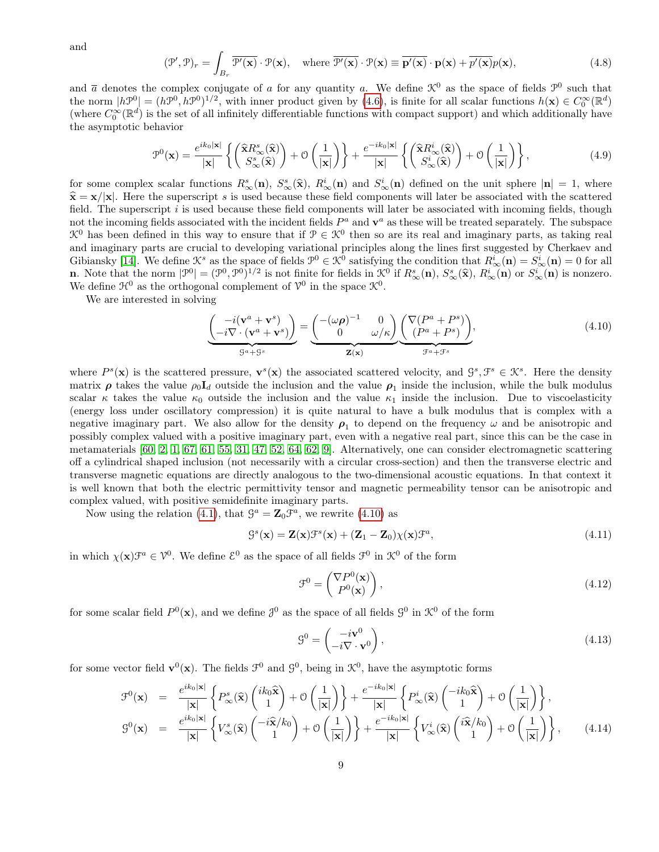and

$$
(\mathcal{P}', \mathcal{P})_r = \int_{B_r} \overline{\mathcal{P}'(\mathbf{x})} \cdot \mathcal{P}(\mathbf{x}), \quad \text{where } \overline{\mathcal{P}'(\mathbf{x})} \cdot \mathcal{P}(\mathbf{x}) \equiv \overline{\mathbf{p}'(\mathbf{x})} \cdot \mathbf{p}(\mathbf{x}) + \overline{p'(\mathbf{x})} p(\mathbf{x}), \tag{4.8}
$$

and  $\bar{a}$  denotes the complex conjugate of a for any quantity a. We define  $\mathcal{K}^0$  as the space of fields  $\mathcal{P}^0$  such that the norm  $|h\mathcal{P}^0| = (h\mathcal{P}^0, h\mathcal{P}^0)^{1/2}$ , with inner product given by [\(4.6\)](#page-7-3), is finite for all scalar functions  $h(\mathbf{x}) \in C_0^{\infty}(\mathbb{R}^d)$ (where  $C_0^{\infty}(\mathbb{R}^d)$  is the set of all infinitely differentiable functions with compact support) and which additionally have the asymptotic behavior

<span id="page-8-4"></span>
$$
\mathcal{P}^{0}(\mathbf{x}) = \frac{e^{ik_{0}|\mathbf{x}|}}{|\mathbf{x}|} \left\{ \begin{pmatrix} \hat{\mathbf{x}} R_{\infty}^{s}(\hat{\mathbf{x}}) \\ S_{\infty}^{s}(\hat{\mathbf{x}}) \end{pmatrix} + \mathcal{O}\left(\frac{1}{|\mathbf{x}|}\right) \right\} + \frac{e^{-ik_{0}|\mathbf{x}|}}{|\mathbf{x}|} \left\{ \begin{pmatrix} \hat{\mathbf{x}} R_{\infty}^{i}(\hat{\mathbf{x}}) \\ S_{\infty}^{i}(\hat{\mathbf{x}}) \end{pmatrix} + \mathcal{O}\left(\frac{1}{|\mathbf{x}|}\right) \right\},
$$
(4.9)

for some complex scalar functions  $R^s_\infty(\mathbf{n})$ ,  $S^s_\infty(\hat{\mathbf{x}})$ ,  $R^i_\infty(\mathbf{n})$  and  $S^i_\infty(\mathbf{n})$  defined on the unit sphere  $|\mathbf{n}| = 1$ , where  $\hat{\mathbf{s}} = \mathbf{x}/|\mathbf{x}|$ . Here the superceptivity as used because these field com  $\hat{\mathbf{x}} = \mathbf{x}/|\mathbf{x}|$ . Here the superscript s is used because these field components will later be associated with the scattered field. The superscript  $i$  is used because these field components will later be associated with incoming fields, though not the incoming fields associated with the incident fields  $P^a$  and  $\mathbf{v}^a$  as these will be treated separately. The subspace  $\mathcal{K}^0$  has been defined in this way to ensure that if  $\mathcal{P} \in \mathcal{K}^0$  then so are its real and imaginary parts, as taking real and imaginary parts are crucial to developing variational principles along the lines first suggested by Cherkaev and Gibiansky [\[14\]](#page-23-5). We define  $\mathcal{K}^s$  as the space of fields  $\mathcal{P}^0 \in \mathcal{K}^0$  satisfying the condition that  $R^i_\infty(\mathbf{n}) = S^i_\infty(\mathbf{n}) = 0$  for all **n**. Note that the norm  $|\mathcal{P}^0| = (\mathcal{P}^0, \mathcal{P}^0)^{1/2}$  is not finite for fields in  $\mathcal{K}^0$  if  $R^s_{\infty}(\mathbf{n})$ ,  $S^s_{\infty}(\hat{\mathbf{x}})$ ,  $R^i_{\infty}(\mathbf{n})$  or  $S^i_{\infty}(\mathbf{n})$  is nonzero.<br>We define  $\mathcal{H}^0$  as the orthogo We define  $\mathfrak{H}^0$  as the orthogonal complement of  $\mathcal{V}^0$  in the space  $\mathcal{K}^0$ .

We are interested in solving

<span id="page-8-0"></span>
$$
\underbrace{\begin{pmatrix} -i(\mathbf{v}^a + \mathbf{v}^s) \\ -i\nabla \cdot (\mathbf{v}^a + \mathbf{v}^s) \end{pmatrix}}_{\mathcal{G}^a + \mathcal{G}^s} = \underbrace{\begin{pmatrix} -(\omega \boldsymbol{\rho})^{-1} & 0 \\ 0 & \omega/\kappa \end{pmatrix}}_{\mathbf{Z}(\mathbf{x})} \underbrace{\begin{pmatrix} \nabla (P^a + P^s) \\ (P^a + P^s) \end{pmatrix}}_{\mathcal{F}^a + \mathcal{F}^s},
$$
\n(4.10)

where  $P^s(\mathbf{x})$  is the scattered pressure,  $\mathbf{v}^s(\mathbf{x})$  the associated scattered velocity, and  $\mathcal{G}^s, \mathcal{F}^s \in \mathcal{K}^s$ . Here the density matrix  $\rho$  takes the value  $\rho_0 I_d$  outside the inclusion and the value  $\rho_1$  inside the inclusion, while the bulk modulus scalar  $\kappa$  takes the value  $\kappa_0$  outside the inclusion and the value  $\kappa_1$  inside the inclusion. Due to viscoelasticity (energy loss under oscillatory compression) it is quite natural to have a bulk modulus that is complex with a negative imaginary part. We also allow for the density  $\rho_1$  to depend on the frequency  $\omega$  and be anisotropic and possibly complex valued with a positive imaginary part, even with a negative real part, since this can be the case in metamaterials [\[60,](#page-26-7) [2,](#page-22-8) [1,](#page-22-9) [67,](#page-26-8) [61,](#page-26-9) [55,](#page-26-10) [31,](#page-24-12) [47,](#page-25-12) [52,](#page-25-13) [64,](#page-26-11) [62,](#page-26-12) [9\]](#page-22-10). Alternatively, one can consider electromagnetic scattering off a cylindrical shaped inclusion (not necessarily with a circular cross-section) and then the transverse electric and transverse magnetic equations are directly analogous to the two-dimensional acoustic equations. In that context it is well known that both the electric permittivity tensor and magnetic permeability tensor can be anisotropic and complex valued, with positive semidefinite imaginary parts.

Now using the relation [\(4.1\)](#page-7-4), that  $\mathcal{G}^a = \mathbb{Z}_0 \mathcal{F}^a$ , we rewrite [\(4.10\)](#page-8-0) as

<span id="page-8-5"></span>
$$
\mathcal{G}^s(\mathbf{x}) = \mathbf{Z}(\mathbf{x})\mathcal{F}^s(\mathbf{x}) + (\mathbf{Z}_1 - \mathbf{Z}_0)\chi(\mathbf{x})\mathcal{F}^a,\tag{4.11}
$$

in which  $\chi(\mathbf{x})\mathcal{F}^a \in \mathcal{V}^0$ . We define  $\mathcal{E}^0$  as the space of all fields  $\mathcal{F}^0$  in  $\mathcal{K}^0$  of the form

<span id="page-8-1"></span>
$$
\mathcal{F}^0 = \begin{pmatrix} \nabla P^0(\mathbf{x}) \\ P^0(\mathbf{x}) \end{pmatrix},\tag{4.12}
$$

for some scalar field  $P^0(\mathbf{x})$ , and we define  $\mathcal{J}^0$  as the space of all fields  $\mathcal{G}^0$  in  $\mathcal{K}^0$  of the form

<span id="page-8-2"></span>
$$
\mathbf{G}^0 = \begin{pmatrix} -i\mathbf{v}^0 \\ -i\nabla \cdot \mathbf{v}^0 \end{pmatrix},\tag{4.13}
$$

for some vector field  $\mathbf{v}^0(\mathbf{x})$ . The fields  $\mathcal{F}^0$  and  $\mathcal{G}^0$ , being in  $\mathcal{K}^0$ , have the asymptotic forms

<span id="page-8-3"></span>
$$
\mathcal{F}^{0}(\mathbf{x}) = \frac{e^{ik_{0}|\mathbf{x}|}}{|\mathbf{x}|} \left\{ P_{\infty}^{s}(\widehat{\mathbf{x}}) \begin{pmatrix} ik_{0}\widehat{\mathbf{x}} \\ 1 \end{pmatrix} + \mathcal{O}\left(\frac{1}{|\mathbf{x}|}\right) \right\} + \frac{e^{-ik_{0}|\mathbf{x}|}}{|\mathbf{x}|} \left\{ P_{\infty}^{i}(\widehat{\mathbf{x}}) \begin{pmatrix} -ik_{0}\widehat{\mathbf{x}} \\ 1 \end{pmatrix} + \mathcal{O}\left(\frac{1}{|\mathbf{x}|}\right) \right\},
$$
  
\n
$$
\mathcal{G}^{0}(\mathbf{x}) = \frac{e^{ik_{0}|\mathbf{x}|}}{|\mathbf{x}|} \left\{ V_{\infty}^{s}(\widehat{\mathbf{x}}) \begin{pmatrix} -i\widehat{\mathbf{x}}/k_{0} \\ 1 \end{pmatrix} + \mathcal{O}\left(\frac{1}{|\mathbf{x}|}\right) \right\} + \frac{e^{-ik_{0}|\mathbf{x}|}}{|\mathbf{x}|} \left\{ V_{\infty}^{i}(\widehat{\mathbf{x}}) \begin{pmatrix} i\widehat{\mathbf{x}}/k_{0} \\ 1 \end{pmatrix} + \mathcal{O}\left(\frac{1}{|\mathbf{x}|}\right) \right\},
$$
\n(4.14)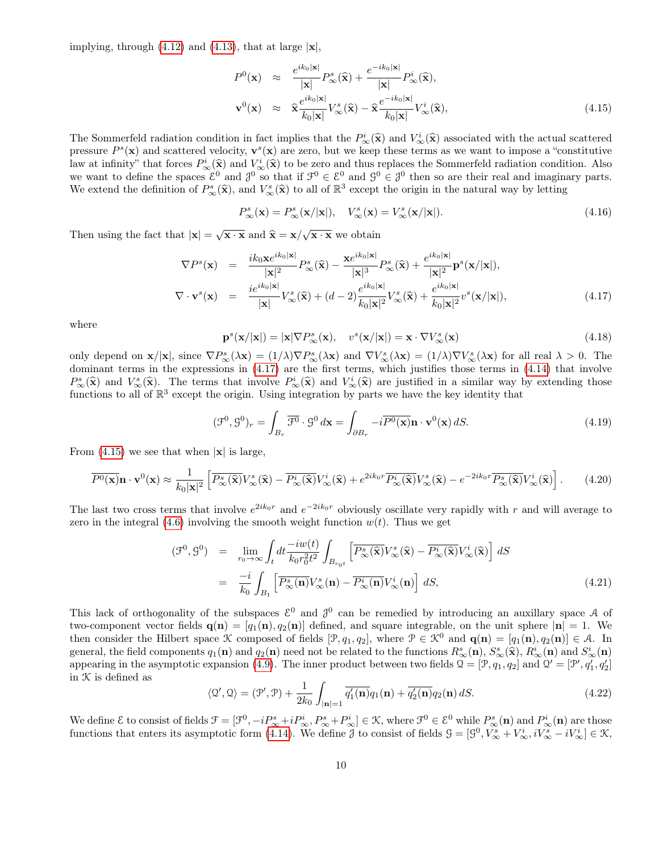implying, through  $(4.12)$  and  $(4.13)$ , that at large  $|x|$ ,

<span id="page-9-1"></span>
$$
P^{0}(\mathbf{x}) \approx \frac{e^{ik_{0}|\mathbf{x}|}}{|\mathbf{x}|} P_{\infty}^{s}(\hat{\mathbf{x}}) + \frac{e^{-ik_{0}|\mathbf{x}|}}{|\mathbf{x}|} P_{\infty}^{i}(\hat{\mathbf{x}}),
$$
  

$$
\mathbf{v}^{0}(\mathbf{x}) \approx \hat{\mathbf{x}} \frac{e^{ik_{0}|\mathbf{x}|}}{k_{0}|\mathbf{x}|} V_{\infty}^{s}(\hat{\mathbf{x}}) - \hat{\mathbf{x}} \frac{e^{-ik_{0}|\mathbf{x}|}}{k_{0}|\mathbf{x}|} V_{\infty}^{i}(\hat{\mathbf{x}}),
$$
(4.15)

The Sommerfeld radiation condition in fact implies that the  $P^i_{\infty}(\hat{\mathbf{x}})$  and  $V^i_{\infty}(\hat{\mathbf{x}})$  associated with the actual scattered<br>pressure  $P^s(\mathbf{x})$  and sectional velocity,  $\mathbf{v}^s(\mathbf{x})$  are zero, but we keep pressure  $P<sup>s</sup>(\mathbf{x})$  and scattered velocity,  $\mathbf{v}^s(\mathbf{x})$  are zero, but we keep these terms as we want to impose a "constitutive" law at infinity" that forces  $P^i_{\infty}(\hat{\mathbf{x}})$  and  $V^i_{\infty}(\hat{\mathbf{x}})$  to be zero and thus replaces the Sommerfeld radiation condition. Also<br>we want to define the spaces  $\mathcal{E}^0$  and  $\mathcal{J}^0$  so that if  $\mathcal{F}^0 \in \mathcal$ We extend the definition of  $P^s_\infty(\hat{\mathbf{x}})$ , and  $V^s_\infty(\hat{\mathbf{x}})$  to all of  $\mathbb{R}^3$  except the origin in the natural way by letting

$$
P_{\infty}^s(\mathbf{x}) = P_{\infty}^s(\mathbf{x}/|\mathbf{x}|), \quad V_{\infty}^s(\mathbf{x}) = V_{\infty}^s(\mathbf{x}/|\mathbf{x}|). \tag{4.16}
$$

Then using the fact that  $|\mathbf{x}| = \sqrt{\mathbf{x} \cdot \mathbf{x}}$  and  $\hat{\mathbf{x}} = \mathbf{x}/\sqrt{\mathbf{x} \cdot \mathbf{x}}$  we obtain

<span id="page-9-0"></span>
$$
\nabla P^{s}(\mathbf{x}) = \frac{ik_{0}\mathbf{x}e^{ik_{0}|\mathbf{x}|}}{|\mathbf{x}|^{2}}P_{\infty}^{s}(\widehat{\mathbf{x}}) - \frac{\mathbf{x}e^{ik_{0}|\mathbf{x}|}}{|\mathbf{x}|^{3}}P_{\infty}^{s}(\widehat{\mathbf{x}}) + \frac{e^{ik_{0}|\mathbf{x}|}}{|\mathbf{x}|^{2}}\mathbf{p}^{s}(\mathbf{x}/|\mathbf{x}|),
$$
  
\n
$$
\nabla \cdot \mathbf{v}^{s}(\mathbf{x}) = \frac{ie^{ik_{0}|\mathbf{x}|}}{|\mathbf{x}|}V_{\infty}^{s}(\widehat{\mathbf{x}}) + (d-2)\frac{e^{ik_{0}|\mathbf{x}|}}{k_{0}|\mathbf{x}|^{2}}V_{\infty}^{s}(\widehat{\mathbf{x}}) + \frac{e^{ik_{0}|\mathbf{x}|}}{k_{0}|\mathbf{x}|^{2}}v^{s}(\mathbf{x}/|\mathbf{x}|),
$$
(4.17)

where

$$
\mathbf{p}^{s}(\mathbf{x}/|\mathbf{x}|) = |\mathbf{x}|\nabla P_{\infty}^{s}(\mathbf{x}), \quad v^{s}(\mathbf{x}/|\mathbf{x}|) = \mathbf{x} \cdot \nabla V_{\infty}^{s}(\mathbf{x})
$$
\n(4.18)

only depend on  $\mathbf{x}/|\mathbf{x}|$ , since  $\nabla P_{\infty}^s(\lambda \mathbf{x}) = (1/\lambda)\nabla P_{\infty}^s(\lambda \mathbf{x})$  and  $\nabla V_{\infty}^s(\lambda \mathbf{x}) = (1/\lambda)\nabla V_{\infty}^s(\lambda \mathbf{x})$  for all real  $\lambda > 0$ . The dominant terms in the expressions in [\(4.17\)](#page-9-0) are the first terms, which justifies those terms in [\(4.14\)](#page-8-3) that involve  $P^s_{\infty}(\hat{\mathbf{x}})$  and  $V^s_{\infty}(\hat{\mathbf{x}})$ . The terms that involve  $P^i_{\infty}(\hat{\mathbf{x}})$  and  $V^i_{\infty}(\hat{\mathbf{x}})$  are justified in a similar way by extending those functions to all of  $\mathbb{R}^3$  except the evicing Using integra functions to all of  $\mathbb{R}^3$  except the origin. Using integration by parts we have the key identity that

<span id="page-9-2"></span>
$$
(\mathcal{F}^0, \mathcal{G}^0)_r = \int_{B_r} \overline{\mathcal{F}^0} \cdot \mathcal{G}^0 d\mathbf{x} = \int_{\partial B_r} -i\overline{P^0(\mathbf{x})} \mathbf{n} \cdot \mathbf{v}^0(\mathbf{x}) dS. \tag{4.19}
$$

From  $(4.15)$  we see that when  $|\mathbf{x}|$  is large,

<span id="page-9-3"></span>
$$
\overline{P^0(\mathbf{x})}\mathbf{n} \cdot \mathbf{v}^0(\mathbf{x}) \approx \frac{1}{k_0 |\mathbf{x}|^2} \left[ \overline{P^s_{\infty}(\hat{\mathbf{x}})} V^s_{\infty}(\hat{\mathbf{x}}) - \overline{P^i_{\infty}(\hat{\mathbf{x}})} V^i_{\infty}(\hat{\mathbf{x}}) + e^{2ik_0 r} \overline{P^i_{\infty}(\hat{\mathbf{x}})} V^s_{\infty}(\hat{\mathbf{x}}) - e^{-2ik_0 r} \overline{P^s_{\infty}(\hat{\mathbf{x}})} V^i_{\infty}(\hat{\mathbf{x}}) \right].
$$
 (4.20)

The last two cross terms that involve  $e^{2ik_0r}$  and  $e^{-2ik_0r}$  obviously oscillate very rapidly with r and will average to zero in the integral [\(4.6\)](#page-7-3) involving the smooth weight function  $w(t)$ . Thus we get

$$
(\mathcal{F}^0, \mathcal{G}^0) = \lim_{r_0 \to \infty} \int_t dt \frac{-iw(t)}{k_0 r_0^2 t^2} \int_{B_{r_0 t}} \left[ \overline{P^s_{\infty}(\hat{\mathbf{x}})} V^s_{\infty}(\hat{\mathbf{x}}) - \overline{P^i_{\infty}(\hat{\mathbf{x}})} V^i_{\infty}(\hat{\mathbf{x}}) \right] dS
$$
  

$$
= \frac{-i}{k_0} \int_{B_1} \left[ \overline{P^s_{\infty}(\mathbf{n})} V^s_{\infty}(\mathbf{n}) - \overline{P^i_{\infty}(\mathbf{n})} V^i_{\infty}(\mathbf{n}) \right] dS,
$$
(4.21)

This lack of orthogonality of the subspaces  $\mathcal{E}^0$  and  $\mathcal{J}^0$  can be remedied by introducing an auxillary space A of two-component vector fields  $\mathbf{q}(\mathbf{n}) = [q_1(\mathbf{n}), q_2(\mathbf{n})]$  defined, and square integrable, on the unit sphere  $|\mathbf{n}| = 1$ . We then consider the Hilbert space K composed of fields  $[\mathcal{P}, q_1, q_2]$ , where  $\mathcal{P} \in \mathcal{K}^0$  and  $\mathbf{q}(\mathbf{n}) = [q_1(\mathbf{n}), q_2(\mathbf{n})] \in \mathcal{A}$ . In general, the field components  $q_1(\mathbf{n})$  and  $q_2(\mathbf{n})$  need not be related to the functions  $R^s_{\infty}(\mathbf{n})$ ,  $S^s_{\infty}(\widehat{\mathbf{x}})$ ,  $R^i_{\infty}(\mathbf{n})$  and  $S^i_{\infty}(\mathbf{n})$ appearing in the asymptotic expansion [\(4.9\)](#page-8-4). The inner product between two fields  $\mathcal{Q} = [\mathcal{P}, q_1, q_2]$  and  $\mathcal{Q}' = [\mathcal{P}', q'_1, q'_2]$ in K is defined as

$$
\langle \mathcal{Q}', \mathcal{Q} \rangle = (\mathcal{P}', \mathcal{P}) + \frac{1}{2k_0} \int_{|\mathbf{n}|=1} \overline{q'_1(\mathbf{n})} q_1(\mathbf{n}) + \overline{q'_2(\mathbf{n})} q_2(\mathbf{n}) \, dS. \tag{4.22}
$$

We define  $\mathcal{E}$  to consist of fields  $\mathcal{F} = [\mathcal{F}^0, -iP^s_{\infty}+iP^i_{\infty}, P^s_{\infty}+P^i_{\infty}] \in \mathcal{K}$ , where  $\mathcal{F}^0 \in \mathcal{E}^0$  while  $P^s_{\infty}(\mathbf{n})$  and  $P^i_{\infty}(\mathbf{n})$  are those functions that enters its asymptotic form [\(4.14\)](#page-8-3). We define  $\beta$  to consist of fields  $\mathcal{G} = [\mathcal{G}^0, V^s_{\infty} + V^i_{\infty}, iV^s_{\infty} - iV^i_{\infty}] \in \mathcal{K}$ ,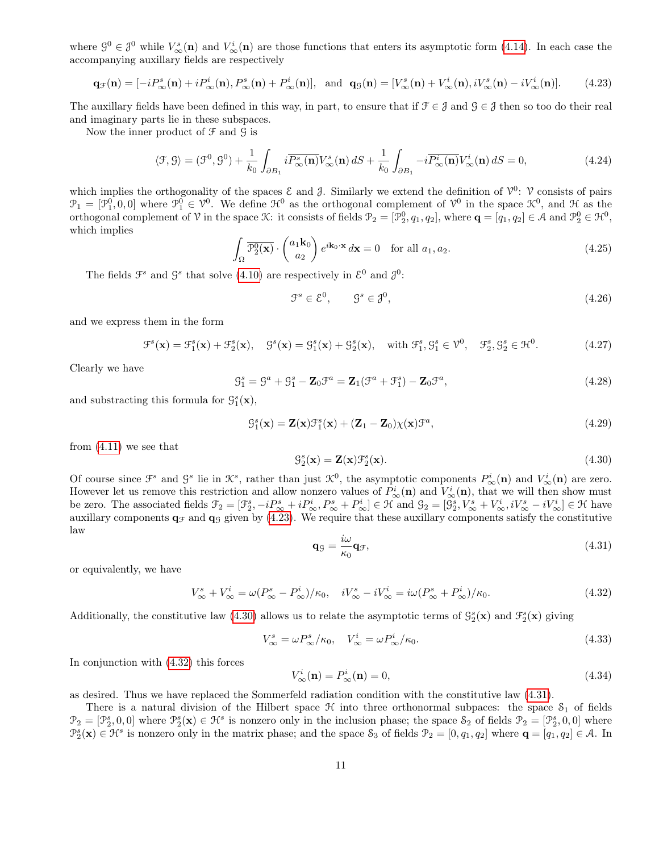where  $\mathcal{G}^0 \in \mathcal{J}^0$  while  $V^s_{\infty}(\mathbf{n})$  and  $V^i_{\infty}(\mathbf{n})$  are those functions that enters its asymptotic form [\(4.14\)](#page-8-3). In each case the accompanying auxillary fields are respectively

<span id="page-10-0"></span>
$$
\mathbf{q}_{\mathcal{F}}(\mathbf{n}) = [-iP_{\infty}^s(\mathbf{n}) + iP_{\infty}^i(\mathbf{n}), P_{\infty}^s(\mathbf{n}) + P_{\infty}^i(\mathbf{n})], \text{ and } \mathbf{q}_{\mathcal{G}}(\mathbf{n}) = [V_{\infty}^s(\mathbf{n}) + V_{\infty}^i(\mathbf{n}), iV_{\infty}^s(\mathbf{n}) - iV_{\infty}^i(\mathbf{n})]. \tag{4.23}
$$

The auxillary fields have been defined in this way, in part, to ensure that if  $\mathcal{F} \in \mathcal{J}$  and  $\mathcal{G} \in \mathcal{J}$  then so too do their real and imaginary parts lie in these subspaces.

Now the inner product of  $\mathcal F$  and  $\mathcal G$  is

$$
\langle \mathcal{F}, \mathcal{G} \rangle = (\mathcal{F}^0, \mathcal{G}^0) + \frac{1}{k_0} \int_{\partial B_1} i \overline{P^s_{\infty}(\mathbf{n})} V^s_{\infty}(\mathbf{n}) dS + \frac{1}{k_0} \int_{\partial B_1} -i \overline{P^i_{\infty}(\mathbf{n})} V^i_{\infty}(\mathbf{n}) dS = 0, \tag{4.24}
$$

which implies the orthogonality of the spaces  $\mathcal E$  and  $\mathcal J$ . Similarly we extend the definition of  $\mathcal V^0$ :  $\mathcal V$  consists of pairs  $\mathcal{P}_1 = [\mathcal{P}_1^0, 0, 0]$  where  $\mathcal{P}_1^0 \in \mathcal{V}^0$ . We define  $\mathcal{H}^0$  as the orthogonal complement of  $\mathcal{V}^0$  in the space  $\mathcal{K}^0$ , and  $\mathcal{H}$  as the orthogonal complement of V in the space K: it consists of fields  $\mathcal{P}_2 = [\mathcal{P}_2^0, q_1, q_2]$ , where  $\mathbf{q} = [q_1, q_2] \in \mathcal{A}$  and  $\mathcal{P}_2^0 \in \mathcal{H}^0$ , which implies

$$
\int_{\Omega} \overline{\mathcal{P}_2^0(\mathbf{x})} \cdot \begin{pmatrix} a_1 \mathbf{k}_0 \\ a_2 \end{pmatrix} e^{i\mathbf{k}_0 \cdot \mathbf{x}} d\mathbf{x} = 0 \quad \text{for all } a_1, a_2.
$$
\n(4.25)

The fields  $\mathcal{F}^s$  and  $\mathcal{G}^s$  that solve [\(4.10\)](#page-8-0) are respectively in  $\mathcal{E}^0$  and  $\mathcal{J}^0$ :

<span id="page-10-4"></span>
$$
\mathcal{F}^s \in \mathcal{E}^0, \qquad \mathcal{G}^s \in \mathcal{J}^0,\tag{4.26}
$$

and we express them in the form

<span id="page-10-5"></span>
$$
\mathcal{F}^s(\mathbf{x}) = \mathcal{F}_1^s(\mathbf{x}) + \mathcal{F}_2^s(\mathbf{x}), \quad \mathcal{G}^s(\mathbf{x}) = \mathcal{G}_1^s(\mathbf{x}) + \mathcal{G}_2^s(\mathbf{x}), \quad \text{with } \mathcal{F}_1^s, \mathcal{G}_1^s \in \mathcal{V}^0, \quad \mathcal{F}_2^s, \mathcal{G}_2^s \in \mathcal{H}^0. \tag{4.27}
$$

Clearly we have

$$
\mathcal{G}_1^s = \mathcal{G}^a + \mathcal{G}_1^s - \mathbf{Z}_0 \mathcal{F}^a = \mathbf{Z}_1 (\mathcal{F}^a + \mathcal{F}_1^s) - \mathbf{Z}_0 \mathcal{F}^a, \tag{4.28}
$$

and substracting this formula for  $\mathcal{G}_1^s(\mathbf{x}),$ 

<span id="page-10-6"></span>
$$
\mathcal{G}_1^s(\mathbf{x}) = \mathbf{Z}(\mathbf{x})\mathcal{F}_1^s(\mathbf{x}) + (\mathbf{Z}_1 - \mathbf{Z}_0)\chi(\mathbf{x})\mathcal{F}^a,\tag{4.29}
$$

from [\(4.11\)](#page-8-5) we see that

<span id="page-10-1"></span>
$$
\mathcal{G}_2^s(\mathbf{x}) = \mathbf{Z}(\mathbf{x}) \mathcal{F}_2^s(\mathbf{x}).\tag{4.30}
$$

Of course since  $\mathcal{F}^s$  and  $\mathcal{G}^s$  lie in  $\mathcal{K}^s$ , rather than just  $\mathcal{K}^0$ , the asymptotic components  $P^i_{\infty}(\mathbf{n})$  and  $V^i_{\infty}(\mathbf{n})$  are zero. However let us remove this restriction and allow nonzero values of  $P^i_\infty(\mathbf{n})$  and  $V^i_\infty(\mathbf{n})$ , that we will then show must be zero. The associated fields  $\mathcal{F}_2 = [\mathcal{F}_2^s, -iP_\infty^s + iP_\infty^i, P_\infty^s + P_\infty^i] \in \mathcal{H}$  and  $\mathcal{G}_2 = [\mathcal{G}_2^s, V_\infty^s + V_\infty^i, iV_\infty^s - iV_\infty^i] \in \mathcal{H}$  have auxillary components  $q_f$  and  $q_g$  given by [\(4.23\)](#page-10-0). We require that these auxillary components satisfy the constitutive law

<span id="page-10-3"></span>
$$
\mathbf{q}_\mathcal{G} = \frac{i\omega}{\kappa_0} \mathbf{q}_\mathcal{F},\tag{4.31}
$$

or equivalently, we have

<span id="page-10-2"></span>
$$
V_{\infty}^s + V_{\infty}^i = \omega (P_{\infty}^s - P_{\infty}^i) / \kappa_0, \quad iV_{\infty}^s - iV_{\infty}^i = i\omega (P_{\infty}^s + P_{\infty}^i) / \kappa_0.
$$
\n
$$
(4.32)
$$

Additionally, the constitutive law [\(4.30\)](#page-10-1) allows us to relate the asymptotic terms of  $\mathcal{G}_2^s(\mathbf{x})$  and  $\mathcal{F}_2^s(\mathbf{x})$  giving

$$
V_{\infty}^{s} = \omega P_{\infty}^{s} / \kappa_0, \quad V_{\infty}^{i} = \omega P_{\infty}^{i} / \kappa_0.
$$
\n(4.33)

In conjunction with [\(4.32\)](#page-10-2) this forces

$$
V^i_{\infty}(\mathbf{n}) = P^i_{\infty}(\mathbf{n}) = 0,\tag{4.34}
$$

as desired. Thus we have replaced the Sommerfeld radiation condition with the constitutive law [\(4.31\)](#page-10-3).

There is a natural division of the Hilbert space  $\mathcal H$  into three orthonormal subpaces: the space  $S_1$  of fields  $\mathcal{P}_2 = [\mathcal{P}_2^s, 0, 0]$  where  $\mathcal{P}_2^s(\mathbf{x}) \in \mathcal{H}^s$  is nonzero only in the inclusion phase; the space  $\mathcal{S}_2$  of fields  $\mathcal{P}_2 = [\mathcal{P}_2^s, 0, 0]$  where  $\mathcal{P}_2^s(\mathbf{x}) \in \mathcal{H}^s$  is nonzero only in the matrix phase; and the space  $\mathcal{S}_3$  of fields  $\mathcal{P}_2 = [0, q_1, q_2]$  where  $\mathbf{q} = [q_1, q_2] \in \mathcal{A}$ . In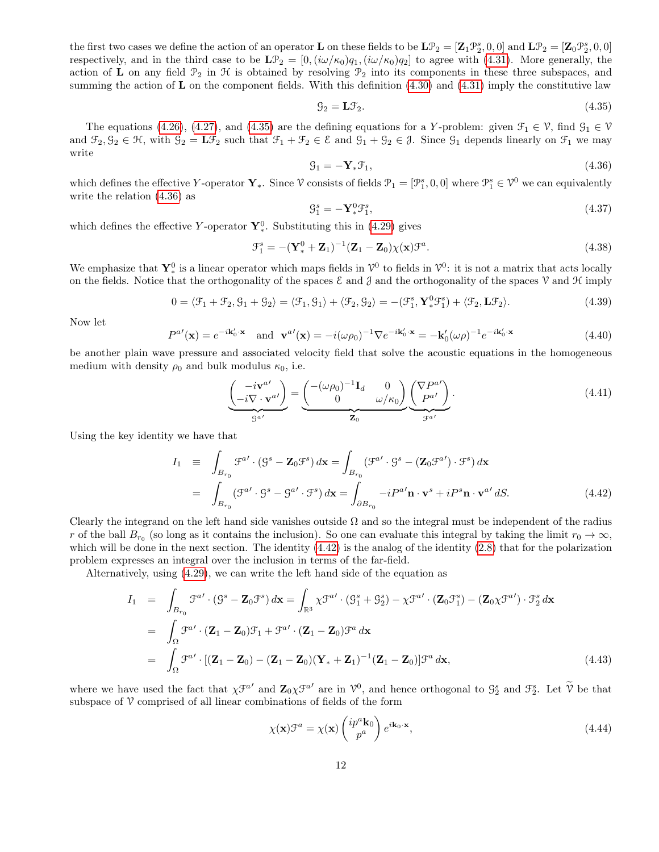the first two cases we define the action of an operator **L** on these fields to be  $\mathbf{L} \mathcal{P}_2 = [\mathbf{Z}_1 \mathcal{P}_2^s, 0, 0]$  and  $\mathbf{L} \mathcal{P}_2 = [\mathbf{Z}_0 \mathcal{P}_2^s, 0, 0]$ respectively, and in the third case to be  $\mathbf{L}\mathcal{P}_2 = [0,(i\omega/\kappa_0)q_1,(i\omega/\kappa_0)q_2]$  to agree with [\(4.31\)](#page-10-3). More generally, the action of L on any field  $\mathcal{P}_2$  in  $\mathcal H$  is obtained by resolving  $\mathcal{P}_2$  into its components in these three subspaces, and summing the action of  $\bf{L}$  on the component fields. With this definition  $(4.30)$  and  $(4.31)$  imply the constitutive law

<span id="page-11-0"></span>
$$
\mathcal{G}_2 = \mathbf{L}\mathcal{F}_2. \tag{4.35}
$$

The equations [\(4.26\)](#page-10-4), [\(4.27\)](#page-10-5), and [\(4.35\)](#page-11-0) are the defining equations for a Y-problem: given  $\mathcal{F}_1 \in \mathcal{V}$ , find  $\mathcal{G}_1 \in \mathcal{V}$ and  $\mathcal{F}_2, \mathcal{G}_2 \in \mathcal{H}$ , with  $\mathcal{G}_2 = \mathbf{L} \mathcal{F}_2$  such that  $\mathcal{F}_1 + \mathcal{F}_2 \in \mathcal{E}$  and  $\mathcal{G}_1 + \mathcal{G}_2 \in \mathcal{J}$ . Since  $\mathcal{G}_1$  depends linearly on  $\mathcal{F}_1$  we may write

<span id="page-11-1"></span>
$$
\mathcal{G}_1 = -\mathbf{Y}_*\mathcal{F}_1,\tag{4.36}
$$

which defines the effective Y-operator  $\mathbf{Y}_{*}$ . Since  $\mathcal{V}$  consists of fields  $\mathcal{P}_1 = [\mathcal{P}_1^s, 0, 0]$  where  $\mathcal{P}_1^s \in \mathcal{V}^0$  we can equivalently write the relation [\(4.36\)](#page-11-1) as

<span id="page-11-4"></span>
$$
\mathcal{G}_1^s = -\mathbf{Y}_*^0 \mathcal{F}_1^s,\tag{4.37}
$$

which defines the effective Y-operator  $\mathbf{Y}_{*}^{0}$ . Substituting this in [\(4.29\)](#page-10-6) gives

$$
\mathcal{F}_1^s = -(\mathbf{Y}_*^0 + \mathbf{Z}_1)^{-1}(\mathbf{Z}_1 - \mathbf{Z}_0)\chi(\mathbf{x})\mathcal{F}^a.
$$
\n(4.38)

We emphasize that  $Y^0_*$  is a linear operator which maps fields in  $\mathcal{V}^0$  to fields in  $\mathcal{V}^0$ : it is not a matrix that acts locally on the fields. Notice that the orthogonality of the spaces  $\mathcal E$  and  $\mathcal J$  and the orthogonality of the spaces  $\mathcal V$  and  $\mathcal H$  imply

<span id="page-11-5"></span>
$$
0 = \langle \mathcal{F}_1 + \mathcal{F}_2, \mathcal{G}_1 + \mathcal{G}_2 \rangle = \langle \mathcal{F}_1, \mathcal{G}_1 \rangle + \langle \mathcal{F}_2, \mathcal{G}_2 \rangle = -(\mathcal{F}_1^s, \mathbf{Y}_*^0 \mathcal{F}_1^s) + \langle \mathcal{F}_2, \mathbf{L} \mathcal{F}_2 \rangle.
$$
 (4.39)

Now let

<span id="page-11-3"></span>
$$
P^{a'}(\mathbf{x}) = e^{-i\mathbf{k}'_0 \cdot \mathbf{x}} \quad \text{and} \quad \mathbf{v}^{a'}(\mathbf{x}) = -i(\omega \rho_0)^{-1} \nabla e^{-i\mathbf{k}'_0 \cdot \mathbf{x}} = -\mathbf{k}'_0(\omega \rho)^{-1} e^{-i\mathbf{k}'_0 \cdot \mathbf{x}} \tag{4.40}
$$

be another plain wave pressure and associated velocity field that solve the acoustic equations in the homogeneous medium with density  $\rho_0$  and bulk modulus  $\kappa_0$ , i.e.

$$
\underbrace{\left(-i\nabla \cdot \mathbf{v}^{a'}\right)}_{\mathcal{G}^{a'}} = \underbrace{\left(-(\omega \rho_0)^{-1} \mathbf{I}_d \quad 0}_{\mathbf{Z}_0} \quad \omega/\kappa_0\right)}_{\mathbf{Z}_0} \underbrace{\left(\nabla P^{a'}\right)}_{\mathcal{F}^{a'}}.
$$
\n(4.41)

Using the key identity we have that

<span id="page-11-2"></span>
$$
I_1 \equiv \int_{B_{r_0}} \mathcal{F}^{a'} \cdot (\mathcal{G}^s - \mathbf{Z}_0 \mathcal{F}^s) d\mathbf{x} = \int_{B_{r_0}} (\mathcal{F}^{a'} \cdot \mathcal{G}^s - (\mathbf{Z}_0 \mathcal{F}^{a'}) \cdot \mathcal{F}^s) d\mathbf{x}
$$
  

$$
= \int_{B_{r_0}} (\mathcal{F}^{a'} \cdot \mathcal{G}^s - \mathcal{G}^{a'} \cdot \mathcal{F}^s) d\mathbf{x} = \int_{\partial B_{r_0}} -i P^{a'} \mathbf{n} \cdot \mathbf{v}^s + i P^s \mathbf{n} \cdot \mathbf{v}^{a'} dS. \tag{4.42}
$$

Clearly the integrand on the left hand side vanishes outside  $\Omega$  and so the integral must be independent of the radius r of the ball  $B_{r_0}$  (so long as it contains the inclusion). So one can evaluate this integral by taking the limit  $r_0 \to \infty$ , which will be done in the next section. The identity  $(4.42)$  is the analog of the identity  $(2.8)$  that for the polarization problem expresses an integral over the inclusion in terms of the far-field.

Alternatively, using [\(4.29\)](#page-10-6), we can write the left hand side of the equation as

$$
I_1 = \int_{B_{r_0}} \mathcal{F}^{a'} \cdot (\mathcal{G}^s - \mathbf{Z}_0 \mathcal{F}^s) d\mathbf{x} = \int_{\mathbb{R}^3} \chi \mathcal{F}^{a'} \cdot (\mathcal{G}_1^s + \mathcal{G}_2^s) - \chi \mathcal{F}^{a'} \cdot (\mathbf{Z}_0 \mathcal{F}_1^s) - (\mathbf{Z}_0 \chi \mathcal{F}^{a'}) \cdot \mathcal{F}_2^s d\mathbf{x}
$$
  
\n
$$
= \int_{\Omega} \mathcal{F}^{a'} \cdot (\mathbf{Z}_1 - \mathbf{Z}_0) \mathcal{F}_1 + \mathcal{F}^{a'} \cdot (\mathbf{Z}_1 - \mathbf{Z}_0) \mathcal{F}^a d\mathbf{x}
$$
  
\n
$$
= \int_{\Omega} \mathcal{F}^{a'} \cdot [(\mathbf{Z}_1 - \mathbf{Z}_0) - (\mathbf{Z}_1 - \mathbf{Z}_0) (\mathbf{Y}_* + \mathbf{Z}_1)^{-1} (\mathbf{Z}_1 - \mathbf{Z}_0)] \mathcal{F}^a d\mathbf{x}, \qquad (4.43)
$$

where we have used the fact that  $\chi \mathcal{F}^{a'}$  and  $\mathbf{Z}_0 \chi \mathcal{F}^{a'}$  are in  $\mathcal{V}^0$ , and hence orthogonal to  $\mathcal{G}_2^s$  and  $\mathcal{F}_2^s$ . Let  $\widetilde{\mathcal{V}}$  be that subspace of  $\mathcal V$  comprised of all linear combinations of fields of the form

$$
\chi(\mathbf{x})\mathcal{F}^a = \chi(\mathbf{x}) \begin{pmatrix} ip^a \mathbf{k}_0 \\ p^a \end{pmatrix} e^{i\mathbf{k}_0 \cdot \mathbf{x}},\tag{4.44}
$$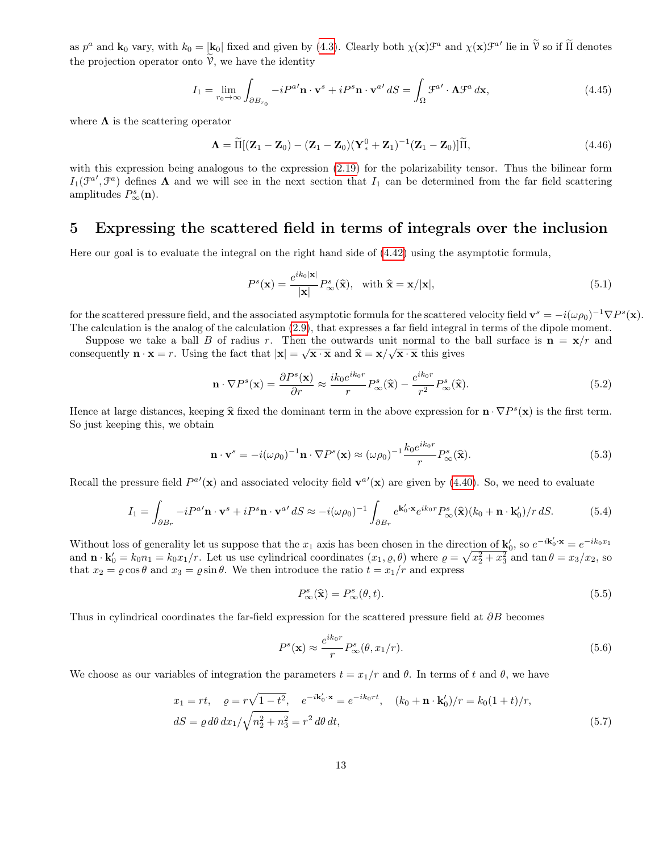as  $p^a$  and  $\mathbf{k}_0$  vary, with  $k_0 = |\mathbf{k}_0|$  fixed and given by [\(4.3\)](#page-7-1). Clearly both  $\chi(\mathbf{x})\mathcal{F}^a$  and  $\chi(\mathbf{x})\mathcal{F}^{a'}$  lie in  $\widetilde{V}$  so if  $\widetilde{\Pi}$  denotes the projection operator onto  $\hat{V}$ , we have the identity

$$
I_1 = \lim_{r_0 \to \infty} \int_{\partial B_{r_0}} -iP^{a'} \mathbf{n} \cdot \mathbf{v}^s + iP^s \mathbf{n} \cdot \mathbf{v}^{a'} dS = \int_{\Omega} \mathcal{F}^{a'} \cdot \mathbf{\Lambda} \mathcal{F}^a d\mathbf{x},\tag{4.45}
$$

where  $\Lambda$  is the scattering operator

$$
\mathbf{\Lambda} = \widetilde{\Pi}[(\mathbf{Z}_1 - \mathbf{Z}_0) - (\mathbf{Z}_1 - \mathbf{Z}_0)(\mathbf{Y}_*^0 + \mathbf{Z}_1)^{-1}(\mathbf{Z}_1 - \mathbf{Z}_0)]\widetilde{\Pi},
$$
\n(4.46)

with this expression being analogous to the expression  $(2.19)$  for the polarizability tensor. Thus the bilinear form  $I_1(\mathcal{F}^{a'}, \mathcal{F}^{a})$  defines  $\Lambda$  and we will see in the next section that  $I_1$  can be determined from the far field scattering amplitudes  $P^s_\infty(\mathbf{n})$ .

### <span id="page-12-1"></span>5 Expressing the scattered field in terms of integrals over the inclusion

Here our goal is to evaluate the integral on the right hand side of [\(4.42\)](#page-11-2) using the asymptotic formula,

$$
P^{s}(\mathbf{x}) = \frac{e^{ik_0|\mathbf{x}|}}{|\mathbf{x}|} P_{\infty}^{s}(\hat{\mathbf{x}}), \text{ with } \hat{\mathbf{x}} = \mathbf{x}/|\mathbf{x}|,
$$
\n(5.1)

for the scattered pressure field, and the associated asymptotic formula for the scattered velocity field  $\mathbf{v}^s = -i(\omega \rho_0)^{-1} \nabla P^s(\mathbf{x})$ . The calculation is the analog of the calculation [\(2.9\)](#page-4-3), that expresses a far field integral in terms of the dipole moment.

Suppose we take a ball B of radius r. Then the outwards unit normal to the ball surface is  $\mathbf{n} = \mathbf{x}/r$  and consequently  $\mathbf{n} \cdot \mathbf{x} = r$ . Using the fact that  $|\mathbf{x}| = \sqrt{\mathbf{x} \cdot \mathbf{x}}$  and  $\hat{\mathbf{x}} = \mathbf{x}/\sqrt{\mathbf{x} \cdot \mathbf{x}}$  this gives

$$
\mathbf{n} \cdot \nabla P^s(\mathbf{x}) = \frac{\partial P^s(\mathbf{x})}{\partial r} \approx \frac{ik_0 e^{ik_0 r}}{r} P^s_{\infty}(\hat{\mathbf{x}}) - \frac{e^{ik_0 r}}{r^2} P^s_{\infty}(\hat{\mathbf{x}}).
$$
(5.2)

Hence at large distances, keeping  $\hat{\mathbf{x}}$  fixed the dominant term in the above expression for  $\mathbf{n} \cdot \nabla P^s(\mathbf{x})$  is the first term.<br>So just keeping this we obtain So just keeping this, we obtain

$$
\mathbf{n} \cdot \mathbf{v}^s = -i(\omega \rho_0)^{-1} \mathbf{n} \cdot \nabla P^s(\mathbf{x}) \approx (\omega \rho_0)^{-1} \frac{k_0 e^{ik_0 r}}{r} P^s_{\infty}(\hat{\mathbf{x}}).
$$
 (5.3)

Recall the pressure field  $P^{a'}(\mathbf{x})$  and associated velocity field  $\mathbf{v}^{a'}(\mathbf{x})$  are given by [\(4.40\)](#page-11-3). So, we need to evaluate

$$
I_1 = \int_{\partial B_r} -iP^{a'} \mathbf{n} \cdot \mathbf{v}^s + iP^s \mathbf{n} \cdot \mathbf{v}^{a'} dS \approx -i(\omega \rho_0)^{-1} \int_{\partial B_r} e^{\mathbf{k}'_0 \cdot \mathbf{x}} e^{ik_0 r} P^s_\infty(\hat{\mathbf{x}})(k_0 + \mathbf{n} \cdot \mathbf{k}'_0)/r dS. \tag{5.4}
$$

Without loss of generality let us suppose that the  $x_1$  axis has been chosen in the direction of  $\mathbf{k}'_0$ , so  $e^{-i\mathbf{k}'_0 \cdot \mathbf{x}} = e^{-ik_0x_1}$ and  $\mathbf{n} \cdot \mathbf{k}'_0 = k_0 n_1 = k_0 x_1/r$ . Let us use cylindrical coordinates  $(x_1, \varrho, \theta)$  where  $\varrho = \sqrt{x_2^2 + x_3^2}$  and  $\tan \theta = x_3/x_2$ , so that  $x_2 = \rho \cos \theta$  and  $x_3 = \rho \sin \theta$ . We then introduce the ratio  $t = x_1/r$  and express

$$
P_{\infty}^{s}(\hat{\mathbf{x}}) = P_{\infty}^{s}(\theta, t). \tag{5.5}
$$

Thus in cylindrical coordinates the far-field expression for the scattered pressure field at ∂B becomes

<span id="page-12-0"></span>
$$
P^s(\mathbf{x}) \approx \frac{e^{ik_0r}}{r} P^s_\infty(\theta, x_1/r). \tag{5.6}
$$

We choose as our variables of integration the parameters  $t = x_1/r$  and  $\theta$ . In terms of t and  $\theta$ , we have

$$
x_1 = rt, \quad \rho = r\sqrt{1 - t^2}, \quad e^{-i\mathbf{k}'_0 \cdot \mathbf{x}} = e^{-ik_0rt}, \quad (k_0 + \mathbf{n} \cdot \mathbf{k}'_0)/r = k_0(1 + t)/r,
$$
  
\n
$$
dS = \rho \, d\theta \, dx_1/\sqrt{n_2^2 + n_3^2} = r^2 \, d\theta \, dt,
$$
\n(5.7)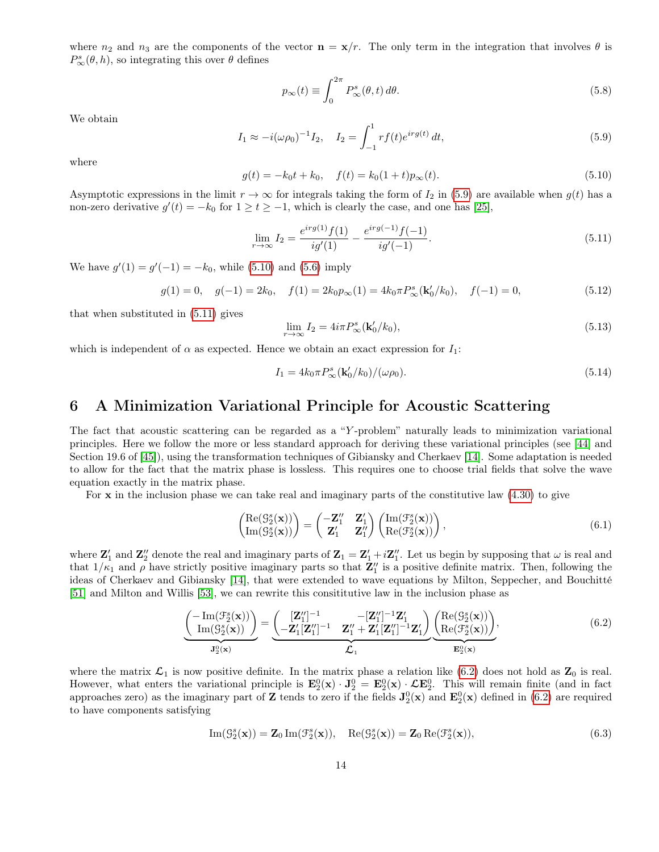where  $n_2$  and  $n_3$  are the components of the vector  $\mathbf{n} = \mathbf{x}/r$ . The only term in the integration that involves  $\theta$  is  $P_{\infty}^{s}(\theta, h)$ , so integrating this over  $\theta$  defines

<span id="page-13-7"></span>
$$
p_{\infty}(t) \equiv \int_0^{2\pi} P_{\infty}^s(\theta, t) d\theta.
$$
 (5.8)

We obtain

<span id="page-13-0"></span>
$$
I_1 \approx -i(\omega \rho_0)^{-1} I_2, \quad I_2 = \int_{-1}^1 r f(t) e^{i r g(t)} dt,
$$
\n(5.9)

where

<span id="page-13-1"></span>
$$
g(t) = -k_0 t + k_0, \quad f(t) = k_0 (1+t) p_{\infty}(t).
$$
\n(5.10)

Asymptotic expressions in the limit  $r \to \infty$  for integrals taking the form of  $I_2$  in [\(5.9\)](#page-13-0) are available when  $g(t)$  has a non-zero derivative  $g'(t) = -k_0$  for  $1 \ge t \ge -1$ , which is clearly the case, and one has [\[25\]](#page-23-11),

<span id="page-13-2"></span>
$$
\lim_{r \to \infty} I_2 = \frac{e^{irg(1)}f(1)}{ig'(1)} - \frac{e^{irg(-1)}f(-1)}{ig'(-1)}.
$$
\n(5.11)

We have  $g'(1) = g'(-1) = -k_0$ , while [\(5.10\)](#page-13-1) and [\(5.6\)](#page-12-0) imply

$$
g(1) = 0, \quad g(-1) = 2k_0, \quad f(1) = 2k_0 p_\infty(1) = 4k_0 \pi P_\infty^s(\mathbf{k}'_0 / k_0), \quad f(-1) = 0,\tag{5.12}
$$

that when substituted in [\(5.11\)](#page-13-2) gives

$$
\lim_{r \to \infty} I_2 = 4i\pi P_{\infty}^s(\mathbf{k}'_0/k_0),\tag{5.13}
$$

which is independent of  $\alpha$  as expected. Hence we obtain an exact expression for  $I_1$ :

$$
I_1 = 4k_0 \pi P_{\infty}^s(\mathbf{k}'_0/k_0)/(\omega \rho_0). \tag{5.14}
$$

### <span id="page-13-6"></span>6 A Minimization Variational Principle for Acoustic Scattering

The fact that acoustic scattering can be regarded as a "Y -problem" naturally leads to minimization variational principles. Here we follow the more or less standard approach for deriving these variational principles (see [\[44\]](#page-25-10) and Section 19.6 of [\[45\]](#page-25-3)), using the transformation techniques of Gibiansky and Cherkaev [\[14\]](#page-23-5). Some adaptation is needed to allow for the fact that the matrix phase is lossless. This requires one to choose trial fields that solve the wave equation exactly in the matrix phase.

For  $x$  in the inclusion phase we can take real and imaginary parts of the constitutive law  $(4.30)$  to give

<span id="page-13-5"></span>
$$
\begin{pmatrix}\n\text{Re}(\mathcal{G}_2^s(\mathbf{x})) \\
\text{Im}(\mathcal{G}_2^s(\mathbf{x}))\n\end{pmatrix} = \begin{pmatrix}\n-\mathbf{Z}_1^{\prime\prime} & \mathbf{Z}_1^{\prime} \\
\mathbf{Z}_1^{\prime} & \mathbf{Z}_1^{\prime\prime}\n\end{pmatrix} \begin{pmatrix}\n\text{Im}(\mathcal{F}_2^s(\mathbf{x})) \\
\text{Re}(\mathcal{F}_2^s(\mathbf{x}))\n\end{pmatrix},
$$
\n(6.1)

where  $\mathbf{Z}'_1$  and  $\mathbf{Z}''_2$  denote the real and imaginary parts of  $\mathbf{Z}_1 = \mathbf{Z}'_1 + i\mathbf{Z}''_1$ . Let us begin by supposing that  $\omega$  is real and that  $1/\kappa_1$  and  $\rho$  have strictly positive imaginary parts so that  $\mathbf{Z}_1''$  is a positive definite matrix. Then, following the ideas of Cherkaev and Gibiansky [\[14\]](#page-23-5), that were extended to wave equations by Milton, Seppecher, and Bouchitté [\[51\]](#page-25-5) and Milton and Willis [\[53\]](#page-25-6), we can rewrite this consititutive law in the inclusion phase as

<span id="page-13-3"></span>
$$
\underbrace{\left(\begin{array}{c}\text{Im}(\mathcal{F}_2^s(\mathbf{x}))\\ \text{Im}(\mathcal{G}_2^s(\mathbf{x}))\end{array}\right)}_{\mathbf{J}_2^0(\mathbf{x})} = \underbrace{\left(\begin{array}{cc}\n[\mathbf{Z}_1'']^{-1} & -[\mathbf{Z}_1'']^{-1}\mathbf{Z}_1'\\ \n-\mathbf{Z}_1'[\mathbf{Z}_1'']^{-1} & \mathbf{Z}_1'' + \mathbf{Z}_1'[\mathbf{Z}_1'']^{-1}\mathbf{Z}_1'\n\end{array}\right)}_{\mathcal{L}_1} \underbrace{\left(\begin{array}{c}\text{Re}(\mathcal{G}_2^s(\mathbf{x}))\\ \text{Re}(\mathcal{F}_2^s(\mathbf{x}))\end{array}\right)}_{\mathbf{E}_2^0(\mathbf{x})},\tag{6.2}
$$

where the matrix  $\mathcal{L}_1$  is now positive definite. In the matrix phase a relation like [\(6.2\)](#page-13-3) does not hold as  $\mathbf{Z}_0$  is real. However, what enters the variational principle is  $\mathbf{E}_2^0(\mathbf{x}) \cdot \mathbf{J}_2^0 = \mathbf{E}_2^0(\mathbf{x}) \cdot \mathbf{\mathcal{L}} \mathbf{E}_2^0$ . This will remain finite (and in fact approaches zero) as the imaginary part of Z tends to zero if the fields  $J_2^0(x)$  and  $E_2^0(x)$  defined in [\(6.2\)](#page-13-3) are required to have components satisfying

<span id="page-13-4"></span>
$$
\operatorname{Im}(\mathcal{G}_2^s(\mathbf{x})) = \mathbf{Z}_0 \operatorname{Im}(\mathcal{F}_2^s(\mathbf{x})), \quad \operatorname{Re}(\mathcal{G}_2^s(\mathbf{x})) = \mathbf{Z}_0 \operatorname{Re}(\mathcal{F}_2^s(\mathbf{x})),\tag{6.3}
$$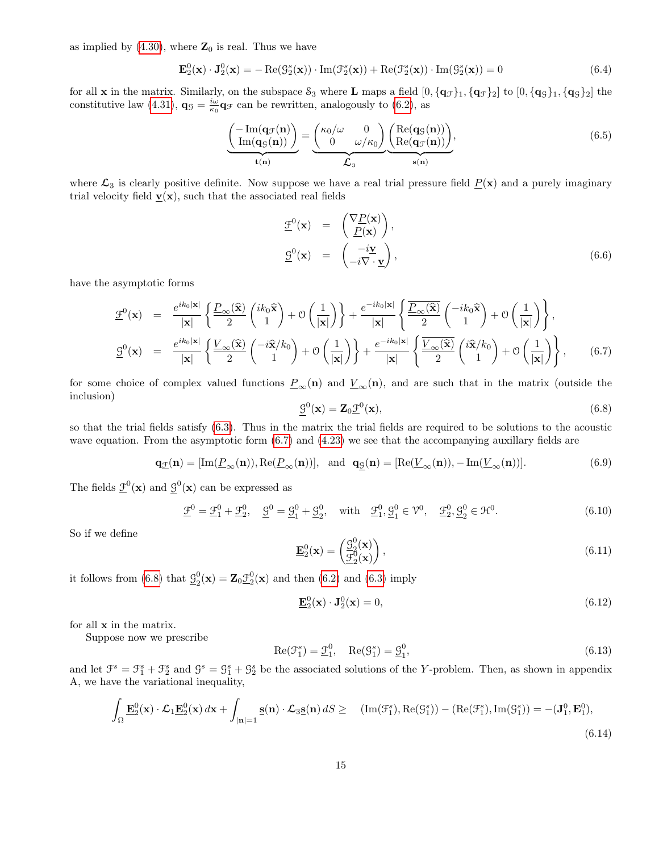as implied by  $(4.30)$ , where  $\mathbb{Z}_0$  is real. Thus we have

<span id="page-14-6"></span>
$$
\mathbf{E}_2^0(\mathbf{x}) \cdot \mathbf{J}_2^0(\mathbf{x}) = -\operatorname{Re}(\mathcal{G}_2^s(\mathbf{x})) \cdot \operatorname{Im}(\mathcal{F}_2^s(\mathbf{x})) + \operatorname{Re}(\mathcal{F}_2^s(\mathbf{x})) \cdot \operatorname{Im}(\mathcal{G}_2^s(\mathbf{x})) = 0 \tag{6.4}
$$

for all **x** in the matrix. Similarly, on the subspace  $S_3$  where **L** maps a field  $[0, {\{q_{\mathcal{F}}\}_1, {\{q_{\mathcal{F}}\}_2}}]$  to  $[0, {\{q_{\mathcal{G}}\}_1, {\{q_{\mathcal{G}}\}_2}}]$  the constitutive law [\(4.31\)](#page-10-3),  $\mathbf{q}_{\mathcal{G}} = \frac{i\omega}{\kappa_0} \mathbf{q}_{\mathcal{F}}$  can be rewritten, analogously to [\(6.2\)](#page-13-3), as

<span id="page-14-5"></span>
$$
\underbrace{\left(\frac{-\operatorname{Im}(\mathbf{q}_{\mathcal{F}}(\mathbf{n}))}{\operatorname{Im}(\mathbf{q}_{\mathcal{G}}(\mathbf{n}))}\right)}_{\mathbf{t}(\mathbf{n})} = \underbrace{\left(\begin{array}{cc} \kappa_0/\omega & 0\\ 0 & \omega/\kappa_0 \end{array}\right)}_{\mathcal{L}_3} \underbrace{\left(\begin{array}{c} \operatorname{Re}(\mathbf{q}_{\mathcal{G}}(\mathbf{n}))\\ \operatorname{Re}(\mathbf{q}_{\mathcal{F}}(\mathbf{n})) \end{array}\right)}_{\mathbf{s}(\mathbf{n})},\tag{6.5}
$$

where  $\mathcal{L}_3$  is clearly positive definite. Now suppose we have a real trial pressure field  $\underline{P}(\mathbf{x})$  and a purely imaginary trial velocity field  $\underline{\mathbf{v}}(\mathbf{x})$ , such that the associated real fields

<span id="page-14-2"></span>
$$
\underline{\mathcal{F}}^{0}(\mathbf{x}) = \begin{pmatrix} \nabla \underline{P}(\mathbf{x}) \\ \underline{P}(\mathbf{x}) \end{pmatrix}, \n\underline{\mathcal{G}}^{0}(\mathbf{x}) = \begin{pmatrix} -i\underline{\mathbf{v}} \\ -i\nabla \cdot \underline{\mathbf{v}} \end{pmatrix},
$$
\n(6.6)

have the asymptotic forms

<span id="page-14-0"></span>
$$
\mathcal{L}^{0}(\mathbf{x}) = \frac{e^{ik_{0}|\mathbf{x}|}}{|\mathbf{x}|} \left\{ \frac{\underline{P}_{\infty}(\hat{\mathbf{x}})}{2} {ik_{0} \hat{\mathbf{x}} \choose 1} + \mathcal{O}\left(\frac{1}{|\mathbf{x}|}\right) \right\} + \frac{e^{-ik_{0}|\mathbf{x}|}}{|\mathbf{x}|} \left\{ \frac{\overline{P}_{\infty}(\hat{\mathbf{x}})}{2} \left( \frac{-ik_{0} \hat{\mathbf{x}}}{1} \right) + \mathcal{O}\left(\frac{1}{|\mathbf{x}|}\right) \right\},
$$
\n
$$
\mathcal{L}^{0}(\mathbf{x}) = \frac{e^{ik_{0}|\mathbf{x}|}}{|\mathbf{x}|} \left\{ \frac{\underline{V}_{\infty}(\hat{\mathbf{x}})}{2} \left( \frac{-i\hat{\mathbf{x}}/k_{0}}{1} \right) + \mathcal{O}\left(\frac{1}{|\mathbf{x}|}\right) \right\} + \frac{e^{-ik_{0}|\mathbf{x}|}}{|\mathbf{x}|} \left\{ \frac{\overline{V}_{\infty}(\hat{\mathbf{x}})}{2} \left( \frac{i\hat{\mathbf{x}}/k_{0}}{1} \right) + \mathcal{O}\left(\frac{1}{|\mathbf{x}|}\right) \right\},
$$
\n(6.7)

for some choice of complex valued functions  $\underline{P}_{\infty}(\mathbf{n})$  and  $\underline{V}_{\infty}(\mathbf{n})$ , and are such that in the matrix (outside the inclusion)

<span id="page-14-1"></span>
$$
\underline{\mathcal{G}}^{0}(\mathbf{x}) = \mathbf{Z}_{0}\underline{\mathcal{F}}^{0}(\mathbf{x}),\tag{6.8}
$$

so that the trial fields satisfy [\(6.3\)](#page-13-4). Thus in the matrix the trial fields are required to be solutions to the acoustic wave equation. From the asymptotic form  $(6.7)$  and  $(4.23)$  we see that the accompanying auxillary fields are

$$
\mathbf{q}_{\underline{\mathcal{F}}}(\mathbf{n}) = [\text{Im}(\underline{P}_{\infty}(\mathbf{n})), \text{Re}(\underline{P}_{\infty}(\mathbf{n}))], \text{ and } \mathbf{q}_{\underline{\mathcal{G}}}(\mathbf{n}) = [\text{Re}(\underline{V}_{\infty}(\mathbf{n})), -\text{Im}(\underline{V}_{\infty}(\mathbf{n}))]. \tag{6.9}
$$

The fields  $\underline{\mathcal{F}}^0(\mathbf{x})$  and  $\mathcal{G}^0(\mathbf{x})$  can be expressed as

$$
\underline{\mathcal{F}}^0 = \underline{\mathcal{F}}_1^0 + \underline{\mathcal{F}}_2^0, \quad \underline{\mathcal{G}}^0 = \underline{\mathcal{G}}_1^0 + \underline{\mathcal{G}}_2^0, \quad \text{with} \quad \underline{\mathcal{F}}_1^0, \underline{\mathcal{G}}_1^0 \in \mathcal{V}^0, \quad \underline{\mathcal{F}}_2^0, \underline{\mathcal{G}}_2^0 \in \mathcal{H}^0. \tag{6.10}
$$

So if we define

$$
\underline{\mathbf{E}}_2^0(\mathbf{x}) = \begin{pmatrix} \underline{\mathcal{G}}_2^0(\mathbf{x}) \\ \underline{\mathcal{F}}_2^0(\mathbf{x}) \end{pmatrix},\tag{6.11}
$$

it follows from [\(6.8\)](#page-14-1) that  $\mathcal{G}^0$  $2_{2}^{0}(\mathbf{x}) = \mathbf{Z}_{0}\underline{\mathcal{F}}_{2}^{0}(\mathbf{x})$  and then [\(6.2\)](#page-13-3) and [\(6.3\)](#page-13-4) imply

<span id="page-14-7"></span>
$$
\mathbf{E}_2^0(\mathbf{x}) \cdot \mathbf{J}_2^0(\mathbf{x}) = 0,\tag{6.12}
$$

for all x in the matrix.

Suppose now we prescribe

<span id="page-14-4"></span>
$$
\operatorname{Re}(\mathcal{F}_1^s) = \underline{\mathcal{F}}_1^0, \quad \operatorname{Re}(\mathcal{G}_1^s) = \underline{\mathcal{G}}_1^0,\tag{6.13}
$$

and let  $\mathcal{F}^s = \mathcal{F}^s_1 + \mathcal{F}^s_2$  and  $\mathcal{G}^s = \mathcal{G}^s_1 + \mathcal{G}^s_2$  be the associated solutions of the Y-problem. Then, as shown in appendix A, we have the variational inequality,

<span id="page-14-3"></span>
$$
\int_{\Omega} \underline{\mathbf{E}}_2^0(\mathbf{x}) \cdot \mathcal{L}_1 \underline{\mathbf{E}}_2^0(\mathbf{x}) d\mathbf{x} + \int_{|\mathbf{n}|=1} \underline{\mathbf{s}}(\mathbf{n}) \cdot \mathcal{L}_3 \underline{\mathbf{s}}(\mathbf{n}) dS \geq \quad (\text{Im}(\mathcal{F}_1^s), \text{Re}(\mathcal{G}_1^s)) - (\text{Re}(\mathcal{F}_1^s), \text{Im}(\mathcal{G}_1^s)) = -(\mathbf{J}_1^0, \mathbf{E}_1^0),\tag{6.14}
$$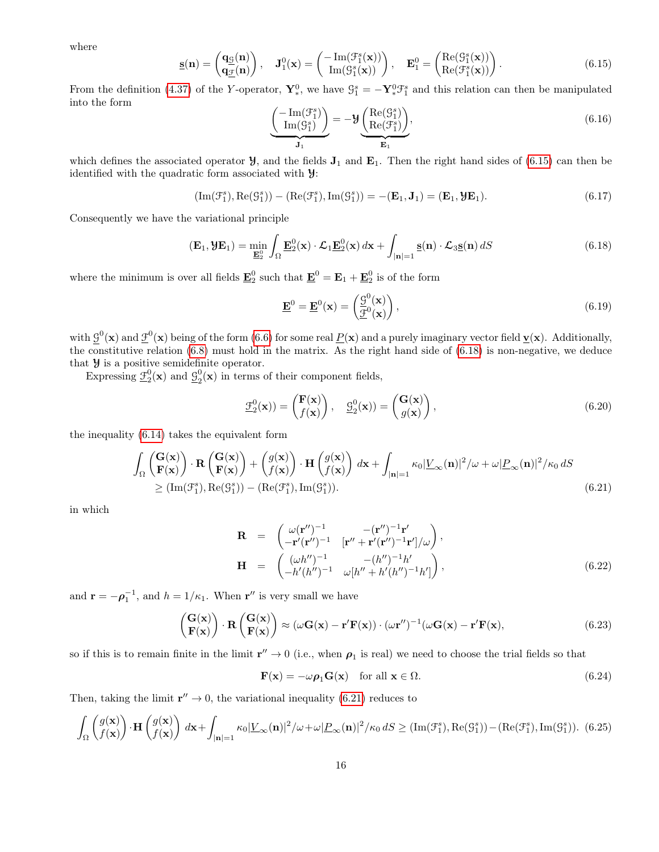where

<span id="page-15-0"></span>
$$
\underline{\mathbf{s}}(\mathbf{n}) = \begin{pmatrix} \mathbf{q}_{\underline{\mathcal{G}}}(\mathbf{n}) \\ \mathbf{q}_{\underline{\mathcal{F}}}(\mathbf{n}) \end{pmatrix}, \quad \mathbf{J}_1^0(\mathbf{x}) = \begin{pmatrix} -\operatorname{Im}(\mathcal{F}_1^s(\mathbf{x})) \\ \operatorname{Im}(\mathcal{G}_1^s(\mathbf{x})) \end{pmatrix}, \quad \mathbf{E}_1^0 = \begin{pmatrix} \operatorname{Re}(\mathcal{G}_1^s(\mathbf{x})) \\ \operatorname{Re}(\mathcal{F}_1^s(\mathbf{x})) \end{pmatrix}.
$$
 (6.15)

From the definition [\(4.37\)](#page-11-4) of the Y-operator,  $Y_*^0$ , we have  $\mathcal{G}_1^s = -Y_*^0 \mathcal{F}_1^s$  and this relation can then be manipulated into the form

<span id="page-15-3"></span>
$$
\underbrace{\left(\begin{array}{c}\n-\operatorname{Im}(\mathcal{F}_1^s) \\
\operatorname{Im}(\mathcal{G}_1^s)\n\end{array}\right)}_{\mathbf{J}_1} = -\mathbf{Y} \underbrace{\left(\begin{array}{c}\n\operatorname{Re}(\mathcal{G}_1^s) \\
\operatorname{Re}(\mathcal{F}_1^s)\n\end{array}\right)}_{\mathbf{E}_1},
$$
\n(6.16)

which defines the associated operator  $\mathcal{Y}$ , and the fields  $\mathbf{J}_1$  and  $\mathbf{E}_1$ . Then the right hand sides of [\(6.15\)](#page-15-0) can then be identified with the quadratic form associated with Y:

$$
(\mathrm{Im}(\mathcal{F}_1^s), \mathrm{Re}(\mathcal{G}_1^s)) - (\mathrm{Re}(\mathcal{F}_1^s), \mathrm{Im}(\mathcal{G}_1^s)) = -(\mathbf{E}_1, \mathbf{J}_1) = (\mathbf{E}_1, \mathbf{\mathcal{Y}}\mathbf{E}_1). \tag{6.17}
$$

Consequently we have the variational principle

<span id="page-15-1"></span>
$$
(\mathbf{E}_1, \mathbf{y}\mathbf{E}_1) = \min_{\mathbf{E}_2^0} \int_{\Omega} \mathbf{E}_2^0(\mathbf{x}) \cdot \mathcal{L}_1 \mathbf{E}_2^0(\mathbf{x}) d\mathbf{x} + \int_{|\mathbf{n}|=1} \mathbf{s}(\mathbf{n}) \cdot \mathcal{L}_3 \mathbf{s}(\mathbf{n}) dS
$$
(6.18)

where the minimum is over all fields  $\underline{\mathbf{E}}_2^0$  such that  $\underline{\mathbf{E}}_2^0 = \mathbf{E}_1 + \underline{\mathbf{E}}_2^0$  is of the form

$$
\underline{\mathbf{E}}^0 = \underline{\mathbf{E}}^0(\mathbf{x}) = \left(\frac{\mathcal{G}^0(\mathbf{x})}{\mathcal{F}^0(\mathbf{x})}\right),\tag{6.19}
$$

with  $\mathcal{G}^0(\mathbf{x})$  and  $\underline{\mathcal{F}}^0(\mathbf{x})$  being of the form [\(6.6\)](#page-14-2) for some real  $\underline{P}(\mathbf{x})$  and a purely imaginary vector field  $\underline{\mathbf{v}}(\mathbf{x})$ . Additionally, the constitutive relation [\(6.8\)](#page-14-1) must hold in the matrix. As the right hand side of [\(6.18\)](#page-15-1) is non-negative, we deduce that  $\mathcal Y$  is a positive semidefinite operator.

Expressing  $\underline{\mathfrak{I}}_2^0(\mathbf{x})$  and  $\underline{\mathfrak{I}}_2^0$  $2<sup>0</sup>(\mathbf{x})$  in terms of their component fields,

$$
\underline{\mathcal{F}}_2^0(\mathbf{x})) = \begin{pmatrix} \mathbf{F}(\mathbf{x}) \\ f(\mathbf{x}) \end{pmatrix}, \quad \underline{\mathcal{G}}_2^0(\mathbf{x})) = \begin{pmatrix} \mathbf{G}(\mathbf{x}) \\ g(\mathbf{x}) \end{pmatrix}, \tag{6.20}
$$

the inequality [\(6.14\)](#page-14-3) takes the equivalent form

<span id="page-15-2"></span>
$$
\int_{\Omega} \begin{pmatrix} \mathbf{G}(\mathbf{x}) \\ \mathbf{F}(\mathbf{x}) \end{pmatrix} \cdot \mathbf{R} \begin{pmatrix} \mathbf{G}(\mathbf{x}) \\ \mathbf{F}(\mathbf{x}) \end{pmatrix} + \begin{pmatrix} g(\mathbf{x}) \\ f(\mathbf{x}) \end{pmatrix} \cdot \mathbf{H} \begin{pmatrix} g(\mathbf{x}) \\ f(\mathbf{x}) \end{pmatrix} d\mathbf{x} + \int_{|\mathbf{n}|=1} \kappa_0 |\underline{V}_{\infty}(\mathbf{n})|^2 / \omega + \omega |\underline{P}_{\infty}(\mathbf{n})|^2 / \kappa_0 dS
$$
  
\n
$$
\geq (\text{Im}(\mathcal{F}_1^s), \text{Re}(\mathcal{G}_1^s)) - (\text{Re}(\mathcal{F}_1^s), \text{Im}(\mathcal{G}_1^s)).
$$
\n(6.21)

in which

$$
\mathbf{R} = \begin{pmatrix} \omega(\mathbf{r}'')^{-1} & -(\mathbf{r}'')^{-1}\mathbf{r}' \\ -\mathbf{r}'(\mathbf{r}'')^{-1} & [\mathbf{r}'' + \mathbf{r}'(\mathbf{r}'')^{-1}\mathbf{r}']/\omega \end{pmatrix}, \n\mathbf{H} = \begin{pmatrix} (\omega h'')^{-1} & -(h'')^{-1}h' \\ -h'(h'')^{-1} & \omega[h'' + h'(h'')^{-1}h'] \end{pmatrix},
$$
\n(6.22)

and  $\mathbf{r} = -\boldsymbol{\rho}_1^{-1}$ , and  $h = 1/\kappa_1$ . When  $\mathbf{r}''$  is very small we have

$$
\begin{pmatrix} \mathbf{G}(\mathbf{x}) \\ \mathbf{F}(\mathbf{x}) \end{pmatrix} \cdot \mathbf{R} \begin{pmatrix} \mathbf{G}(\mathbf{x}) \\ \mathbf{F}(\mathbf{x}) \end{pmatrix} \approx (\omega \mathbf{G}(\mathbf{x}) - \mathbf{r}' \mathbf{F}(\mathbf{x})) \cdot (\omega \mathbf{r}'')^{-1} (\omega \mathbf{G}(\mathbf{x}) - \mathbf{r}' \mathbf{F}(\mathbf{x}), \tag{6.23}
$$

so if this is to remain finite in the limit  $r'' \to 0$  (i.e., when  $\rho_1$  is real) we need to choose the trial fields so that

$$
\mathbf{F}(\mathbf{x}) = -\omega \rho_1 \mathbf{G}(\mathbf{x}) \quad \text{for all } \mathbf{x} \in \Omega.
$$
 (6.24)

Then, taking the limit  $\mathbf{r}'' \to 0$ , the variational inequality [\(6.21\)](#page-15-2) reduces to

$$
\int_{\Omega} \left( \frac{g(\mathbf{x})}{f(\mathbf{x})} \right) \cdot \mathbf{H} \left( \frac{g(\mathbf{x})}{f(\mathbf{x})} \right) d\mathbf{x} + \int_{|\mathbf{n}|=1} \kappa_0 |\underline{V}_{\infty}(\mathbf{n})|^2 / \omega + \omega |\underline{P}_{\infty}(\mathbf{n})|^2 / \kappa_0 dS \ge (\text{Im}(\mathcal{F}_1^s), \text{Re}(\mathcal{G}_1^s)) - (\text{Re}(\mathcal{F}_1^s), \text{Im}(\mathcal{G}_1^s))
$$
 (6.25)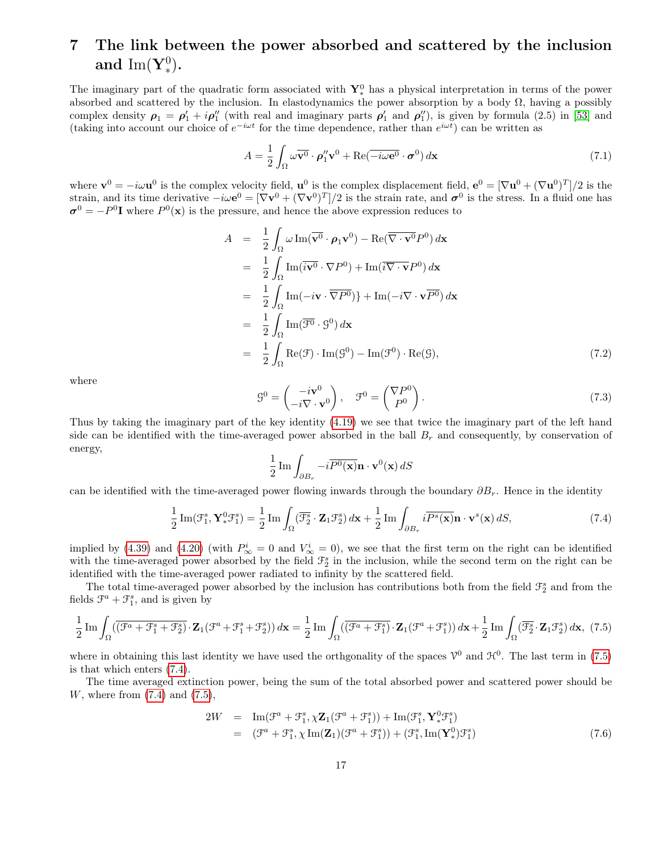# 7 The link between the power absorbed and scattered by the inclusion and  $\mathrm{Im}(\mathbf{Y}_{*}^{0}).$

The imaginary part of the quadratic form associated with  $\mathbf{Y}_{*}^{0}$  has a physical interpretation in terms of the power absorbed and scattered by the inclusion. In elastodynamics the power absorption by a body  $\Omega$ , having a possibly complex density  $\rho_1 = \rho'_1 + i \rho''_1$  (with real and imaginary parts  $\rho'_1$  and  $\rho''_1$ ), is given by formula (2.5) in [\[53\]](#page-25-6) and (taking into account our choice of  $e^{-i\omega t}$  for the time dependence, rather than  $e^{i\omega t}$ ) can be written as

$$
A = \frac{1}{2} \int_{\Omega} \omega \overline{\mathbf{v}^0} \cdot \boldsymbol{\rho}_1'' \mathbf{v}^0 + \text{Re}(\overline{-i\omega \mathbf{e}^0} \cdot \boldsymbol{\sigma}^0) d\mathbf{x}
$$
 (7.1)

where  $\mathbf{v}^0 = -i\omega \mathbf{u}^0$  is the complex velocity field,  $\mathbf{u}^0$  is the complex displacement field,  $\mathbf{e}^0 = [\nabla \mathbf{u}^0 + (\nabla \mathbf{u}^0)^T]/2$  is the strain, and its time derivative  $-i\omega e^0 = [\nabla v^0 + (\nabla v^0)^T]/2$  is the strain rate, and  $\sigma^0$  is the stress. In a fluid one has  $\sigma^0 = -P^0 \mathbf{I}$  where  $P^0(\mathbf{x})$  is the pressure, and hence the above expression reduces to

$$
A = \frac{1}{2} \int_{\Omega} \omega \operatorname{Im}(\overline{\mathbf{v}^0} \cdot \boldsymbol{\rho}_1 \mathbf{v}^0) - \operatorname{Re}(\overline{\nabla \cdot \mathbf{v}^0} P^0) d\mathbf{x}
$$
  
\n
$$
= \frac{1}{2} \int_{\Omega} \operatorname{Im}(\overline{i \mathbf{v}^0} \cdot \nabla P^0) + \operatorname{Im}(\overline{i \nabla \cdot \mathbf{v} P^0}) d\mathbf{x}
$$
  
\n
$$
= \frac{1}{2} \int_{\Omega} \operatorname{Im}(-i\mathbf{v} \cdot \overline{\nabla P^0}) + \operatorname{Im}(-i\nabla \cdot \mathbf{v} \overline{P^0}) d\mathbf{x}
$$
  
\n
$$
= \frac{1}{2} \int_{\Omega} \operatorname{Im}(\overline{\mathcal{F}^0} \cdot \mathcal{G}^0) d\mathbf{x}
$$
  
\n
$$
= \frac{1}{2} \int_{\Omega} \operatorname{Re}(\mathcal{F}) \cdot \operatorname{Im}(\mathcal{G}^0) - \operatorname{Im}(\mathcal{F}^0) \cdot \operatorname{Re}(\mathcal{G}), \qquad (7.2)
$$

where

$$
\mathcal{G}^0 = \begin{pmatrix} -i\mathbf{v}^0 \\ -i\nabla \cdot \mathbf{v}^0 \end{pmatrix}, \quad \mathcal{F}^0 = \begin{pmatrix} \nabla P^0 \\ P^0 \end{pmatrix}.
$$
 (7.3)

Thus by taking the imaginary part of the key identity [\(4.19\)](#page-9-2) we see that twice the imaginary part of the left hand side can be identified with the time-averaged power absorbed in the ball  $B_r$  and consequently, by conservation of energy,

$$
\frac{1}{2}\operatorname{Im}\int_{\partial B_r} -i\overline{P^0(\mathbf{x})}\mathbf{n}\cdot\mathbf{v}^0(\mathbf{x})\,dS
$$

can be identified with the time-averaged power flowing inwards through the boundary  $\partial B_r$ . Hence in the identity

<span id="page-16-1"></span>
$$
\frac{1}{2}\operatorname{Im}(\mathcal{F}_1^s, \mathbf{Y}_*^0 \mathcal{F}_1^s) = \frac{1}{2}\operatorname{Im}\int_{\Omega}(\overline{\mathcal{F}_2^s} \cdot \mathbf{Z}_1 \mathcal{F}_2^s) d\mathbf{x} + \frac{1}{2}\operatorname{Im}\int_{\partial B_r} i\overline{P^s(\mathbf{x})} \mathbf{n} \cdot \mathbf{v}^s(\mathbf{x}) dS,
$$
\n(7.4)

implied by [\(4.39\)](#page-11-5) and [\(4.20\)](#page-9-3) (with  $P^i_{\infty} = 0$  and  $V^i_{\infty} = 0$ ), we see that the first term on the right can be identified with the time-averaged power absorbed by the field  $\mathcal{F}_2^s$  in the inclusion, while the second term on the right can be identified with the time-averaged power radiated to infinity by the scattered field.

The total time-averaged power absorbed by the inclusion has contributions both from the field  $\mathcal{F}_2^s$  and from the fields  $\mathcal{F}^a + \mathcal{F}^s_1$ , and is given by

<span id="page-16-0"></span>
$$
\frac{1}{2}\operatorname{Im}\int_{\Omega} \left( \overline{\left(\mathcal{F}^a + \mathcal{F}^s_1 + \mathcal{F}^s_2\right)} \cdot \mathbf{Z}_1 (\mathcal{F}^a + \mathcal{F}^s_1 + \mathcal{F}^s_2) \right) d\mathbf{x} = \frac{1}{2}\operatorname{Im}\int_{\Omega} \left( \overline{\left(\mathcal{F}^a + \mathcal{F}^s_1\right)} \cdot \mathbf{Z}_1 (\mathcal{F}^a + \mathcal{F}^s_1) \right) d\mathbf{x} + \frac{1}{2}\operatorname{Im}\int_{\Omega} \left( \overline{\mathcal{F}^s_2} \cdot \mathbf{Z}_1 \mathcal{F}^s_2 \right) d\mathbf{x}, \tag{7.5}
$$

where in obtaining this last identity we have used the orthgonality of the spaces  $\mathcal{V}^0$  and  $\mathcal{H}^0$ . The last term in [\(7.5\)](#page-16-0) is that which enters [\(7.4\)](#page-16-1).

The time averaged extinction power, being the sum of the total absorbed power and scattered power should be W, where from  $(7.4)$  and  $(7.5)$ ,

<span id="page-16-2"></span>
$$
2W = \text{Im}(\mathcal{F}^a + \mathcal{F}_1^s, \chi \mathbf{Z}_1(\mathcal{F}^a + \mathcal{F}_1^s)) + \text{Im}(\mathcal{F}_1^s, \mathbf{Y}_*^0 \mathcal{F}_1^s) = (\mathcal{F}^a + \mathcal{F}_1^s, \chi \text{Im}(\mathbf{Z}_1)(\mathcal{F}^a + \mathcal{F}_1^s)) + (\mathcal{F}_1^s, \text{Im}(\mathbf{Y}_*^0)\mathcal{F}_1^s)
$$
(7.6)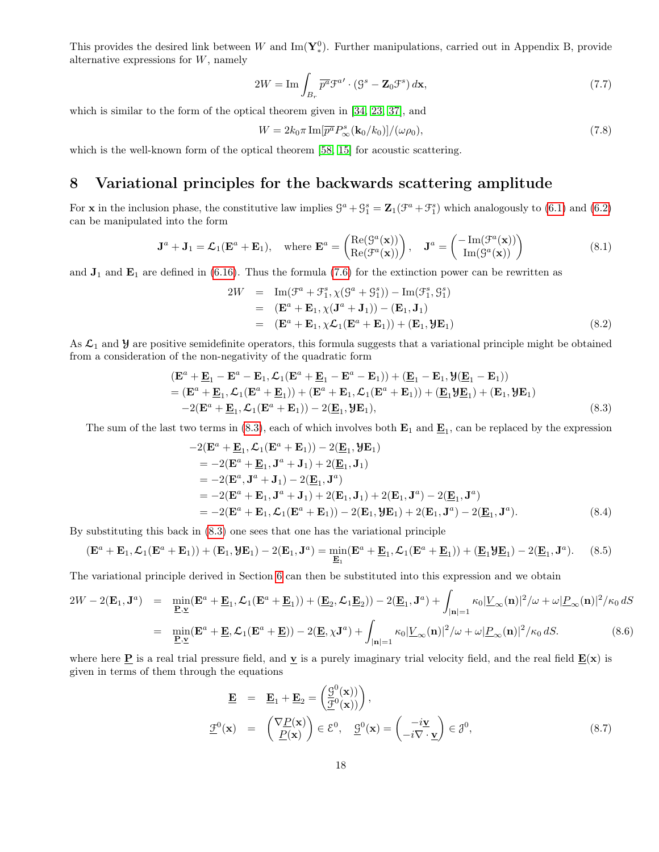This provides the desired link between W and  $\text{Im}(\mathbf{Y}_{*}^{0})$ . Further manipulations, carried out in Appendix B, provide alternative expressions for  $W$ , namely

$$
2W = \operatorname{Im} \int_{B_r} \overline{p^a} \mathcal{F}^{a} \cdot (\mathcal{G}^s - \mathbf{Z}_0 \mathcal{F}^s) d\mathbf{x},\tag{7.7}
$$

which is similar to the form of the optical theorem given in [\[34,](#page-24-13) [23,](#page-23-12) [37\]](#page-24-5), and

<span id="page-17-2"></span>
$$
W = 2k_0 \pi \operatorname{Im}[\overline{p^a} P^s_{\infty}(\mathbf{k}_0/k_0)]/(\omega \rho_0),\tag{7.8}
$$

which is the well-known form of the optical theorem [\[58,](#page-26-13) [15\]](#page-23-13) for acoustic scattering.

# 8 Variational principles for the backwards scattering amplitude

For **x** in the inclusion phase, the constitutive law implies  $\mathcal{G}^a + \mathcal{G}_1^s = \mathbb{Z}_1(\mathcal{F}^a + \mathcal{F}_1^s)$  which analogously to [\(6.1\)](#page-13-5) and [\(6.2\)](#page-13-3) can be manipulated into the form

$$
\mathbf{J}^{a} + \mathbf{J}_{1} = \mathcal{L}_{1}(\mathbf{E}^{a} + \mathbf{E}_{1}), \quad \text{where } \mathbf{E}^{a} = \begin{pmatrix} \text{Re}(\mathcal{G}^{a}(\mathbf{x})) \\ \text{Re}(\mathcal{F}^{a}(\mathbf{x})) \end{pmatrix}, \quad \mathbf{J}^{a} = \begin{pmatrix} -\text{Im}(\mathcal{F}^{a}(\mathbf{x})) \\ \text{Im}(\mathcal{G}^{a}(\mathbf{x})) \end{pmatrix}
$$
(8.1)

and  $J_1$  and  $E_1$  are defined in [\(6.16\)](#page-15-3). Thus the formula [\(7.6\)](#page-16-2) for the extinction power can be rewritten as

$$
2W = \operatorname{Im}(\mathcal{F}^a + \mathcal{F}^s_1, \chi(\mathcal{G}^a + \mathcal{G}^s_1)) - \operatorname{Im}(\mathcal{F}^s_1, \mathcal{G}^s_1)
$$
  
\n
$$
= (\mathbf{E}^a + \mathbf{E}_1, \chi(\mathbf{J}^a + \mathbf{J}_1)) - (\mathbf{E}_1, \mathbf{J}_1)
$$
  
\n
$$
= (\mathbf{E}^a + \mathbf{E}_1, \chi\mathcal{L}_1(\mathbf{E}^a + \mathbf{E}_1)) + (\mathbf{E}_1, \mathbf{Y}\mathbf{E}_1)
$$
(8.2)

As  $\mathcal{L}_1$  and  $\mathcal{Y}$  are positive semidefinite operators, this formula suggests that a variational principle might be obtained from a consideration of the non-negativity of the quadratic form

<span id="page-17-0"></span>
$$
\begin{split} & (\mathbf{E}^a + \underline{\mathbf{E}}_1 - \mathbf{E}^a - \mathbf{E}_1, \mathcal{L}_1(\mathbf{E}^a + \underline{\mathbf{E}}_1 - \mathbf{E}^a - \mathbf{E}_1)) + (\underline{\mathbf{E}}_1 - \mathbf{E}_1, \mathcal{Y}(\underline{\mathbf{E}}_1 - \mathbf{E}_1)) \\ &= (\mathbf{E}^a + \underline{\mathbf{E}}_1, \mathcal{L}_1(\mathbf{E}^a + \underline{\mathbf{E}}_1)) + (\mathbf{E}^a + \mathbf{E}_1, \mathcal{L}_1(\mathbf{E}^a + \mathbf{E}_1)) + (\underline{\mathbf{E}}_1 \mathcal{Y} \underline{\mathbf{E}}_1) + (\mathbf{E}_1, \mathcal{Y} \mathbf{E}_1) \\ &- 2(\mathbf{E}^a + \underline{\mathbf{E}}_1, \mathcal{L}_1(\mathbf{E}^a + \mathbf{E}_1)) - 2(\underline{\mathbf{E}}_1, \mathcal{Y} \mathbf{E}_1), \end{split} \tag{8.3}
$$

The sum of the last two terms in  $(8.3)$ , each of which involves both  $\mathbf{E}_1$  and  $\underline{\mathbf{E}}_1$ , can be replaced by the expression

$$
-2(\mathbf{E}^{a} + \mathbf{E}_{1}, \mathcal{L}_{1}(\mathbf{E}^{a} + \mathbf{E}_{1})) - 2(\mathbf{E}_{1}, \mathcal{Y}\mathbf{E}_{1})
$$
  
= -2(\mathbf{E}^{a} + \mathbf{E}\_{1}, \mathbf{J}^{a} + \mathbf{J}\_{1}) + 2(\mathbf{E}\_{1}, \mathbf{J}\_{1})  
= -2(\mathbf{E}^{a}, \mathbf{J}^{a} + \mathbf{J}\_{1}) - 2(\mathbf{E}\_{1}, \mathbf{J}^{a})  
= -2(\mathbf{E}^{a} + \mathbf{E}\_{1}, \mathbf{J}^{a} + \mathbf{J}\_{1}) + 2(\mathbf{E}\_{1}, \mathbf{J}\_{1}) + 2(\mathbf{E}\_{1}, \mathbf{J}^{a}) - 2(\mathbf{E}\_{1}, \mathbf{J}^{a})  
= -2(\mathbf{E}^{a} + \mathbf{E}\_{1}, \mathcal{L}\_{1}(\mathbf{E}^{a} + \mathbf{E}\_{1})) - 2(\mathbf{E}\_{1}, \mathcal{Y}\mathbf{E}\_{1}) + 2(\mathbf{E}\_{1}, \mathbf{J}^{a}) - 2(\mathbf{E}\_{1}, \mathbf{J}^{a}). \t(8.4)

By substituting this back in [\(8.3\)](#page-17-0) one sees that one has the variational principle

$$
(\mathbf{E}^a + \mathbf{E}_1, \mathcal{L}_1(\mathbf{E}^a + \mathbf{E}_1)) + (\mathbf{E}_1, \mathcal{Y}\mathbf{E}_1) - 2(\mathbf{E}_1, \mathbf{J}^a) = \min_{\mathbf{E}_1} (\mathbf{E}^a + \mathbf{E}_1, \mathcal{L}_1(\mathbf{E}^a + \mathbf{E}_1)) + (\mathbf{E}_1 \mathcal{Y}\mathbf{E}_1) - 2(\mathbf{E}_1, \mathbf{J}^a).
$$
 (8.5)

The variational principle derived in Section [6](#page-13-6) can then be substituted into this expression and we obtain

<span id="page-17-1"></span>
$$
2W - 2(\mathbf{E}_1, \mathbf{J}^a) = \min_{\mathbf{E}, \mathbf{v}} (\mathbf{E}^a + \mathbf{E}_1, \mathcal{L}_1(\mathbf{E}^a + \mathbf{E}_1)) + (\mathbf{E}_2, \mathcal{L}_1\mathbf{E}_2)) - 2(\mathbf{E}_1, \mathbf{J}^a) + \int_{|\mathbf{n}|=1} \kappa_0 |\underline{V}_{\infty}(\mathbf{n})|^2 / \omega + \omega |\underline{P}_{\infty}(\mathbf{n})|^2 / \kappa_0 dS
$$
  
= 
$$
\min_{\mathbf{E}, \mathbf{v}} (\mathbf{E}^a + \mathbf{E}, \mathcal{L}_1(\mathbf{E}^a + \mathbf{E})) - 2(\mathbf{E}, \chi \mathbf{J}^a) + \int_{|\mathbf{n}|=1} \kappa_0 |\underline{V}_{\infty}(\mathbf{n})|^2 / \omega + \omega |\underline{P}_{\infty}(\mathbf{n})|^2 / \kappa_0 dS. \tag{8.6}
$$

where here **P** is a real trial pressure field, and **y** is a purely imaginary trial velocity field, and the real field  $\underline{\mathbf{E}}(\mathbf{x})$  is given in terms of them through the equations

$$
\underline{\mathbf{E}} = \underline{\mathbf{E}}_1 + \underline{\mathbf{E}}_2 = \left(\frac{g^0(\mathbf{x})}{\underline{\mathcal{F}}^0(\mathbf{x})}\right),
$$
  

$$
\underline{\mathcal{F}}^0(\mathbf{x}) = \left(\frac{\nabla \underline{P}(\mathbf{x})}{\underline{P}(\mathbf{x})}\right) \in \mathcal{E}^0, \quad \underline{g}^0(\mathbf{x}) = \left(-i\underline{\mathbf{v}} \cdot \underline{\mathbf{v}}\right) \in \mathcal{J}^0,
$$
(8.7)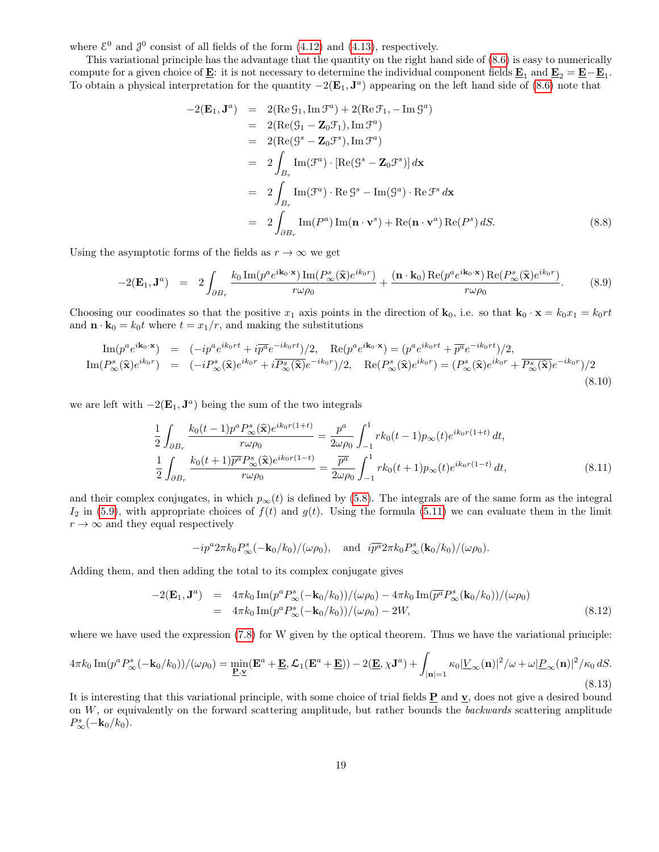where  $\mathcal{E}^0$  and  $\mathcal{J}^0$  consist of all fields of the form [\(4.12\)](#page-8-1) and [\(4.13\)](#page-8-2), respectively.

This variational principle has the advantage that the quantity on the right hand side of [\(8.6\)](#page-17-1) is easy to numerically compute for a given choice of **E**: it is not necessary to determine the individual component fields  $\underline{\mathbf{E}}_1$  and  $\underline{\mathbf{E}}_2 = \underline{\mathbf{E}} - \underline{\mathbf{E}}_1$ . To obtain a physical interpretation for the quantity  $-2(E_1, J^a)$  appearing on the left hand side of [\(8.6\)](#page-17-1) note that

$$
-2(\mathbf{E}_1, \mathbf{J}^a) = 2(\text{Re } \mathcal{G}_1, \text{Im } \mathcal{F}^a) + 2(\text{Re } \mathcal{F}_1, -\text{Im } \mathcal{G}^a)
$$
  
\n
$$
= 2(\text{Re}(\mathcal{G}_1 - \mathbf{Z}_0 \mathcal{F}_1), \text{Im } \mathcal{F}^a)
$$
  
\n
$$
= 2(\text{Re}(\mathcal{G}^s - \mathbf{Z}_0 \mathcal{F}^s), \text{Im } \mathcal{F}^a)
$$
  
\n
$$
= 2 \int_{B_r} \text{Im}(\mathcal{F}^a) \cdot [\text{Re}(\mathcal{G}^s - \mathbf{Z}_0 \mathcal{F}^s)] d\mathbf{x}
$$
  
\n
$$
= 2 \int_{B_r} \text{Im}(\mathcal{F}^a) \cdot \text{Re } \mathcal{G}^s - \text{Im}(\mathcal{G}^a) \cdot \text{Re } \mathcal{F}^s d\mathbf{x}
$$
  
\n
$$
= 2 \int_{\partial B_r} \text{Im}(P^a) \text{Im}(\mathbf{n} \cdot \mathbf{v}^s) + \text{Re}(\mathbf{n} \cdot \mathbf{v}^a) \text{Re}(P^s) dS.
$$
 (8.8)

Using the asymptotic forms of the fields as  $r \to \infty$  we get

$$
-2(\mathbf{E}_1, \mathbf{J}^a) = 2 \int_{\partial B_r} \frac{k_0 \operatorname{Im}(p^a e^{i\mathbf{k}_0 \cdot \mathbf{x}}) \operatorname{Im}(P^s_{\infty}(\hat{\mathbf{x}}) e^{ik_0 r})}{r\omega \rho_0} + \frac{(\mathbf{n} \cdot \mathbf{k}_0) \operatorname{Re}(p^a e^{i\mathbf{k}_0 \cdot \mathbf{x}}) \operatorname{Re}(P^s_{\infty}(\hat{\mathbf{x}}) e^{ik_0 r})}{r\omega \rho_0}.
$$
(8.9)

Choosing our coodinates so that the positive  $x_1$  axis points in the direction of  $\mathbf{k}_0$ , i.e. so that  $\mathbf{k}_0 \cdot \mathbf{x} = k_0 x_1 = k_0 r t$ and  $\mathbf{n} \cdot \mathbf{k}_0 = k_0 t$  where  $t = x_1/r$ , and making the substitutions

$$
\mathrm{Im}(p^{a}e^{i\mathbf{k}_{0}\cdot\mathbf{x}}) = (-ip^{a}e^{i k_{0}r t} + i\overline{p^{a}}e^{-i k_{0}r t})/2, \quad \mathrm{Re}(p^{a}e^{i \mathbf{k}_{0}\cdot\mathbf{x}}) = (p^{a}e^{i k_{0}r t} + \overline{p^{a}}e^{-i k_{0}r t})/2, \mathrm{Im}(P_{\infty}^{s}(\hat{\mathbf{x}})e^{i k_{0}r}) = (-iP_{\infty}^{s}(\hat{\mathbf{x}})e^{i k_{0}r} + i\overline{P_{\infty}^{s}(\hat{\mathbf{x}})}e^{-i k_{0}r})/2, \quad \mathrm{Re}(P_{\infty}^{s}(\hat{\mathbf{x}})e^{i k_{0}r}) = (P_{\infty}^{s}(\hat{\mathbf{x}})e^{i k_{0}r} + \overline{P_{\infty}^{s}(\hat{\mathbf{x}})}e^{-i k_{0}r})/2
$$
\n(8.10)

we are left with  $-2(E_1, J^a)$  being the sum of the two integrals

$$
\frac{1}{2} \int_{\partial B_r} \frac{k_0(t-1)p^a P_{\infty}^s(\hat{\mathbf{x}}) e^{ik_0 r(1+t)}}{r \omega \rho_0} = \frac{p^a}{2\omega \rho_0} \int_{-1}^1 r k_0(t-1)p_{\infty}(t) e^{ik_0 r(1+t)} dt,
$$
\n
$$
\frac{1}{2} \int_{\partial B_r} \frac{k_0(t+1)\overline{p^a} P_{\infty}^s(\hat{\mathbf{x}}) e^{ik_0 r(1-t)}}{r \omega \rho_0} = \frac{\overline{p^a}}{2\omega \rho_0} \int_{-1}^1 r k_0(t+1)p_{\infty}(t) e^{ik_0 r(1-t)} dt,
$$
\n(8.11)

and their complex conjugates, in which  $p_{\infty}(t)$  is defined by [\(5.8\)](#page-13-7). The integrals are of the same form as the integral  $I_2$  in [\(5.9\)](#page-13-0), with appropriate choices of  $f(t)$  and  $g(t)$ . Using the formula [\(5.11\)](#page-13-2) we can evaluate them in the limit  $r \to \infty$  and they equal respectively

$$
-ip^a 2\pi k_0 P^s_{\infty}(-\mathbf{k}_0/k_0)/(\omega \rho_0)
$$
, and  $i\overline{p^a} 2\pi k_0 P^s_{\infty}(\mathbf{k}_0/k_0)/(\omega \rho_0)$ .

Adding them, and then adding the total to its complex conjugate gives

$$
-2(\mathbf{E}_1, \mathbf{J}^a) = 4\pi k_0 \operatorname{Im}(p^a P_{\infty}^s(-\mathbf{k}_0/k_0)) / (\omega \rho_0) - 4\pi k_0 \operatorname{Im}(\overline{p^a} P_{\infty}^s(\mathbf{k}_0/k_0)) / (\omega \rho_0)
$$
  
=  $4\pi k_0 \operatorname{Im}(p^a P_{\infty}^s(-\mathbf{k}_0/k_0)) / (\omega \rho_0) - 2W,$  (8.12)

where we have used the expression  $(7.8)$  for W given by the optical theorem. Thus we have the variational principle:

<span id="page-18-0"></span>
$$
4\pi k_0 \operatorname{Im}(p^a P_{\infty}^s(-\mathbf{k}_0/k_0))/(\omega \rho_0) = \min_{\mathbf{E}, \mathbf{v}} (\mathbf{E}^a + \mathbf{E}, \mathcal{L}_1(\mathbf{E}^a + \mathbf{E})) - 2(\mathbf{E}, \chi \mathbf{J}^a) + \int_{|\mathbf{n}|=1} \kappa_0 |\underline{V}_{\infty}(\mathbf{n})|^2 / \omega + \omega |\underline{P}_{\infty}(\mathbf{n})|^2 / \kappa_0 dS. \tag{8.13}
$$

It is interesting that this variational principle, with some choice of trial fields P and v, does not give a desired bound on  $W$ , or equivalently on the forward scattering amplitude, but rather bounds the backwards scattering amplitude  $P_{\infty}^{s}(-{\bf k}_{0}/k_{0}).$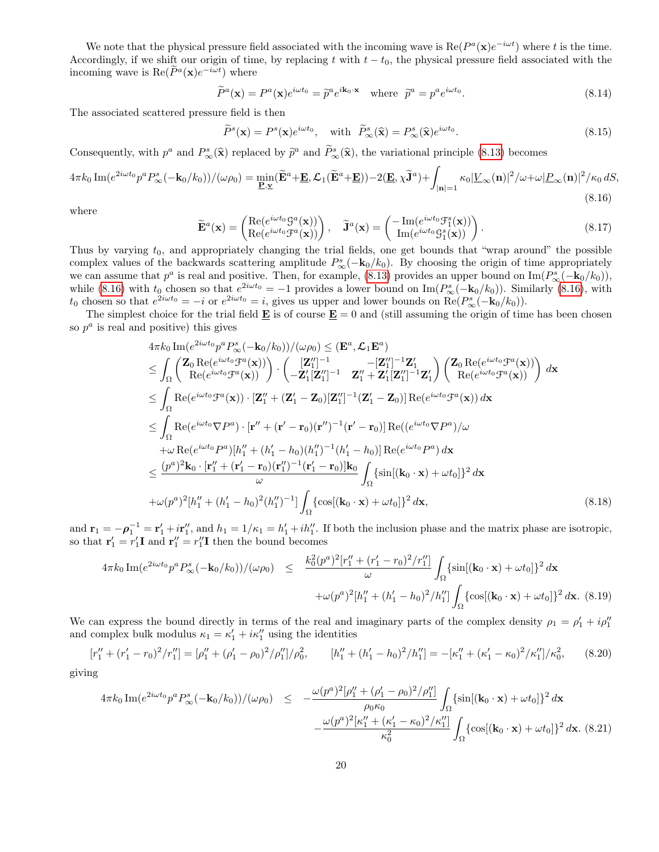We note that the physical pressure field associated with the incoming wave is  $\text{Re}(P^a(\mathbf{x})e^{-i\omega t})$  where t is the time. Accordingly, if we shift our origin of time, by replacing t with  $t - t_0$ , the physical pressure field associated with the incoming wave is  $\text{Re}(\tilde{P}^a(\mathbf{x})e^{-i\omega t})$  where

$$
\widetilde{P}^{a}(\mathbf{x}) = P^{a}(\mathbf{x})e^{i\omega t_{0}} = \widetilde{p}^{a}e^{i\mathbf{k}_{0}\cdot\mathbf{x}} \text{ where } \widetilde{p}^{a} = p^{a}e^{i\omega t_{0}}.
$$
\n(8.14)

The associated scattered pressure field is then

$$
\widetilde{P}^s(\mathbf{x}) = P^s(\mathbf{x})e^{i\omega t_0}, \quad \text{with} \quad \widetilde{P}^s_{\infty}(\widehat{\mathbf{x}}) = P^s_{\infty}(\widehat{\mathbf{x}})e^{i\omega t_0}.
$$
\n(8.15)

Consequently, with  $p^a$  and  $P^s_{\infty}(\hat{\mathbf{x}})$  replaced by  $\tilde{p}^a$  and  $\tilde{P}^s_{\infty}(\hat{\mathbf{x}})$ , the variational principle [\(8.13\)](#page-18-0) becomes

<span id="page-19-0"></span>
$$
4\pi k_0 \operatorname{Im}(e^{2i\omega t_0} p^a P_{\infty}^s(-\mathbf{k}_0/k_0)) / (\omega \rho_0) = \min_{\mathbf{E}, \mathbf{v}} (\widetilde{\mathbf{E}}^a + \mathbf{E}, \mathcal{L}_1(\widetilde{\mathbf{E}}^a + \mathbf{E})) - 2(\mathbf{E}, \chi \widetilde{\mathbf{J}}^a) + \int_{|\mathbf{n}|=1} \kappa_0 |\underline{V}_{\infty}(\mathbf{n})|^2 / \omega + \omega |\underline{P}_{\infty}(\mathbf{n})|^2 / \kappa_0 dS,
$$
\n(8.16)

where

$$
\widetilde{\mathbf{E}}^{a}(\mathbf{x}) = \begin{pmatrix} \text{Re}(e^{i\omega t_0} \mathcal{G}^{a}(\mathbf{x})) \\ \text{Re}(e^{i\omega t_0} \mathcal{F}^{a}(\mathbf{x})) \end{pmatrix}, \quad \widetilde{\mathbf{J}}^{a}(\mathbf{x}) = \begin{pmatrix} -\text{Im}(e^{i\omega t_0} \mathcal{F}_1^{s}(\mathbf{x})) \\ \text{Im}(e^{i\omega t_0} \mathcal{G}_1^{s}(\mathbf{x})) \end{pmatrix}.
$$
\n(8.17)

Thus by varying  $t_0$ , and appropriately changing the trial fields, one get bounds that "wrap around" the possible complex values of the backwards scattering amplitude  $P^s_\infty(-\mathbf{k}_0/k_0)$ . By choosing the origin of time appropriately we can assume that  $p^a$  is real and positive. Then, for example, [\(8.13\)](#page-18-0) provides an upper bound on  $\text{Im}(P^s_{\infty}(-\mathbf{k}_0/k_0)),$ while [\(8.16\)](#page-19-0) with  $t_0$  chosen so that  $e^{2i\omega t_0} = -1$  provides a lower bound on Im( $P^s_{\infty}(-\mathbf{k}_0/k_0)$ ). Similarly (8.16), with  $t_0$  chosen so that  $e^{2i\omega t_0} = -i$  or  $e^{2i\omega t_0} = i$ , gives us upper and lower bounds on  $\text{Re}(P^s_{\infty}(-\mathbf{k}_0/k_0)).$ 

The simplest choice for the trial field  $\underline{\mathbf{E}}$  is of course  $\underline{\mathbf{E}} = 0$  and (still assuming the origin of time has been chosen so  $p^a$  is real and positive) this gives

$$
4\pi k_0 \operatorname{Im}(e^{2i\omega t_0}p^a P_{\infty}^s(-\mathbf{k}_0/k_0))/(\omega \rho_0) \le (\mathbf{E}^a, \mathcal{L}_1 \mathbf{E}^a)
$$
  
\n
$$
\le \int_{\Omega} \begin{pmatrix} \mathbf{Z}_0 \operatorname{Re}(e^{i\omega t_0} \mathcal{F}^a(\mathbf{x})) \\ \operatorname{Re}(e^{i\omega t_0} \mathcal{F}^a(\mathbf{x})) \end{pmatrix} \cdot \begin{pmatrix} [\mathbf{Z}_1'']^{-1} & -[\mathbf{Z}_1'']^{-1} \mathbf{Z}_1' \\ -\mathbf{Z}_1'[\mathbf{Z}_1'']^{-1} & \mathbf{Z}_1'' + \mathbf{Z}_1'[\mathbf{Z}_1'']^{-1} \mathbf{Z}_1' \end{pmatrix} \begin{pmatrix} \mathbf{Z}_0 \operatorname{Re}(e^{i\omega t_0} \mathcal{F}^a(\mathbf{x})) \\ \operatorname{Re}(e^{i\omega t_0} \mathcal{F}^a(\mathbf{x})) \end{pmatrix} d\mathbf{x}
$$
  
\n
$$
\le \int_{\Omega} \operatorname{Re}(e^{i\omega t_0} \mathcal{F}^a(\mathbf{x})) \cdot [\mathbf{Z}_1'' + (\mathbf{Z}_1' - \mathbf{Z}_0) [\mathbf{Z}_1'']^{-1} (\mathbf{Z}_1' - \mathbf{Z}_0)] \operatorname{Re}(e^{i\omega t_0} \mathcal{F}^a(\mathbf{x})) d\mathbf{x}
$$
  
\n
$$
\le \int_{\Omega} \operatorname{Re}(e^{i\omega t_0} \nabla P^a) \cdot [\mathbf{r}'' + (\mathbf{r}' - \mathbf{r}_0) (\mathbf{r}'')^{-1} (\mathbf{r}' - \mathbf{r}_0)] \operatorname{Re}(e^{i\omega t_0} \nabla P^a) / \omega
$$
  
\n
$$
+ \omega \operatorname{Re}(e^{i\omega t_0} \nabla P^a) [h_1'' + (h_1' - h_0) (h_1'')^{-1} (\mathbf{r}'_1 - \mathbf{r}_0)] \operatorname{Re}(e^{i\omega t_0} \nabla P^a) d\mathbf{x}
$$
  
\n
$$
\le \frac{(p^a)^2 \mathbf{k}_0 \cdot [\mathbf{r}_
$$

and  $\mathbf{r}_1 = -\boldsymbol{\rho}_1^{-1} = \mathbf{r}_1' + i\mathbf{r}_1''$ , and  $h_1 = 1/\kappa_1 = h_1' + ih_1''$ . If both the inclusion phase and the matrix phase are isotropic, so that  $\mathbf{r}'_1 = r'_1 \mathbf{I}$  and  $\mathbf{r}''_1 = r''_1 \mathbf{I}$  then the bound becomes

$$
4\pi k_0 \operatorname{Im}(e^{2i\omega t_0} p^a P_{\infty}^s(-\mathbf{k}_0/k_0)) / (\omega \rho_0) \leq \frac{k_0^2 (p^a)^2 [r_1'' + (r_1' - r_0)^2 / r_1'']}{\omega} \int_{\Omega} {\sin[(\mathbf{k}_0 \cdot \mathbf{x}) + \omega t_0]}^2 d\mathbf{x} + \omega (p^a)^2 [h_1'' + (h_1' - h_0)^2 / h_1''] \int_{\Omega} {\cos[(\mathbf{k}_0 \cdot \mathbf{x}) + \omega t_0]}^2 d\mathbf{x}.
$$
 (8.19)

We can express the bound directly in terms of the real and imaginary parts of the complex density  $\rho_1 = \rho'_1 + i \rho''_1$ and complex bulk modulus  $\kappa_1 = \kappa_1' + i\kappa_1''$  using the identities

$$
[r_1'' + (r_1' - r_0)^2/r_1''] = [\rho_1'' + (\rho_1' - \rho_0)^2/\rho_1'']/\rho_0^2, \qquad [h_1'' + (h_1' - h_0)^2/h_1''] = -[\kappa_1'' + (\kappa_1' - \kappa_0)^2/\kappa_1'']/\kappa_0^2, \qquad (8.20)
$$

giving

$$
4\pi k_0 \operatorname{Im}(e^{2i\omega t_0} p^a P_{\infty}^s(-\mathbf{k}_0/k_0))/(\omega \rho_0) \le -\frac{\omega(p^a)^2[\rho_1'' + (\rho_1' - \rho_0)^2/\rho_1'']}{\rho_0 \kappa_0} \int_{\Omega} {\sin[(\mathbf{k}_0 \cdot \mathbf{x}) + \omega t_0]}^2 d\mathbf{x} -\frac{\omega(p^a)^2[\kappa_1'' + (\kappa_1' - \kappa_0)^2/\kappa_1'']}{\kappa_0^2} \int_{\Omega} {\cos[(\mathbf{k}_0 \cdot \mathbf{x}) + \omega t_0]}^2 d\mathbf{x}.
$$
 (8.21)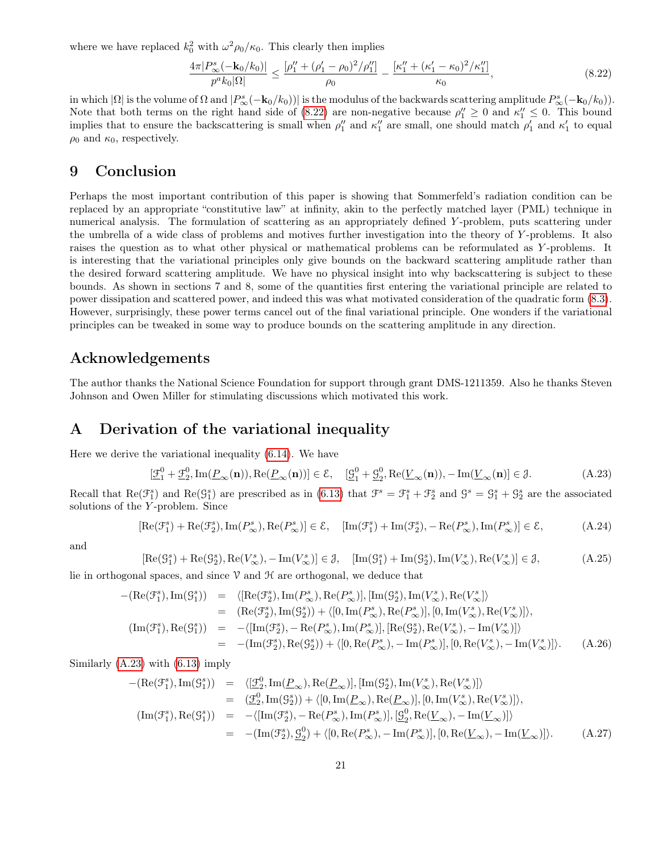where we have replaced  $k_0^2$  with  $\omega^2 \rho_0 / \kappa_0$ . This clearly then implies

<span id="page-20-0"></span>
$$
\frac{4\pi|P_{\infty}^s(-\mathbf{k}_0/k_0)|}{p^ak_0|\Omega|} \le \frac{[\rho_1'' + (\rho_1' - \rho_0)^2/\rho_1'']}{\rho_0} - \frac{[\kappa_1'' + (\kappa_1' - \kappa_0)^2/\kappa_1'']}{\kappa_0},\tag{8.22}
$$

in which  $|\Omega|$  is the volume of  $\Omega$  and  $|P^s_{\infty}(-\mathbf{k}_0/k_0)|$  is the modulus of the backwards scattering amplitude  $P^s_{\infty}(-\mathbf{k}_0/k_0)$ . Note that both terms on the right hand side of [\(8.22\)](#page-20-0) are non-negative because  $\rho''_1 \geq 0$  and  $\kappa''_1 \leq 0$ . This bound implies that to ensure the backscattering is small when  $\rho''_1$  and  $\kappa''_1$  are small, one should match  $\rho'_1$  and  $\kappa'_1$  to equal  $\rho_0$  and  $\kappa_0$ , respectively.

# 9 Conclusion

Perhaps the most important contribution of this paper is showing that Sommerfeld's radiation condition can be replaced by an appropriate "constitutive law" at infinity, akin to the perfectly matched layer (PML) technique in numerical analysis. The formulation of scattering as an appropriately defined Y -problem, puts scattering under the umbrella of a wide class of problems and motives further investigation into the theory of Y -problems. It also raises the question as to what other physical or mathematical problems can be reformulated as Y-problems. It is interesting that the variational principles only give bounds on the backward scattering amplitude rather than the desired forward scattering amplitude. We have no physical insight into why backscattering is subject to these bounds. As shown in sections 7 and 8, some of the quantities first entering the variational principle are related to power dissipation and scattered power, and indeed this was what motivated consideration of the quadratic form [\(8.3\)](#page-17-0). However, surprisingly, these power terms cancel out of the final variational principle. One wonders if the variational principles can be tweaked in some way to produce bounds on the scattering amplitude in any direction.

## Acknowledgements

The author thanks the National Science Foundation for support through grant DMS-1211359. Also he thanks Steven Johnson and Owen Miller for stimulating discussions which motivated this work.

### A Derivation of the variational inequality

Here we derive the variational inequality [\(6.14\)](#page-14-3). We have

<span id="page-20-1"></span>
$$
[\underline{\mathcal{F}}_1^0 + \underline{\mathcal{F}}_2^0, \operatorname{Im}(\underline{P}_{\infty}(\mathbf{n})), \operatorname{Re}(\underline{P}_{\infty}(\mathbf{n}))] \in \mathcal{E}, \quad [\underline{\mathcal{G}}_1^0 + \underline{\mathcal{G}}_2^0, \operatorname{Re}(\underline{V}_{\infty}(\mathbf{n})), -\operatorname{Im}(\underline{V}_{\infty}(\mathbf{n})] \in \mathcal{J}.
$$
 (A.23)

Recall that  $\text{Re}(\mathcal{F}_1^s)$  and  $\text{Re}(\mathcal{G}_1^s)$  are prescribed as in [\(6.13\)](#page-14-4) that  $\mathcal{F}^s = \mathcal{F}_1^s + \mathcal{F}_2^s$  and  $\mathcal{G}^s = \mathcal{G}_1^s + \mathcal{G}_2^s$  are the associated solutions of the Y -problem. Since

$$
[\text{Re}(\mathcal{F}_1^s) + \text{Re}(\mathcal{F}_2^s), \text{Im}(P_\infty^s), \text{Re}(P_\infty^s)] \in \mathcal{E}, \quad [\text{Im}(\mathcal{F}_1^s) + \text{Im}(\mathcal{F}_2^s), -\text{Re}(P_\infty^s), \text{Im}(P_\infty^s)] \in \mathcal{E}, \tag{A.24}
$$

and

$$
[\text{Re}(\mathcal{G}_1^s) + \text{Re}(\mathcal{G}_2^s), \text{Re}(V^s_{\infty}), -\text{Im}(V^s_{\infty})] \in \mathcal{J}, \quad [\text{Im}(\mathcal{G}_1^s) + \text{Im}(\mathcal{G}_2^s), \text{Im}(V^s_{\infty}), \text{Re}(V^s_{\infty})] \in \mathcal{J}, \tag{A.25}
$$

lie in orthogonal spaces, and since  $\mathcal V$  and  $\mathcal H$  are orthogonal, we deduce that

$$
-(\text{Re}(\mathcal{F}_1^s), \text{Im}(\mathcal{G}_1^s)) = \langle [\text{Re}(\mathcal{F}_2^s), \text{Im}(P_{\infty}^s), \text{Re}(P_{\infty}^s)], [\text{Im}(\mathcal{G}_2^s), \text{Im}(V_{\infty}^s), \text{Re}(V_{\infty}^s)] \rangle = (\text{Re}(\mathcal{F}_2^s), \text{Im}(\mathcal{G}_2^s)) + \langle [0, \text{Im}(P_{\infty}^s), \text{Re}(P_{\infty}^s)], [0, \text{Im}(V_{\infty}^s), \text{Re}(V_{\infty}^s)] \rangle, (\text{Im}(\mathcal{F}_1^s), \text{Re}(\mathcal{G}_1^s)) = -\langle [\text{Im}(\mathcal{F}_2^s), -\text{Re}(P_{\infty}^s), \text{Im}(P_{\infty}^s)], [\text{Re}(\mathcal{G}_2^s), \text{Re}(V_{\infty}^s), -\text{Im}(V_{\infty}^s)] \rangle = -(\text{Im}(\mathcal{F}_2^s), \text{Re}(\mathcal{G}_2^s)) + \langle [0, \text{Re}(P_{\infty}^s), -\text{Im}(P_{\infty}^s)], [0, \text{Re}(V_{\infty}^s), -\text{Im}(V_{\infty}^s)] \rangle.
$$
(A.26)

Similarly [\(A.23\)](#page-20-1) with [\(6.13\)](#page-14-4) imply

<span id="page-20-2"></span>
$$
-(\text{Re}(\mathcal{F}_1^s), \text{Im}(\mathcal{G}_1^s)) = \langle [\underline{\mathcal{F}}_2^0, \text{Im}(\underline{P}_{\infty}), \text{Re}(\underline{P}_{\infty})], [\text{Im}(\mathcal{G}_2^s), \text{Im}(V_{\infty}^s), \text{Re}(V_{\infty}^s)] \rangle = (\underline{\mathcal{F}}_2^0, \text{Im}(\mathcal{G}_2^s)) + \langle [0, \text{Im}(\underline{P}_{\infty}), \text{Re}(\underline{P}_{\infty})], [0, \text{Im}(V_{\infty}^s), \text{Re}(V_{\infty}^s)] \rangle, (\text{Im}(\mathcal{F}_1^s), \text{Re}(\mathcal{G}_1^s)) = -\langle [\text{Im}(\mathcal{F}_2^s), -\text{Re}(P_{\infty}^s), \text{Im}(P_{\infty}^s)], [\underline{\mathcal{G}}_2^0, \text{Re}(\underline{V}_{\infty}), -\text{Im}(\underline{V}_{\infty})] \rangle = -(\text{Im}(\mathcal{F}_2^s), \underline{\mathcal{G}}_2^0) + \langle [0, \text{Re}(P_{\infty}^s), -\text{Im}(P_{\infty}^s)], [0, \text{Re}(\underline{V}_{\infty}), -\text{Im}(\underline{V}_{\infty})] \rangle.
$$
(A.27)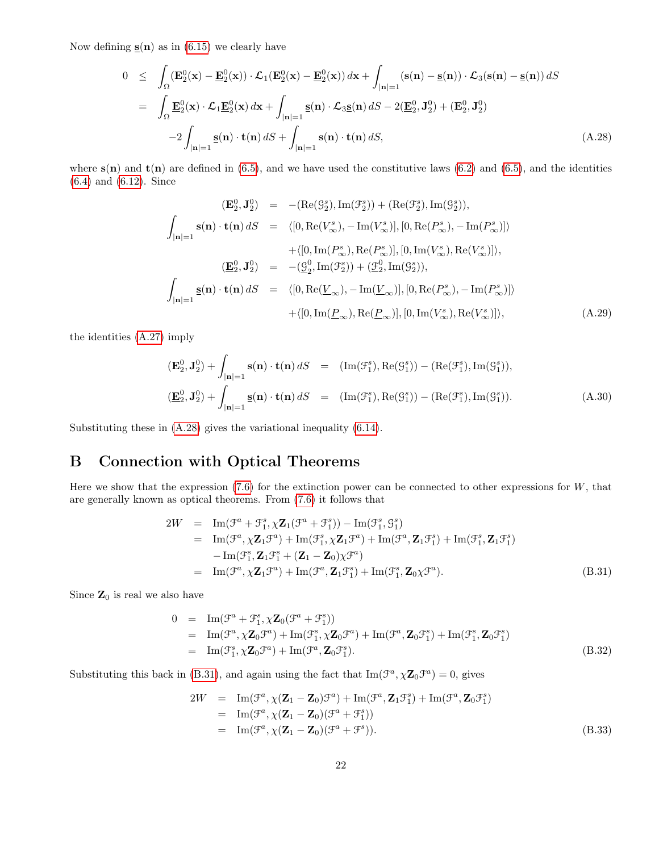Now defining  $\underline{\mathbf{s}}(\mathbf{n})$  as in [\(6.15\)](#page-15-0) we clearly have

<span id="page-21-0"></span>
$$
0 \leq \int_{\Omega} (\mathbf{E}_2^0(\mathbf{x}) - \underline{\mathbf{E}}_2^0(\mathbf{x})) \cdot \mathcal{L}_1(\mathbf{E}_2^0(\mathbf{x}) - \underline{\mathbf{E}}_2^0(\mathbf{x})) d\mathbf{x} + \int_{|\mathbf{n}|=1} (\mathbf{s}(\mathbf{n}) - \mathbf{s}(\mathbf{n})) \cdot \mathcal{L}_3(\mathbf{s}(\mathbf{n}) - \mathbf{s}(\mathbf{n})) dS
$$
  
\n
$$
= \int_{\Omega} \underline{\mathbf{E}}_2^0(\mathbf{x}) \cdot \mathcal{L}_1 \underline{\mathbf{E}}_2^0(\mathbf{x}) d\mathbf{x} + \int_{|\mathbf{n}|=1} \underline{\mathbf{s}}(\mathbf{n}) \cdot \mathcal{L}_3 \underline{\mathbf{s}}(\mathbf{n}) dS - 2(\underline{\mathbf{E}}_2^0, \mathbf{J}_2^0) + (\mathbf{E}_2^0, \mathbf{J}_2^0)
$$
  
\n
$$
-2 \int_{|\mathbf{n}|=1} \underline{\mathbf{s}}(\mathbf{n}) \cdot \mathbf{t}(\mathbf{n}) dS + \int_{|\mathbf{n}|=1} \mathbf{s}(\mathbf{n}) \cdot \mathbf{t}(\mathbf{n}) dS, \qquad (A.28)
$$

where  $s(n)$  and  $t(n)$  are defined in [\(6.5\)](#page-14-5), and we have used the constitutive laws [\(6.2\)](#page-13-3) and (6.5), and the identities [\(6.4\)](#page-14-6) and [\(6.12\)](#page-14-7). Since

$$
(\mathbf{E}_2^0, \mathbf{J}_2^0) = -(\text{Re}(\mathcal{G}_2^s), \text{Im}(\mathcal{F}_2^s)) + (\text{Re}(\mathcal{F}_2^s), \text{Im}(\mathcal{G}_2^s)),
$$
  

$$
\int_{|\mathbf{n}|=1} \mathbf{s}(\mathbf{n}) \cdot \mathbf{t}(\mathbf{n}) dS = \langle [0, \text{Re}(V_{\infty}^s), -\text{Im}(V_{\infty}^s)], [0, \text{Re}(P_{\infty}^s), -\text{Im}(P_{\infty}^s)] \rangle
$$
  

$$
+ \langle [0, \text{Im}(P_{\infty}^s), \text{Re}(P_{\infty}^s)], [0, \text{Im}(V_{\infty}^s), \text{Re}(V_{\infty}^s)] \rangle,
$$
  

$$
(\mathbf{E}_2^0, \mathbf{J}_2^0) = -(\underline{\mathcal{G}}_2^0, \text{Im}(\mathcal{F}_2^s)) + (\underline{\mathcal{F}}_2^0, \text{Im}(\mathcal{G}_2^s)),
$$
  

$$
\int_{|\mathbf{n}|=1} \mathbf{s}(\mathbf{n}) \cdot \mathbf{t}(\mathbf{n}) dS = \langle [0, \text{Re}(\underline{V}_{\infty}), -\text{Im}(\underline{V}_{\infty})], [0, \text{Re}(P_{\infty}^s), -\text{Im}(P_{\infty}^s)] \rangle
$$
  

$$
+ \langle [0, \text{Im}(\underline{P}_{\infty}), \text{Re}(\underline{P}_{\infty})], [0, \text{Im}(V_{\infty}^s), \text{Re}(V_{\infty}^s)] \rangle,
$$
(A.29)

the identities [\(A.27\)](#page-20-2) imply

$$
(\mathbf{E}_2^0, \mathbf{J}_2^0) + \int_{|\mathbf{n}|=1} \mathbf{s}(\mathbf{n}) \cdot \mathbf{t}(\mathbf{n}) dS = (\text{Im}(\mathcal{F}_1^s), \text{Re}(\mathcal{G}_1^s)) - (\text{Re}(\mathcal{F}_1^s), \text{Im}(\mathcal{G}_1^s)),
$$
  

$$
(\underline{\mathbf{E}}_2^0, \mathbf{J}_2^0) + \int_{|\mathbf{n}|=1} \underline{\mathbf{s}}(\mathbf{n}) \cdot \mathbf{t}(\mathbf{n}) dS = (\text{Im}(\mathcal{F}_1^s), \text{Re}(\mathcal{G}_1^s)) - (\text{Re}(\mathcal{F}_1^s), \text{Im}(\mathcal{G}_1^s)).
$$
 (A.30)

Substituting these in [\(A.28\)](#page-21-0) gives the variational inequality [\(6.14\)](#page-14-3).

# B Connection with Optical Theorems

Here we show that the expression  $(7.6)$  for the extinction power can be connected to other expressions for  $W$ , that are generally known as optical theorems. From [\(7.6\)](#page-16-2) it follows that

<span id="page-21-1"></span>
$$
2W = \text{Im}(\mathcal{F}^a + \mathcal{F}_1^s, \chi \mathbf{Z}_1(\mathcal{F}^a + \mathcal{F}_1^s)) - \text{Im}(\mathcal{F}_1^s, \mathcal{G}_1^s)
$$
  
\n
$$
= \text{Im}(\mathcal{F}^a, \chi \mathbf{Z}_1 \mathcal{F}^a) + \text{Im}(\mathcal{F}_1^s, \chi \mathbf{Z}_1 \mathcal{F}^a) + \text{Im}(\mathcal{F}^a, \mathbf{Z}_1 \mathcal{F}_1^s) + \text{Im}(\mathcal{F}_1^s, \mathbf{Z}_1 \mathcal{F}_1^s)
$$
  
\n
$$
- \text{Im}(\mathcal{F}_1^s, \mathbf{Z}_1 \mathcal{F}_1^s + (\mathbf{Z}_1 - \mathbf{Z}_0) \chi \mathcal{F}^a)
$$
  
\n
$$
= \text{Im}(\mathcal{F}^a, \chi \mathbf{Z}_1 \mathcal{F}^a) + \text{Im}(\mathcal{F}^a, \mathbf{Z}_1 \mathcal{F}_1^s) + \text{Im}(\mathcal{F}_1^s, \mathbf{Z}_0 \chi \mathcal{F}^a).
$$
 (B.31)

Since  $\mathbf{Z}_0$  is real we also have

$$
0 = \operatorname{Im}(\mathcal{F}^{a} + \mathcal{F}_{1}^{s}, \chi \mathbf{Z}_{0}(\mathcal{F}^{a} + \mathcal{F}_{1}^{s}))
$$
  
\n
$$
= \operatorname{Im}(\mathcal{F}^{a}, \chi \mathbf{Z}_{0}\mathcal{F}^{a}) + \operatorname{Im}(\mathcal{F}_{1}^{s}, \chi \mathbf{Z}_{0}\mathcal{F}^{a}) + \operatorname{Im}(\mathcal{F}^{a}, \mathbf{Z}_{0}\mathcal{F}_{1}^{s}) + \operatorname{Im}(\mathcal{F}_{1}^{s}, \mathbf{Z}_{0}\mathcal{F}_{1}^{s})
$$
  
\n
$$
= \operatorname{Im}(\mathcal{F}_{1}^{s}, \chi \mathbf{Z}_{0}\mathcal{F}^{a}) + \operatorname{Im}(\mathcal{F}^{a}, \mathbf{Z}_{0}\mathcal{F}_{1}^{s}). \tag{B.32}
$$

Substituting this back in [\(B.31\)](#page-21-1), and again using the fact that  $\text{Im}(\mathcal{F}^a, \chi \mathbf{Z}_0 \mathcal{F}^a) = 0$ , gives

$$
2W = \operatorname{Im}(\mathcal{F}^a, \chi(\mathbf{Z}_1 - \mathbf{Z}_0)\mathcal{F}^a) + \operatorname{Im}(\mathcal{F}^a, \mathbf{Z}_1\mathcal{F}_1^s) + \operatorname{Im}(\mathcal{F}^a, \mathbf{Z}_0\mathcal{F}_1^s)
$$
  
\n
$$
= \operatorname{Im}(\mathcal{F}^a, \chi(\mathbf{Z}_1 - \mathbf{Z}_0)(\mathcal{F}^a + \mathcal{F}_1^s))
$$
  
\n
$$
= \operatorname{Im}(\mathcal{F}^a, \chi(\mathbf{Z}_1 - \mathbf{Z}_0)(\mathcal{F}^a + \mathcal{F}^s)).
$$
 (B.33)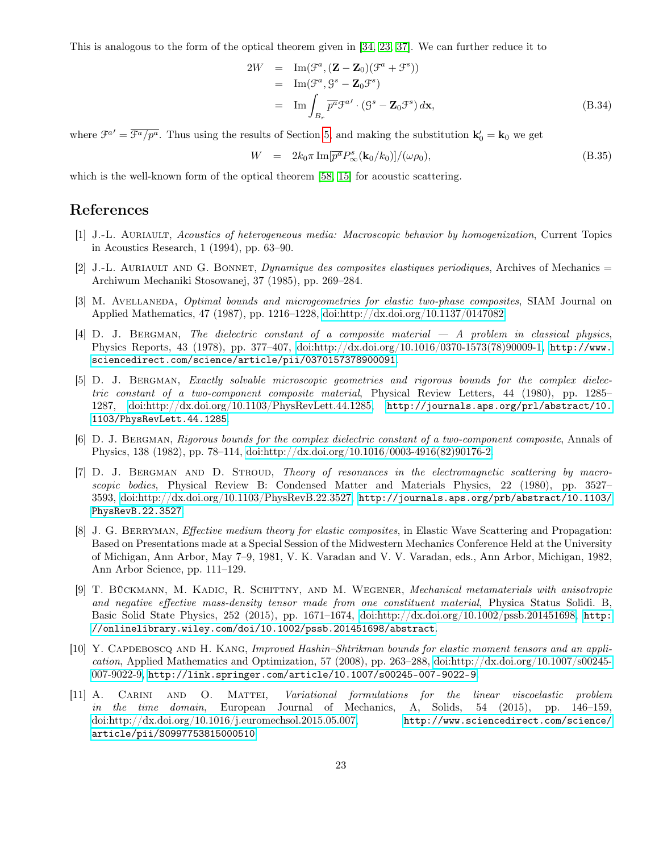This is analogous to the form of the optical theorem given in [\[34,](#page-24-13) [23,](#page-23-12) [37\]](#page-24-5). We can further reduce it to

$$
2W = \text{Im}(\mathcal{F}^a, (\mathbf{Z} - \mathbf{Z}_0)(\mathcal{F}^a + \mathcal{F}^s))
$$
  
\n
$$
= \text{Im}(\mathcal{F}^a, \mathcal{G}^s - \mathbf{Z}_0 \mathcal{F}^s)
$$
  
\n
$$
= \text{Im} \int_{B_r} \overline{p^a} \mathcal{F}^{a'} \cdot (\mathcal{G}^s - \mathbf{Z}_0 \mathcal{F}^s) d\mathbf{x},
$$
 (B.34)

where  $\mathcal{F}^{a'} = \overline{\mathcal{F}^{a}/p^a}$ . Thus using the results of Section [5,](#page-12-1) and making the substitution  $\mathbf{k}'_0 = \mathbf{k}_0$  we get

$$
W = 2k_0 \pi \operatorname{Im}[\overline{p^a} P^s_{\infty}(\mathbf{k}_0/k_0)]/(\omega \rho_0), \tag{B.35}
$$

which is the well-known form of the optical theorem [\[58,](#page-26-13) [15\]](#page-23-13) for acoustic scattering.

# References

- <span id="page-22-9"></span>[1] J.-L. Auriault, Acoustics of heterogeneous media: Macroscopic behavior by homogenization, Current Topics in Acoustics Research, 1 (1994), pp. 63–90.
- <span id="page-22-8"></span>[2] J.-L. AURIAULT AND G. BONNET, *Dynamique des composites elastiques periodiques*, Archives of Mechanics  $=$ Archiwum Mechaniki Stosowanej, 37 (1985), pp. 269–284.
- <span id="page-22-6"></span>[3] M. AVELLANEDA, *Optimal bounds and microgeometries for elastic two-phase composites*, SIAM Journal on Applied Mathematics, 47 (1987), pp. 1216–1228, [doi:http://dx.doi.org/10.1137/0147082.](http://dx.doi.org/http://dx.doi.org/10.1137/0147082)
- <span id="page-22-1"></span>[4] D. J. BERGMAN, The dielectric constant of a composite material  $-A$  problem in classical physics, Physics Reports, 43 (1978), pp. 377–407, [doi:http://dx.doi.org/10.1016/0370-1573\(78\)90009-1,](http://dx.doi.org/http://dx.doi.org/10.1016/0370-1573(78)90009-1) [http://www.](http://www.sciencedirect.com/science/article/pii/0370157378900091) [sciencedirect.com/science/article/pii/0370157378900091](http://www.sciencedirect.com/science/article/pii/0370157378900091).
- <span id="page-22-0"></span>[5] D. J. Bergman, Exactly solvable microscopic geometries and rigorous bounds for the complex dielectric constant of a two-component composite material, Physical Review Letters, 44 (1980), pp. 1285– 1287, [doi:http://dx.doi.org/10.1103/PhysRevLett.44.1285,](http://dx.doi.org/http://dx.doi.org/10.1103/PhysRevLett.44.1285) [http://journals.aps.org/prl/abstract/10.](http://journals.aps.org/prl/abstract/10.1103/PhysRevLett.44.1285) [1103/PhysRevLett.44.1285](http://journals.aps.org/prl/abstract/10.1103/PhysRevLett.44.1285).
- <span id="page-22-5"></span>[6] D. J. Bergman, Rigorous bounds for the complex dielectric constant of a two-component composite, Annals of Physics, 138 (1982), pp. 78–114, [doi:http://dx.doi.org/10.1016/0003-4916\(82\)90176-2.](http://dx.doi.org/http://dx.doi.org/10.1016/0003-4916(82)90176-2)
- <span id="page-22-2"></span>[7] D. J. BERGMAN AND D. STROUD, Theory of resonances in the electromagnetic scattering by macroscopic bodies, Physical Review B: Condensed Matter and Materials Physics, 22 (1980), pp. 3527– 3593, [doi:http://dx.doi.org/10.1103/PhysRevB.22.3527,](http://dx.doi.org/http://dx.doi.org/10.1103/PhysRevB.22.3527) [http://journals.aps.org/prb/abstract/10.1103/](http://journals.aps.org/prb/abstract/10.1103/PhysRevB.22.3527) [PhysRevB.22.3527](http://journals.aps.org/prb/abstract/10.1103/PhysRevB.22.3527).
- <span id="page-22-4"></span>[8] J. G. BERRYMAN, *Effective medium theory for elastic composites*, in Elastic Wave Scattering and Propagation: Based on Presentations made at a Special Session of the Midwestern Mechanics Conference Held at the University of Michigan, Ann Arbor, May 7–9, 1981, V. K. Varadan and V. V. Varadan, eds., Ann Arbor, Michigan, 1982, Ann Arbor Science, pp. 111–129.
- <span id="page-22-10"></span>[9] T. Bückmann, M. Kadic, R. Schittny, and M. Wegener, Mechanical metamaterials with anisotropic and negative effective mass-density tensor made from one constituent material, Physica Status Solidi. B, Basic Solid State Physics, 252 (2015), pp. 1671–1674, [doi:http://dx.doi.org/10.1002/pssb.201451698,](http://dx.doi.org/http://dx.doi.org/10.1002/pssb.201451698) [http:](http://onlinelibrary.wiley.com/doi/10.1002/pssb.201451698/abstract) [//onlinelibrary.wiley.com/doi/10.1002/pssb.201451698/abstract](http://onlinelibrary.wiley.com/doi/10.1002/pssb.201451698/abstract).
- <span id="page-22-7"></span>[10] Y. CAPDEBOSCQ AND H. KANG, Improved Hashin–Shtrikman bounds for elastic moment tensors and an application, Applied Mathematics and Optimization, 57 (2008), pp. 263–288, [doi:http://dx.doi.org/10.1007/s00245-](http://dx.doi.org/http://dx.doi.org/10.1007/s00245-007-9022-9) [007-9022-9,](http://dx.doi.org/http://dx.doi.org/10.1007/s00245-007-9022-9) <http://link.springer.com/article/10.1007/s00245-007-9022-9>.
- <span id="page-22-3"></span>[11] A. Carini and O. Mattei, Variational formulations for the linear viscoelastic problem in the time domain, European Journal of Mechanics, A, Solids, 54 (2015), pp. 146–159, [doi:http://dx.doi.org/10.1016/j.euromechsol.2015.05.007,](http://dx.doi.org/http://dx.doi.org/10.1016/j.euromechsol.2015.05.007) [http://www.sciencedirect.com/science/](http://www.sciencedirect.com/science/article/pii/S0997753815000510) [article/pii/S0997753815000510](http://www.sciencedirect.com/science/article/pii/S0997753815000510).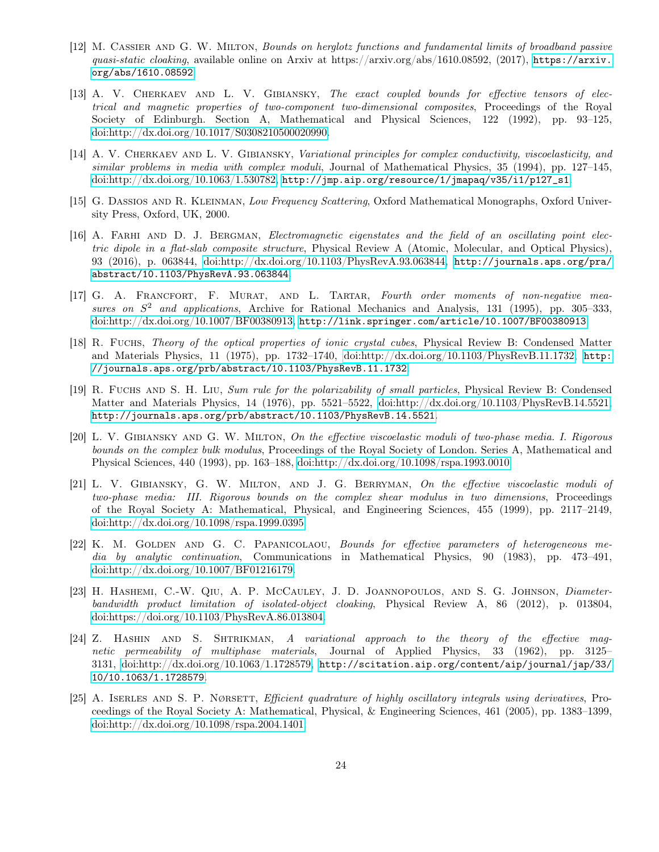- <span id="page-23-3"></span>[12] M. Cassier and G. W. Milton, Bounds on herglotz functions and fundamental limits of broadband passive quasi-static cloaking, available online on Arxiv at [https://arxiv.](https://arxiv.org/abs/1610.08592)org/abs/1610.08592, (2017), https://arxiv. [org/abs/1610.08592](https://arxiv.org/abs/1610.08592).
- <span id="page-23-8"></span>[13] A. V. CHERKAEV AND L. V. GIBIANSKY, The exact coupled bounds for effective tensors of electrical and magnetic properties of two-component two-dimensional composites, Proceedings of the Royal Society of Edinburgh. Section A, Mathematical and Physical Sciences, 122 (1992), pp. 93–125, [doi:http://dx.doi.org/10.1017/S0308210500020990.](http://dx.doi.org/http://dx.doi.org/10.1017/S0308210500020990)
- <span id="page-23-5"></span>[14] A. V. CHERKAEV AND L. V. GIBIANSKY, Variational principles for complex conductivity, viscoelasticity, and similar problems in media with complex moduli, Journal of Mathematical Physics, 35 (1994), pp. 127–145, [doi:http://dx.doi.org/10.1063/1.530782,](http://dx.doi.org/http://dx.doi.org/10.1063/1.530782) [http://jmp.aip.org/resource/1/jmapaq/v35/i1/p127\\_s1](http://jmp.aip.org/resource/1/jmapaq/v35/i1/p127_s1).
- <span id="page-23-13"></span>[15] G. DASSIOS AND R. KLEINMAN, Low Frequency Scattering, Oxford Mathematical Monographs, Oxford University Press, Oxford, UK, 2000.
- <span id="page-23-4"></span>[16] A. FARHI AND D. J. BERGMAN, Electromagnetic eigenstates and the field of an oscillating point electric dipole in a flat-slab composite structure, Physical Review A (Atomic, Molecular, and Optical Physics), 93 (2016), p. 063844, [doi:http://dx.doi.org/10.1103/PhysRevA.93.063844,](http://dx.doi.org/http://dx.doi.org/10.1103/PhysRevA.93.063844) [http://journals.aps.org/pra/](http://journals.aps.org/pra/abstract/10.1103/PhysRevA.93.063844) [abstract/10.1103/PhysRevA.93.063844](http://journals.aps.org/pra/abstract/10.1103/PhysRevA.93.063844).
- <span id="page-23-10"></span>[17] G. A. FRANCFORT, F. MURAT, AND L. TARTAR, Fourth order moments of non-negative measures on  $S^2$  and applications, Archive for Rational Mechanics and Analysis, 131 (1995), pp. 305-333, [doi:http://dx.doi.org/10.1007/BF00380913,](http://dx.doi.org/http://dx.doi.org/10.1007/BF00380913) <http://link.springer.com/article/10.1007/BF00380913>.
- <span id="page-23-1"></span>[18] R. Fuchs, Theory of the optical properties of ionic crystal cubes, Physical Review B: Condensed Matter and Materials Physics, 11 (1975), pp. 1732–1740, [doi:http://dx.doi.org/10.1103/PhysRevB.11.1732,](http://dx.doi.org/http://dx.doi.org/10.1103/PhysRevB.11.1732) [http:](http://journals.aps.org/prb/abstract/10.1103/PhysRevB.11.1732) [//journals.aps.org/prb/abstract/10.1103/PhysRevB.11.1732](http://journals.aps.org/prb/abstract/10.1103/PhysRevB.11.1732).
- <span id="page-23-2"></span>[19] R. Fuchs and S. H. Liu, Sum rule for the polarizability of small particles, Physical Review B: Condensed Matter and Materials Physics, 14 (1976), pp. 5521–5522, [doi:http://dx.doi.org/10.1103/PhysRevB.14.5521,](http://dx.doi.org/http://dx.doi.org/10.1103/PhysRevB.14.5521) <http://journals.aps.org/prb/abstract/10.1103/PhysRevB.14.5521>.
- <span id="page-23-6"></span>[20] L. V. Gibiansky and G. W. Milton, On the effective viscoelastic moduli of two-phase media. I. Rigorous bounds on the complex bulk modulus, Proceedings of the Royal Society of London. Series A, Mathematical and Physical Sciences, 440 (1993), pp. 163–188, [doi:http://dx.doi.org/10.1098/rspa.1993.0010.](http://dx.doi.org/http://dx.doi.org/10.1098/rspa.1993.0010)
- <span id="page-23-7"></span>[21] L. V. Gibiansky, G. W. Milton, and J. G. Berryman, On the effective viscoelastic moduli of two-phase media: III. Rigorous bounds on the complex shear modulus in two dimensions, Proceedings of the Royal Society A: Mathematical, Physical, and Engineering Sciences, 455 (1999), pp. 2117–2149, [doi:http://dx.doi.org/10.1098/rspa.1999.0395.](http://dx.doi.org/http://dx.doi.org/10.1098/rspa.1999.0395)
- <span id="page-23-0"></span>[22] K. M. GOLDEN AND G. C. PAPANICOLAOU, Bounds for effective parameters of heterogeneous media by analytic continuation, Communications in Mathematical Physics, 90 (1983), pp. 473–491, [doi:http://dx.doi.org/10.1007/BF01216179.](http://dx.doi.org/http://dx.doi.org/10.1007/BF01216179)
- <span id="page-23-12"></span>[23] H. HASHEMI, C.-W. QIU, A. P. McCAULEY, J. D. JOANNOPOULOS, AND S. G. JOHNSON, Diameterbandwidth product limitation of isolated-object cloaking, Physical Review A, 86 (2012), p. 013804, [doi:https://doi.org/10.1103/PhysRevA.86.013804.](http://dx.doi.org/https://doi.org/10.1103/PhysRevA.86.013804)
- <span id="page-23-9"></span>[24] Z. HASHIN AND S. SHTRIKMAN, A variational approach to the theory of the effective magnetic permeability of multiphase materials, Journal of Applied Physics, 33 (1962), pp. 3125– 3131, [doi:http://dx.doi.org/10.1063/1.1728579,](http://dx.doi.org/http://dx.doi.org/10.1063/1.1728579) [http://scitation.aip.org/content/aip/journal/jap/33/](http://scitation.aip.org/content/aip/journal/jap/33/10/10.1063/1.1728579) [10/10.1063/1.1728579](http://scitation.aip.org/content/aip/journal/jap/33/10/10.1063/1.1728579).
- <span id="page-23-11"></span>[25] A. ISERLES AND S. P. NØRSETT, Efficient quadrature of highly oscillatory integrals using derivatives, Proceedings of the Royal Society A: Mathematical, Physical, & Engineering Sciences, 461 (2005), pp. 1383–1399, [doi:http://dx.doi.org/10.1098/rspa.2004.1401.](http://dx.doi.org/http://dx.doi.org/10.1098/rspa.2004.1401)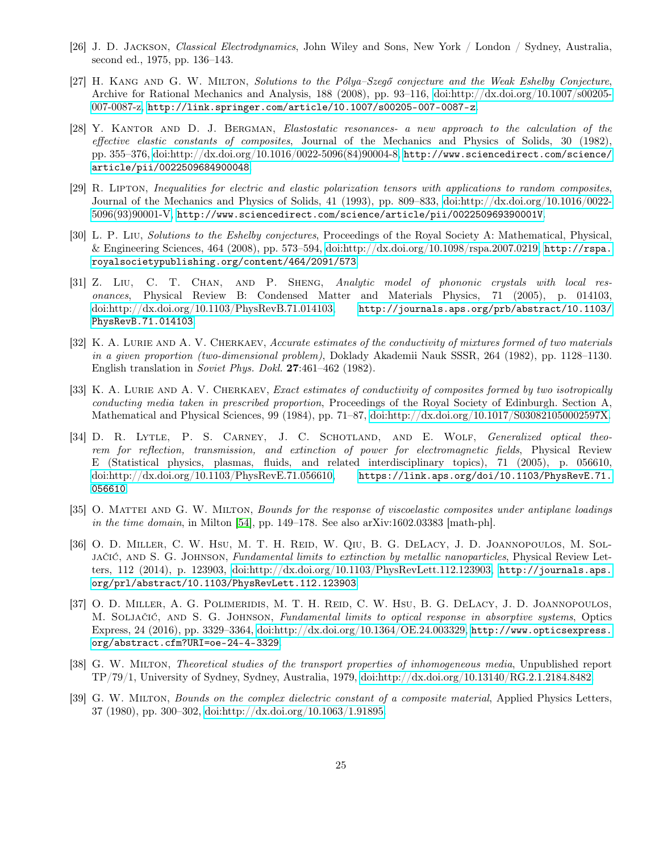- <span id="page-24-6"></span>[26] J. D. Jackson, Classical Electrodynamics, John Wiley and Sons, New York / London / Sydney, Australia, second ed., 1975, pp. 136–143.
- <span id="page-24-7"></span>[27] H. Kang and G. W. Milton, Solutions to the Pólya–Szegő conjecture and the Weak Eshelby Conjecture, Archive for Rational Mechanics and Analysis, 188 (2008), pp. 93–116, [doi:http://dx.doi.org/10.1007/s00205-](http://dx.doi.org/http://dx.doi.org/10.1007/s00205-007-0087-z) [007-0087-z,](http://dx.doi.org/http://dx.doi.org/10.1007/s00205-007-0087-z) <http://link.springer.com/article/10.1007/s00205-007-0087-z>.
- <span id="page-24-2"></span>[28] Y. KANTOR AND D. J. BERGMAN, Elastostatic resonances- a new approach to the calculation of the effective elastic constants of composites, Journal of the Mechanics and Physics of Solids, 30 (1982), pp. 355–376, [doi:http://dx.doi.org/10.1016/0022-5096\(84\)90004-8,](http://dx.doi.org/http://dx.doi.org/10.1016/0022-5096(84)90004-8) [http://www.sciencedirect.com/science/](http://www.sciencedirect.com/science/article/pii/0022509684900048) [article/pii/0022509684900048](http://www.sciencedirect.com/science/article/pii/0022509684900048).
- <span id="page-24-9"></span>[29] R. Lipton, Inequalities for electric and elastic polarization tensors with applications to random composites, Journal of the Mechanics and Physics of Solids, 41 (1993), pp. 809–833, [doi:http://dx.doi.org/10.1016/0022-](http://dx.doi.org/http://dx.doi.org/10.1016/0022-5096(93)90001-V) [5096\(93\)90001-V,](http://dx.doi.org/http://dx.doi.org/10.1016/0022-5096(93)90001-V) <http://www.sciencedirect.com/science/article/pii/002250969390001V>.
- <span id="page-24-8"></span>[30] L. P. Liu, Solutions to the Eshelby conjectures, Proceedings of the Royal Society A: Mathematical, Physical, & Engineering Sciences, 464 (2008), pp. 573–594, [doi:http://dx.doi.org/10.1098/rspa.2007.0219,](http://dx.doi.org/http://dx.doi.org/10.1098/rspa.2007.0219) [http://rspa.](http://rspa.royalsocietypublishing.org/content/464/2091/573) [royalsocietypublishing.org/content/464/2091/573](http://rspa.royalsocietypublishing.org/content/464/2091/573).
- <span id="page-24-12"></span>[31] Z. Liu, C. T. Chan, and P. Sheng, Analytic model of phononic crystals with local resonances, Physical Review B: Condensed Matter and Materials Physics, 71 (2005), p. 014103, [doi:http://dx.doi.org/10.1103/PhysRevB.71.014103,](http://dx.doi.org/http://dx.doi.org/10.1103/PhysRevB.71.014103) [http://journals.aps.org/prb/abstract/10.1103/](http://journals.aps.org/prb/abstract/10.1103/PhysRevB.71.014103) [PhysRevB.71.014103](http://journals.aps.org/prb/abstract/10.1103/PhysRevB.71.014103).
- <span id="page-24-10"></span>[32] K. A. LURIE AND A. V. CHERKAEV, Accurate estimates of the conductivity of mixtures formed of two materials in a given proportion (two-dimensional problem), Doklady Akademii Nauk SSSR, 264 (1982), pp. 1128–1130. English translation in Soviet Phys. Dokl. 27:461–462 (1982).
- <span id="page-24-11"></span>[33] K. A. LURIE AND A. V. CHERKAEV, Exact estimates of conductivity of composites formed by two isotropically conducting media taken in prescribed proportion, Proceedings of the Royal Society of Edinburgh. Section A, Mathematical and Physical Sciences, 99 (1984), pp. 71–87, [doi:http://dx.doi.org/10.1017/S030821050002597X.](http://dx.doi.org/http://dx.doi.org/10.1017/S030821050002597X)
- <span id="page-24-13"></span>[34] D. R. LYTLE, P. S. CARNEY, J. C. SCHOTLAND, AND E. WOLF, Generalized optical theorem for reflection, transmission, and extinction of power for electromagnetic fields, Physical Review E (Statistical physics, plasmas, fluids, and related interdisciplinary topics), 71 (2005), p. 056610, [doi:http://dx.doi.org/10.1103/PhysRevE.71.056610,](http://dx.doi.org/http://dx.doi.org/10.1103/PhysRevE.71.056610) [https://link.aps.org/doi/10.1103/PhysRevE.71.](https://link.aps.org/doi/10.1103/PhysRevE.71.056610) [056610](https://link.aps.org/doi/10.1103/PhysRevE.71.056610).
- <span id="page-24-4"></span>[35] O. MATTEI AND G. W. MILTON, *Bounds for the response of viscoelastic composites under antiplane loadings* in the time domain, in Milton  $[54]$ , pp. 149–178. See also arXiv:1602.03383 [math-ph].
- <span id="page-24-3"></span>[36] O. D. MILLER, C. W. HSU, M. T. H. REID, W. QIU, B. G. DELACY, J. D. JOANNOPOULOS, M. SOLjačić, and S. G. Johnson, Fundamental limits to extinction by metallic nanoparticles, Physical Review Letters, 112 (2014), p. 123903, [doi:http://dx.doi.org/10.1103/PhysRevLett.112.123903,](http://dx.doi.org/http://dx.doi.org/10.1103/PhysRevLett.112.123903) [http://journals.aps.](http://journals.aps.org/prl/abstract/10.1103/PhysRevLett.112.123903) [org/prl/abstract/10.1103/PhysRevLett.112.123903](http://journals.aps.org/prl/abstract/10.1103/PhysRevLett.112.123903).
- <span id="page-24-5"></span>[37] O. D. MILLER, A. G. POLIMERIDIS, M. T. H. REID, C. W. HSU, B. G. DELACY, J. D. JOANNOPOULOS, M. Soljačić, and S. G. Johnson, Fundamental limits to optical response in absorptive systems, Optics Express, 24 (2016), pp. 3329–3364, [doi:http://dx.doi.org/10.1364/OE.24.003329,](http://dx.doi.org/http://dx.doi.org/10.1364/OE.24.003329) [http://www.opticsexpress.](http://www.opticsexpress.org/abstract.cfm?URI=oe-24-4-3329) [org/abstract.cfm?URI=oe-24-4-3329](http://www.opticsexpress.org/abstract.cfm?URI=oe-24-4-3329).
- <span id="page-24-1"></span>[38] G. W. Milton, Theoretical studies of the transport properties of inhomogeneous media, Unpublished report TP/79/1, University of Sydney, Sydney, Australia, 1979, [doi:http://dx.doi.org/10.13140/RG.2.1.2184.8482.](http://dx.doi.org/http://dx.doi.org/10.13140/RG.2.1.2184.8482)
- <span id="page-24-0"></span>[39] G. W. MILTON, Bounds on the complex dielectric constant of a composite material, Applied Physics Letters, 37 (1980), pp. 300–302, [doi:http://dx.doi.org/10.1063/1.91895.](http://dx.doi.org/http://dx.doi.org/10.1063/1.91895)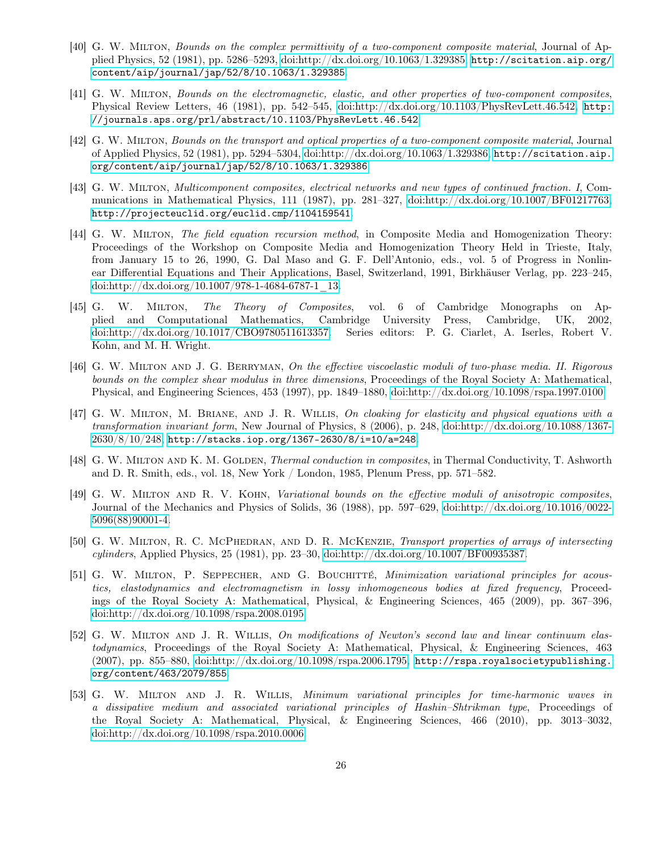- <span id="page-25-0"></span>[40] G. W. Milton, Bounds on the complex permittivity of a two-component composite material, Journal of Applied Physics, 52 (1981), pp. 5286–5293, [doi:http://dx.doi.org/10.1063/1.329385,](http://dx.doi.org/http://dx.doi.org/10.1063/1.329385) [http://scitation.aip.org/](http://scitation.aip.org/content/aip/journal/jap/52/8/10.1063/1.329385) [content/aip/journal/jap/52/8/10.1063/1.329385](http://scitation.aip.org/content/aip/journal/jap/52/8/10.1063/1.329385).
- <span id="page-25-7"></span>[41] G. W. Milton, Bounds on the electromagnetic, elastic, and other properties of two-component composites, Physical Review Letters, 46 (1981), pp. 542–545, [doi:http://dx.doi.org/10.1103/PhysRevLett.46.542,](http://dx.doi.org/http://dx.doi.org/10.1103/PhysRevLett.46.542) [http:](http://journals.aps.org/prl/abstract/10.1103/PhysRevLett.46.542) [//journals.aps.org/prl/abstract/10.1103/PhysRevLett.46.542](http://journals.aps.org/prl/abstract/10.1103/PhysRevLett.46.542).
- <span id="page-25-1"></span>[42] G. W. Milton, Bounds on the transport and optical properties of a two-component composite material, Journal of Applied Physics, 52 (1981), pp. 5294–5304, [doi:http://dx.doi.org/10.1063/1.329386,](http://dx.doi.org/http://dx.doi.org/10.1063/1.329386) [http://scitation.aip.](http://scitation.aip.org/content/aip/journal/jap/52/8/10.1063/1.329386) [org/content/aip/journal/jap/52/8/10.1063/1.329386](http://scitation.aip.org/content/aip/journal/jap/52/8/10.1063/1.329386).
- <span id="page-25-9"></span>[43] G. W. MILTON, Multicomponent composites, electrical networks and new types of continued fraction. I, Communications in Mathematical Physics, 111 (1987), pp. 281–327, [doi:http://dx.doi.org/10.1007/BF01217763,](http://dx.doi.org/http://dx.doi.org/10.1007/BF01217763) <http://projecteuclid.org/euclid.cmp/1104159541>.
- <span id="page-25-10"></span>[44] G. W. MILTON, The field equation recursion method, in Composite Media and Homogenization Theory: Proceedings of the Workshop on Composite Media and Homogenization Theory Held in Trieste, Italy, from January 15 to 26, 1990, G. Dal Maso and G. F. Dell'Antonio, eds., vol. 5 of Progress in Nonlinear Differential Equations and Their Applications, Basel, Switzerland, 1991, Birkhäuser Verlag, pp. 223–245, [doi:http://dx.doi.org/10.1007/978-1-4684-6787-1\\_13.](http://dx.doi.org/http://dx.doi.org/10.1007/978-1-4684-6787-1_13)
- <span id="page-25-3"></span>[45] G. W. Milton, The Theory of Composites, vol. 6 of Cambridge Monographs on Applied and Computational Mathematics, Cambridge University Press, Cambridge, UK, 2002, [doi:http://dx.doi.org/10.1017/CBO9780511613357.](http://dx.doi.org/http://dx.doi.org/10.1017/CBO9780511613357) Series editors: P. G. Ciarlet, A. Iserles, Robert V. Kohn, and M. H. Wright.
- <span id="page-25-4"></span>[46] G. W. MILTON AND J. G. BERRYMAN, On the effective viscoelastic moduli of two-phase media. II. Rigorous bounds on the complex shear modulus in three dimensions, Proceedings of the Royal Society A: Mathematical, Physical, and Engineering Sciences, 453 (1997), pp. 1849–1880, [doi:http://dx.doi.org/10.1098/rspa.1997.0100.](http://dx.doi.org/http://dx.doi.org/10.1098/rspa.1997.0100)
- <span id="page-25-12"></span>[47] G. W. MILTON, M. BRIANE, AND J. R. WILLIS, On cloaking for elasticity and physical equations with a transformation invariant form, New Journal of Physics, 8 (2006), p. 248, [doi:http://dx.doi.org/10.1088/1367-](http://dx.doi.org/http://dx.doi.org/10.1088/1367-2630/8/10/248) [2630/8/10/248,](http://dx.doi.org/http://dx.doi.org/10.1088/1367-2630/8/10/248) <http://stacks.iop.org/1367-2630/8/i=10/a=248>.
- <span id="page-25-8"></span>[48] G. W. MILTON AND K. M. GOLDEN, *Thermal conduction in composites*, in Thermal Conductivity, T. Ashworth and D. R. Smith, eds., vol. 18, New York / London, 1985, Plenum Press, pp. 571–582.
- <span id="page-25-11"></span>[49] G. W. MILTON AND R. V. KOHN, Variational bounds on the effective moduli of anisotropic composites, Journal of the Mechanics and Physics of Solids, 36 (1988), pp. 597–629, [doi:http://dx.doi.org/10.1016/0022-](http://dx.doi.org/http://dx.doi.org/10.1016/0022-5096(88)90001-4) [5096\(88\)90001-4.](http://dx.doi.org/http://dx.doi.org/10.1016/0022-5096(88)90001-4)
- <span id="page-25-2"></span>[50] G. W. MILTON, R. C. MCPHEDRAN, AND D. R. MCKENZIE, Transport properties of arrays of intersecting cylinders, Applied Physics, 25 (1981), pp. 23–30, [doi:http://dx.doi.org/10.1007/BF00935387.](http://dx.doi.org/http://dx.doi.org/10.1007/BF00935387)
- <span id="page-25-5"></span>[51] G. W. Milton, P. Seppecher, and G. Bouchitté, Minimization variational principles for acoustics, elastodynamics and electromagnetism in lossy inhomogeneous bodies at fixed frequency, Proceedings of the Royal Society A: Mathematical, Physical, & Engineering Sciences, 465 (2009), pp. 367–396, [doi:http://dx.doi.org/10.1098/rspa.2008.0195.](http://dx.doi.org/http://dx.doi.org/10.1098/rspa.2008.0195)
- <span id="page-25-13"></span>[52] G. W. Milton and J. R. Willis, On modifications of Newton's second law and linear continuum elastodynamics, Proceedings of the Royal Society A: Mathematical, Physical, & Engineering Sciences, 463  $(2007)$ , pp. 855–880, [doi:http://dx.doi.org/10.1098/rspa.2006.1795,](http://dx.doi.org/http://dx.doi.org/10.1098/rspa.2006.1795) [http://rspa.royalsocietypublishing.](http://rspa.royalsocietypublishing.org/content/463/2079/855) [org/content/463/2079/855](http://rspa.royalsocietypublishing.org/content/463/2079/855).
- <span id="page-25-6"></span>[53] G. W. Milton and J. R. Willis, Minimum variational principles for time-harmonic waves in a dissipative medium and associated variational principles of Hashin–Shtrikman type, Proceedings of the Royal Society A: Mathematical, Physical, & Engineering Sciences, 466 (2010), pp. 3013–3032, [doi:http://dx.doi.org/10.1098/rspa.2010.0006.](http://dx.doi.org/http://dx.doi.org/10.1098/rspa.2010.0006)